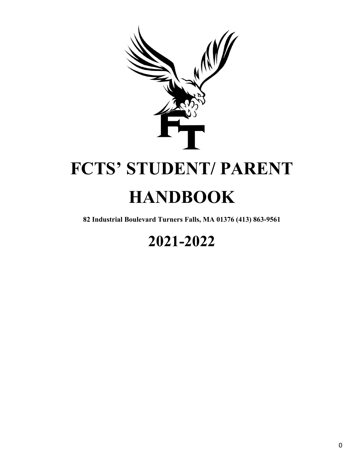

# **FCTS' STUDENT/ PARENT HANDBOOK**

**82 Industrial Boulevard Turners Falls, MA 01376 (413) 863-9561**

## **2021-2022**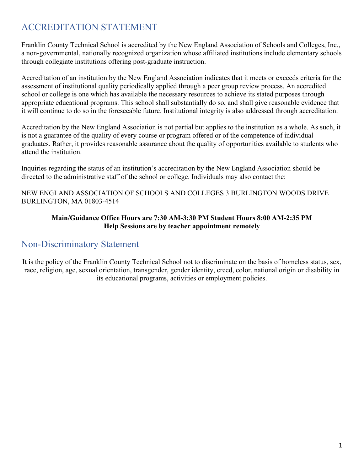### <span id="page-1-0"></span>ACCREDITATION STATEMENT

Franklin County Technical School is accredited by the New England Association of Schools and Colleges, Inc., a non-governmental, nationally recognized organization whose affiliated institutions include elementary schools through collegiate institutions offering post-graduate instruction.

Accreditation of an institution by the New England Association indicates that it meets or exceeds criteria for the assessment of institutional quality periodically applied through a peer group review process. An accredited school or college is one which has available the necessary resources to achieve its stated purposes through appropriate educational programs. This school shall substantially do so, and shall give reasonable evidence that it will continue to do so in the foreseeable future. Institutional integrity is also addressed through accreditation.

Accreditation by the New England Association is not partial but applies to the institution as a whole. As such, it is not a guarantee of the quality of every course or program offered or of the competence of individual graduates. Rather, it provides reasonable assurance about the quality of opportunities available to students who attend the institution.

Inquiries regarding the status of an institution's accreditation by the New England Association should be directed to the administrative staff of the school or college. Individuals may also contact the:

NEW ENGLAND ASSOCIATION OF SCHOOLS AND COLLEGES 3 BURLINGTON WOODS DRIVE BURLINGTON, MA 01803-4514

#### **Main/Guidance Office Hours are 7:30 AM-3:30 PM Student Hours 8:00 AM-2:35 PM Help Sessions are by teacher appointment remotely**

### <span id="page-1-1"></span>Non-Discriminatory Statement

It is the policy of the Franklin County Technical School not to discriminate on the basis of homeless status, sex, race, religion, age, sexual orientation, transgender, gender identity, creed, color, national origin or disability in its educational programs, activities or employment policies.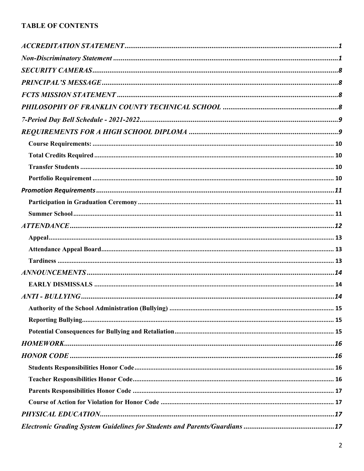### **TABLE OF CONTENTS**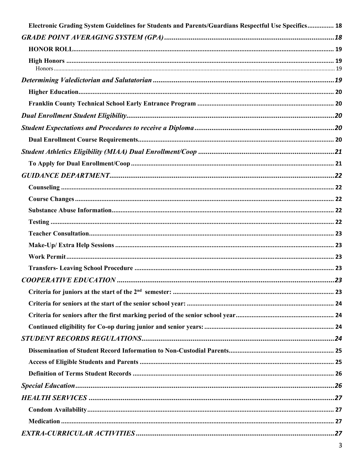| Electronic Grading System Guidelines for Students and Parents/Guardians Respectful Use Specifics 18 |  |
|-----------------------------------------------------------------------------------------------------|--|
|                                                                                                     |  |
|                                                                                                     |  |
|                                                                                                     |  |
|                                                                                                     |  |
|                                                                                                     |  |
|                                                                                                     |  |
|                                                                                                     |  |
|                                                                                                     |  |
|                                                                                                     |  |
|                                                                                                     |  |
|                                                                                                     |  |
|                                                                                                     |  |
|                                                                                                     |  |
|                                                                                                     |  |
|                                                                                                     |  |
|                                                                                                     |  |
|                                                                                                     |  |
|                                                                                                     |  |
|                                                                                                     |  |
|                                                                                                     |  |
|                                                                                                     |  |
|                                                                                                     |  |
|                                                                                                     |  |
|                                                                                                     |  |
|                                                                                                     |  |
|                                                                                                     |  |
|                                                                                                     |  |
|                                                                                                     |  |
|                                                                                                     |  |
|                                                                                                     |  |
|                                                                                                     |  |
|                                                                                                     |  |
|                                                                                                     |  |
|                                                                                                     |  |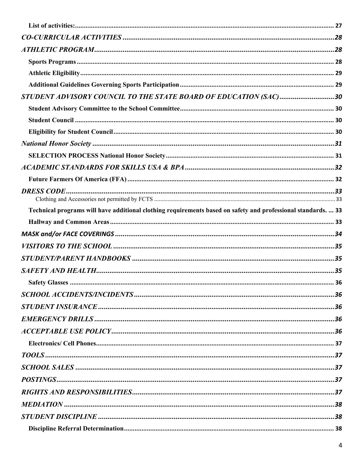| STUDENT ADVISORY COUNCIL TO THE STATE BOARD OF EDUCATION (SAC)30                                              |  |
|---------------------------------------------------------------------------------------------------------------|--|
|                                                                                                               |  |
|                                                                                                               |  |
|                                                                                                               |  |
|                                                                                                               |  |
|                                                                                                               |  |
|                                                                                                               |  |
|                                                                                                               |  |
|                                                                                                               |  |
| Technical programs will have additional clothing requirements based on safety and professional standards.  33 |  |
|                                                                                                               |  |
|                                                                                                               |  |
|                                                                                                               |  |
|                                                                                                               |  |
|                                                                                                               |  |
|                                                                                                               |  |
|                                                                                                               |  |
|                                                                                                               |  |
|                                                                                                               |  |
|                                                                                                               |  |
|                                                                                                               |  |
|                                                                                                               |  |
|                                                                                                               |  |
|                                                                                                               |  |
|                                                                                                               |  |
|                                                                                                               |  |
|                                                                                                               |  |
|                                                                                                               |  |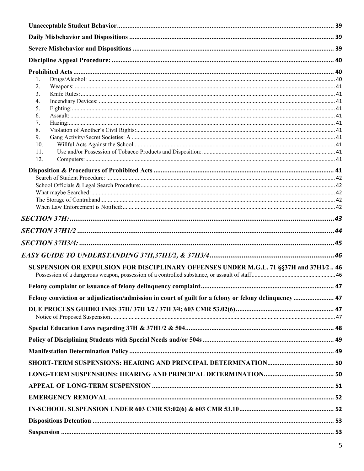| 1.       |                                                                                                      |      |
|----------|------------------------------------------------------------------------------------------------------|------|
| 2.       |                                                                                                      |      |
| 3.       |                                                                                                      |      |
| 4.       |                                                                                                      |      |
| 5.       |                                                                                                      |      |
| 6.       |                                                                                                      |      |
| 7.<br>8. |                                                                                                      |      |
| 9.       |                                                                                                      |      |
| 10.      |                                                                                                      |      |
| 11.      |                                                                                                      |      |
| 12.      |                                                                                                      |      |
|          |                                                                                                      |      |
|          |                                                                                                      |      |
|          |                                                                                                      |      |
|          |                                                                                                      |      |
|          |                                                                                                      |      |
|          |                                                                                                      |      |
|          |                                                                                                      |      |
|          |                                                                                                      |      |
|          |                                                                                                      |      |
|          |                                                                                                      |      |
|          |                                                                                                      |      |
|          | SUSPENSION OR EXPULSION FOR DISCIPLINARY OFFENSES UNDER M.G.L. 71 §§37H and 37H1/2 46                |      |
|          |                                                                                                      |      |
|          |                                                                                                      | . 47 |
|          | Felony conviction or adjudication/admission in court of guilt for a felony or felony delinguency  47 |      |
|          |                                                                                                      |      |
|          |                                                                                                      |      |
|          |                                                                                                      |      |
|          |                                                                                                      |      |
|          |                                                                                                      |      |
|          |                                                                                                      |      |
|          |                                                                                                      |      |
|          |                                                                                                      |      |
|          |                                                                                                      |      |
|          |                                                                                                      |      |
|          |                                                                                                      |      |
|          |                                                                                                      |      |
|          |                                                                                                      |      |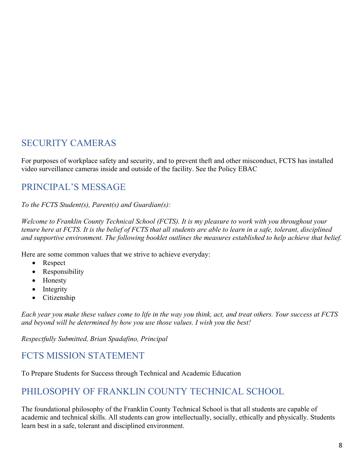### <span id="page-8-0"></span>SECURITY CAMERAS

For purposes of workplace safety and security, and to prevent theft and other misconduct, FCTS has installed video surveillance cameras inside and outside of the facility. See the Policy EBAC

### <span id="page-8-1"></span>PRINCIPAL'S MESSAGE

*To the FCTS Student(s), Parent(s) and Guardian(s):* 

*Welcome to Franklin County Technical School (FCTS). It is my pleasure to work with you throughout your tenure here at FCTS. It is the belief of FCTS that all students are able to learn in a safe, tolerant, disciplined and supportive environment. The following booklet outlines the measures established to help achieve that belief.* 

Here are some common values that we strive to achieve everyday:

- Respect
- Responsibility
- Honesty
- Integrity
- Citizenship

*Each year you make these values come to life in the way you think, act, and treat others. Your success at FCTS and beyond will be determined by how you use those values. I wish you the best!* 

<span id="page-8-2"></span>*Respectfully Submitted, Brian Spadafino, Principal* 

### FCTS MISSION STATEMENT

To Prepare Students for Success through Technical and Academic Education

### <span id="page-8-3"></span>PHILOSOPHY OF FRANKLIN COUNTY TECHNICAL SCHOOL

The foundational philosophy of the Franklin County Technical School is that all students are capable of academic and technical skills. All students can grow intellectually, socially, ethically and physically. Students learn best in a safe, tolerant and disciplined environment.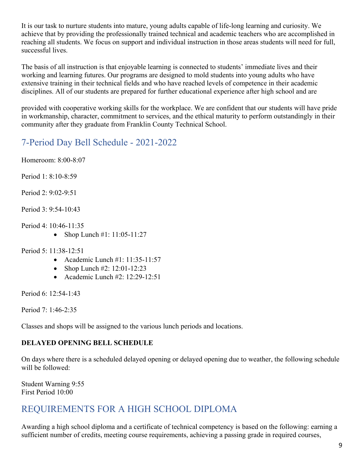It is our task to nurture students into mature, young adults capable of life-long learning and curiosity. We achieve that by providing the professionally trained technical and academic teachers who are accomplished in reaching all students. We focus on support and individual instruction in those areas students will need for full, successful lives.

The basis of all instruction is that enjoyable learning is connected to students' immediate lives and their working and learning futures. Our programs are designed to mold students into young adults who have extensive training in their technical fields and who have reached levels of competence in their academic disciplines. All of our students are prepared for further educational experience after high school and are

provided with cooperative working skills for the workplace. We are confident that our students will have pride in workmanship, character, commitment to services, and the ethical maturity to perform outstandingly in their community after they graduate from Franklin County Technical School.

### <span id="page-9-0"></span>7-Period Day Bell Schedule - 2021-2022

- Homeroom: 8:00-8:07
- Period 1: 8:10-8:59
- Period 2: 9:02-9:51
- Period 3: 9:54-10:43
- Period 4: 10:46-11:35
	- Shop Lunch #1: 11:05-11:27
- Period 5: 11:38-12:51
	- Academic Lunch  $\#1: 11:35-11:57$
	- Shop Lunch #2: 12:01-12:23
	- Academic Lunch  $#2: 12:29-12:51$

Period 6: 12:54-1:43

Period 7: 1:46-2:35

Classes and shops will be assigned to the various lunch periods and locations.

#### **DELAYED OPENING BELL SCHEDULE**

On days where there is a scheduled delayed opening or delayed opening due to weather, the following schedule will be followed:

Student Warning 9:55 First Period 10:00

### <span id="page-9-1"></span>REQUIREMENTS FOR A HIGH SCHOOL DIPLOMA

Awarding a high school diploma and a certificate of technical competency is based on the following: earning a sufficient number of credits, meeting course requirements, achieving a passing grade in required courses,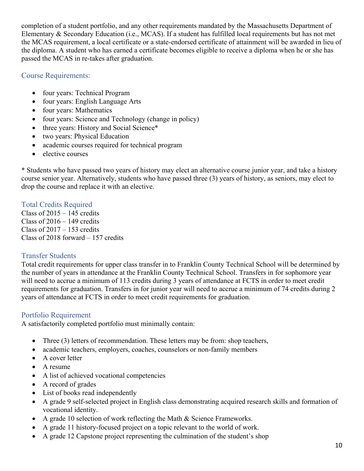completion of a student portfolio, and any other requirements mandated by the Massachusetts Department of Elementary & Secondary Education (i.e., MCAS). If a student has fulfilled local requirements but has not met the MCAS requirement, a local certificate or a state-endorsed certificate of attainment will be awarded in lieu of the diploma. A student who has earned a certificate becomes eligible to receive a diploma when he or she has passed the MCAS in re-takes after graduation.

### <span id="page-10-0"></span>Course Requirements:

- four years: Technical Program
- four years: English Language Arts
- four years: Mathematics
- four years: Science and Technology (change in policy)
- three years: History and Social Science\*
- two years: Physical Education
- academic courses required for technical program
- elective courses

\* Students who have passed two years of history may elect an alternative course junior year, and take a history course senior year. Alternatively, students who have passed three (3) years of history, as seniors, may elect to drop the course and replace it with an elective.

### <span id="page-10-1"></span>Total Credits Required

Class of  $2015 - 145$  credits Class of  $2016 - 149$  credits Class of  $2017 - 153$  credits Class of 2018 forward – 157 credits

#### <span id="page-10-2"></span>Transfer Students

Total credit requirements for upper class transfer in to Franklin County Technical School will be determined by the number of years in attendance at the Franklin County Technical School. Transfers in for sophomore year will need to accrue a minimum of 113 credits during 3 years of attendance at FCTS in order to meet credit requirements for graduation. Transfers in for junior year will need to accrue a minimum of 74 credits during 2 years of attendance at FCTS in order to meet credit requirements for graduation.

### <span id="page-10-3"></span>Portfolio Requirement

A satisfactorily completed portfolio must minimally contain:

- Three (3) letters of recommendation. These letters may be from: shop teachers,
- academic teachers, employers, coaches, counselors or non-family members
- A cover letter
- A resume
- A list of achieved vocational competencies
- A record of grades
- List of books read independently
- A grade 9 self-selected project in English class demonstrating acquired research skills and formation of vocational identity.
- A grade 10 selection of work reflecting the Math & Science Frameworks.
- A grade 11 history-focused project on a topic relevant to the world of work.
- A grade 12 Capstone project representing the culmination of the student's shop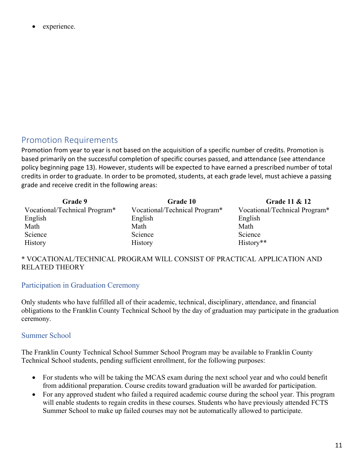experience.

### <span id="page-11-0"></span>Promotion Requirements

Promotion from year to year is not based on the acquisition of a specific number of credits. Promotion is based primarily on the successful completion of specific courses passed, and attendance (see attendance policy beginning page 13). However, students will be expected to have earned a prescribed number of total credits in order to graduate. In order to be promoted, students, at each grade level, must achieve a passing grade and receive credit in the following areas:

| Grade 9                       | Grade 10                      | Grade 11 & 12                 |
|-------------------------------|-------------------------------|-------------------------------|
| Vocational/Technical Program* | Vocational/Technical Program* | Vocational/Technical Program* |
| English                       | English                       | English                       |
| Math                          | Math                          | Math                          |
| Science                       | Science                       | Science                       |
| <b>History</b>                | <b>History</b>                | History**                     |

#### \* VOCATIONAL/TECHNICAL PROGRAM WILL CONSIST OF PRACTICAL APPLICATION AND RELATED THEORY

#### <span id="page-11-1"></span>Participation in Graduation Ceremony

Only students who have fulfilled all of their academic, technical, disciplinary, attendance, and financial obligations to the Franklin County Technical School by the day of graduation may participate in the graduation ceremony.

#### <span id="page-11-2"></span>Summer School

The Franklin County Technical School Summer School Program may be available to Franklin County Technical School students, pending sufficient enrollment, for the following purposes:

- For students who will be taking the MCAS exam during the next school year and who could benefit from additional preparation. Course credits toward graduation will be awarded for participation.
- For any approved student who failed a required academic course during the school year. This program will enable students to regain credits in these courses. Students who have previously attended FCTS Summer School to make up failed courses may not be automatically allowed to participate.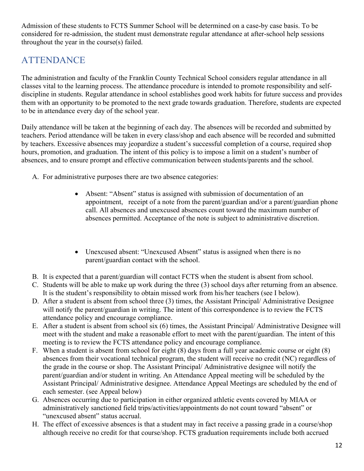Admission of these students to FCTS Summer School will be determined on a case-by case basis. To be considered for re-admission, the student must demonstrate regular attendance at after-school help sessions throughout the year in the course(s) failed.

### <span id="page-12-0"></span>**ATTENDANCE**

The administration and faculty of the Franklin County Technical School considers regular attendance in all classes vital to the learning process. The attendance procedure is intended to promote responsibility and selfdiscipline in students. Regular attendance in school establishes good work habits for future success and provides them with an opportunity to be promoted to the next grade towards graduation. Therefore, students are expected to be in attendance every day of the school year.

Daily attendance will be taken at the beginning of each day. The absences will be recorded and submitted by teachers. Period attendance will be taken in every class/shop and each absence will be recorded and submitted by teachers. Excessive absences may jeopardize a student's successful completion of a course, required shop hours, promotion, and graduation. The intent of this policy is to impose a limit on a student's number of absences, and to ensure prompt and effective communication between students/parents and the school.

- A. For administrative purposes there are two absence categories:
	- Absent: "Absent" status is assigned with submission of documentation of an appointment, receipt of a note from the parent/guardian and/or a parent/guardian phone call. All absences and unexcused absences count toward the maximum number of absences permitted. Acceptance of the note is subject to administrative discretion.
	- Unexcused absent: "Unexcused Absent" status is assigned when there is no parent/guardian contact with the school.
- B. It is expected that a parent/guardian will contact FCTS when the student is absent from school.
- C. Students will be able to make up work during the three (3) school days after returning from an absence. It is the student's responsibility to obtain missed work from his/her teachers (see I below).
- D. After a student is absent from school three (3) times, the Assistant Principal/ Administrative Designee will notify the parent/guardian in writing. The intent of this correspondence is to review the FCTS attendance policy and encourage compliance.
- E. After a student is absent from school six (6) times, the Assistant Principal/ Administrative Designee will meet with the student and make a reasonable effort to meet with the parent/guardian. The intent of this meeting is to review the FCTS attendance policy and encourage compliance.
- F. When a student is absent from school for eight (8) days from a full year academic course or eight (8) absences from their vocational technical program, the student will receive no credit (NC) regardless of the grade in the course or shop. The Assistant Principal/ Administrative designee will notify the parent/guardian and/or student in writing. An Attendance Appeal meeting will be scheduled by the Assistant Principal/ Administrative designee. Attendance Appeal Meetings are scheduled by the end of each semester. (see Appeal below)
- G. Absences occurring due to participation in either organized athletic events covered by MIAA or administratively sanctioned field trips/activities/appointments do not count toward "absent" or "unexcused absent" status accrual.
- H. The effect of excessive absences is that a student may in fact receive a passing grade in a course/shop although receive no credit for that course/shop. FCTS graduation requirements include both accrued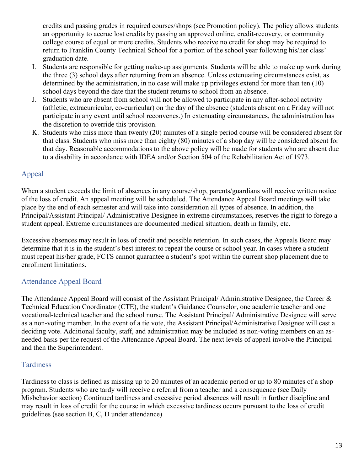credits and passing grades in required courses/shops (see Promotion policy). The policy allows students an opportunity to accrue lost credits by passing an approved online, credit-recovery, or community college course of equal or more credits. Students who receive no credit for shop may be required to return to Franklin County Technical School for a portion of the school year following his/her class' graduation date.

- I. Students are responsible for getting make-up assignments. Students will be able to make up work during the three (3) school days after returning from an absence. Unless extenuating circumstances exist, as determined by the administration, in no case will make up privileges extend for more than ten (10) school days beyond the date that the student returns to school from an absence.
- J. Students who are absent from school will not be allowed to participate in any after-school activity (athletic, extracurricular, co-curricular) on the day of the absence (students absent on a Friday will not participate in any event until school reconvenes.) In extenuating circumstances, the administration has the discretion to override this provision.
- K. Students who miss more than twenty (20) minutes of a single period course will be considered absent for that class. Students who miss more than eighty (80) minutes of a shop day will be considered absent for that day. Reasonable accommodations to the above policy will be made for students who are absent due to a disability in accordance with IDEA and/or Section 504 of the Rehabilitation Act of 1973.

### <span id="page-13-0"></span>Appeal

When a student exceeds the limit of absences in any course/shop, parents/guardians will receive written notice of the loss of credit. An appeal meeting will be scheduled. The Attendance Appeal Board meetings will take place by the end of each semester and will take into consideration all types of absence. In addition, the Principal/Assistant Principal/ Administrative Designee in extreme circumstances, reserves the right to forego a student appeal. Extreme circumstances are documented medical situation, death in family, etc.

Excessive absences may result in loss of credit and possible retention. In such cases, the Appeals Board may determine that it is in the student's best interest to repeat the course or school year. In cases where a student must repeat his/her grade, FCTS cannot guarantee a student's spot within the current shop placement due to enrollment limitations.

### <span id="page-13-1"></span>Attendance Appeal Board

The Attendance Appeal Board will consist of the Assistant Principal/ Administrative Designee, the Career & Technical Education Coordinator (CTE), the student's Guidance Counselor, one academic teacher and one vocational-technical teacher and the school nurse. The Assistant Principal/ Administrative Designee will serve as a non-voting member. In the event of a tie vote, the Assistant Principal/Administrative Designee will cast a deciding vote. Additional faculty, staff, and administration may be included as non-voting members on an asneeded basis per the request of the Attendance Appeal Board. The next levels of appeal involve the Principal and then the Superintendent.

### <span id="page-13-2"></span>**Tardiness**

Tardiness to class is defined as missing up to 20 minutes of an academic period or up to 80 minutes of a shop program. Students who are tardy will receive a referral from a teacher and a consequence (see Daily Misbehavior section) Continued tardiness and excessive period absences will result in further discipline and may result in loss of credit for the course in which excessive tardiness occurs pursuant to the loss of credit guidelines (see section B, C, D under attendance)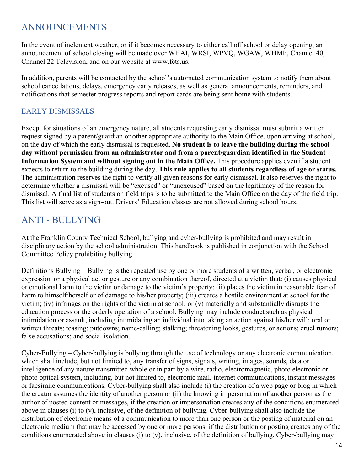### <span id="page-14-0"></span>ANNOUNCEMENTS

In the event of inclement weather, or if it becomes necessary to either call off school or delay opening, an announcement of school closing will be made over WHAI, WRSI, WPVQ, WGAW, WHMP, Channel 40, Channel 22 Television, and on our website at www.fcts.us.

In addition, parents will be contacted by the school's automated communication system to notify them about school cancellations, delays, emergency early releases, as well as general announcements, reminders, and notifications that semester progress reports and report cards are being sent home with students.

### <span id="page-14-1"></span>EARLY DISMISSALS

Except for situations of an emergency nature, all students requesting early dismissal must submit a written request signed by a parent/guardian or other appropriate authority to the Main Office, upon arriving at school, on the day of which the early dismissal is requested. **No student is to leave the building during the school day without permission from an administrator and from a parent/guardian identified in the Student Information System and without signing out in the Main Office.** This procedure applies even if a student expects to return to the building during the day. **This rule applies to all students regardless of age or status.**  The administration reserves the right to verify all given reasons for early dismissal. It also reserves the right to determine whether a dismissal will be "excused" or "unexcused" based on the legitimacy of the reason for dismissal. A final list of students on field trips is to be submitted to the Main Office on the day of the field trip. This list will serve as a sign-out. Drivers' Education classes are not allowed during school hours.

### <span id="page-14-2"></span>ANTI - BULLYING

At the Franklin County Technical School, bullying and cyber-bullying is prohibited and may result in disciplinary action by the school administration. This handbook is published in conjunction with the School Committee Policy prohibiting bullying.

Definitions Bullying – Bullying is the repeated use by one or more students of a written, verbal, or electronic expression or a physical act or gesture or any combination thereof, directed at a victim that: (i) causes physical or emotional harm to the victim or damage to the victim's property; (ii) places the victim in reasonable fear of harm to himself/herself or of damage to his/her property; (iii) creates a hostile environment at school for the victim; (iv) infringes on the rights of the victim at school; or (v) materially and substantially disrupts the education process or the orderly operation of a school. Bullying may include conduct such as physical intimidation or assault, including intimidating an individual into taking an action against his/her will; oral or written threats; teasing; putdowns; name-calling; stalking; threatening looks, gestures, or actions; cruel rumors; false accusations; and social isolation.

Cyber-Bullying – Cyber-bullying is bullying through the use of technology or any electronic communication, which shall include, but not limited to, any transfer of signs, signals, writing, images, sounds, data or intelligence of any nature transmitted whole or in part by a wire, radio, electromagnetic, photo electronic or photo optical system, including, but not limited to, electronic mail, internet communications, instant messages or facsimile communications. Cyber-bullying shall also include (i) the creation of a web page or blog in which the creator assumes the identity of another person or (ii) the knowing impersonation of another person as the author of posted content or messages, if the creation or impersonation creates any of the conditions enumerated above in clauses (i) to (v), inclusive, of the definition of bullying. Cyber-bullying shall also include the distribution of electronic means of a communication to more than one person or the posting of material on an electronic medium that may be accessed by one or more persons, if the distribution or posting creates any of the conditions enumerated above in clauses (i) to (v), inclusive, of the definition of bullying. Cyber-bullying may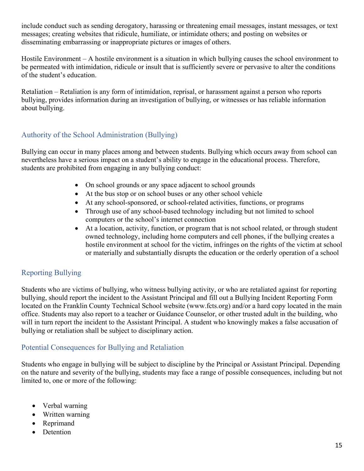include conduct such as sending derogatory, harassing or threatening email messages, instant messages, or text messages; creating websites that ridicule, humiliate, or intimidate others; and posting on websites or disseminating embarrassing or inappropriate pictures or images of others.

Hostile Environment – A hostile environment is a situation in which bullying causes the school environment to be permeated with intimidation, ridicule or insult that is sufficiently severe or pervasive to alter the conditions of the student's education.

Retaliation – Retaliation is any form of intimidation, reprisal, or harassment against a person who reports bullying, provides information during an investigation of bullying, or witnesses or has reliable information about bullying.

### <span id="page-15-0"></span>Authority of the School Administration (Bullying)

Bullying can occur in many places among and between students. Bullying which occurs away from school can nevertheless have a serious impact on a student's ability to engage in the educational process. Therefore, students are prohibited from engaging in any bullying conduct:

- On school grounds or any space adjacent to school grounds
- At the bus stop or on school buses or any other school vehicle
- At any school-sponsored, or school-related activities, functions, or programs
- Through use of any school-based technology including but not limited to school computers or the school's internet connection
- At a location, activity, function, or program that is not school related, or through student owned technology, including home computers and cell phones, if the bullying creates a hostile environment at school for the victim, infringes on the rights of the victim at school or materially and substantially disrupts the education or the orderly operation of a school

### <span id="page-15-1"></span>Reporting Bullying

Students who are victims of bullying, who witness bullying activity, or who are retaliated against for reporting bullying, should report the incident to the Assistant Principal and fill out a Bullying Incident Reporting Form located on the Franklin County Technical School website (www.fcts.org) and/or a hard copy located in the main office. Students may also report to a teacher or Guidance Counselor, or other trusted adult in the building, who will in turn report the incident to the Assistant Principal. A student who knowingly makes a false accusation of bullying or retaliation shall be subject to disciplinary action.

### <span id="page-15-2"></span>Potential Consequences for Bullying and Retaliation

Students who engage in bullying will be subject to discipline by the Principal or Assistant Principal. Depending on the nature and severity of the bullying, students may face a range of possible consequences, including but not limited to, one or more of the following:

- Verbal warning
- Written warning
- Reprimand
- Detention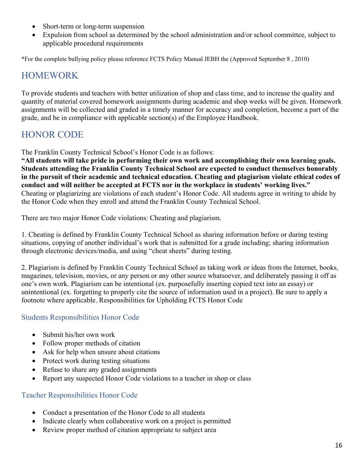- Short-term or long-term suspension
- Expulsion from school as determined by the school administration and/or school committee, subject to applicable procedural requirements

<span id="page-16-0"></span>\*For the complete bullying policy please reference FCTS Policy Manual JEBH the (Approved September 8 , 2010)

### **HOMEWORK**

To provide students and teachers with better utilization of shop and class time, and to increase the quality and quantity of material covered homework assignments during academic and shop weeks will be given. Homework assignments will be collected and graded in a timely manner for accuracy and completion, become a part of the grade, and be in compliance with applicable section(s) of the Employee Handbook.

### <span id="page-16-1"></span>HONOR CODE

The Franklin County Technical School's Honor Code is as follows:

**"All students will take pride in performing their own work and accomplishing their own learning goals. Students attending the Franklin County Technical School are expected to conduct themselves honorably in the pursuit of their academic and technical education. Cheating and plagiarism violate ethical codes of conduct and will neither be accepted at FCTS nor in the workplace in students' working lives."**  Cheating or plagiarizing are violations of each student's Honor Code. All students agree in writing to abide by the Honor Code when they enroll and attend the Franklin County Technical School.

There are two major Honor Code violations: Cheating and plagiarism.

1. Cheating is defined by Franklin County Technical School as sharing information before or during testing situations, copying of another individual's work that is submitted for a grade including; sharing information through electronic devices/media, and using "cheat sheets" during testing.

2. Plagiarism is defined by Franklin County Technical School as taking work or ideas from the Internet, books, magazines, television, movies, or any person or any other source whatsoever, and deliberately passing it off as one's own work. Plagiarism can be intentional (ex. purposefully inserting copied text into an essay) or unintentional (ex. forgetting to properly cite the source of information used in a project). Be sure to apply a footnote where applicable. Responsibilities for Upholding FCTS Honor Code

### <span id="page-16-2"></span>Students Responsibilities Honor Code

- Submit his/her own work
- Follow proper methods of citation
- Ask for help when unsure about citations
- Protect work during testing situations
- Refuse to share any graded assignments
- Report any suspected Honor Code violations to a teacher in shop or class

#### <span id="page-16-3"></span>Teacher Responsibilities Honor Code

- Conduct a presentation of the Honor Code to all students
- Indicate clearly when collaborative work on a project is permitted
- Review proper method of citation appropriate to subject area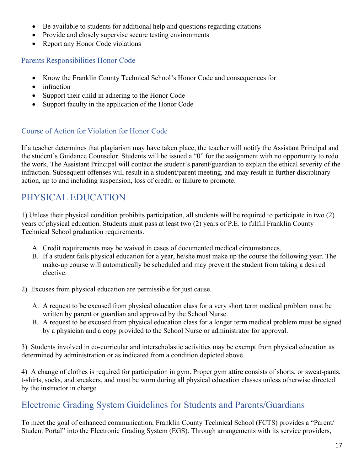- Be available to students for additional help and questions regarding citations
- Provide and closely supervise secure testing environments
- Report any Honor Code violations

<span id="page-17-0"></span>Parents Responsibilities Honor Code

- Know the Franklin County Technical School's Honor Code and consequences for
- infraction
- Support their child in adhering to the Honor Code
- Support faculty in the application of the Honor Code

### <span id="page-17-1"></span>Course of Action for Violation for Honor Code

If a teacher determines that plagiarism may have taken place, the teacher will notify the Assistant Principal and the student's Guidance Counselor. Students will be issued a "0" for the assignment with no opportunity to redo the work, The Assistant Principal will contact the student's parent/guardian to explain the ethical severity of the infraction. Subsequent offenses will result in a student/parent meeting, and may result in further disciplinary action, up to and including suspension, loss of credit, or failure to promote.

### <span id="page-17-2"></span>PHYSICAL EDUCATION

1) Unless their physical condition prohibits participation, all students will be required to participate in two (2) years of physical education. Students must pass at least two (2) years of P.E. to fulfill Franklin County Technical School graduation requirements.

- A. Credit requirements may be waived in cases of documented medical circumstances.
- B. If a student fails physical education for a year, he/she must make up the course the following year. The make-up course will automatically be scheduled and may prevent the student from taking a desired elective.
- 2) Excuses from physical education are permissible for just cause.
	- A. A request to be excused from physical education class for a very short term medical problem must be written by parent or guardian and approved by the School Nurse.
	- B. A request to be excused from physical education class for a longer term medical problem must be signed by a physician and a copy provided to the School Nurse or administrator for approval.

3) Students involved in co-curricular and interscholastic activities may be exempt from physical education as determined by administration or as indicated from a condition depicted above.

4) A change of clothes is required for participation in gym. Proper gym attire consists of shorts, or sweat-pants, t-shirts, socks, and sneakers, and must be worn during all physical education classes unless otherwise directed by the instructor in charge.

### <span id="page-17-3"></span>Electronic Grading System Guidelines for Students and Parents/Guardians

To meet the goal of enhanced communication, Franklin County Technical School (FCTS) provides a "Parent/ Student Portal" into the Electronic Grading System (EGS). Through arrangements with its service providers,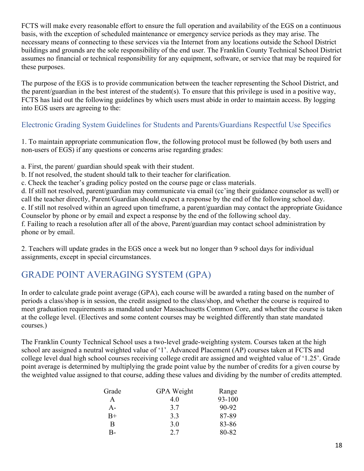FCTS will make every reasonable effort to ensure the full operation and availability of the EGS on a continuous basis, with the exception of scheduled maintenance or emergency service periods as they may arise. The necessary means of connecting to these services via the Internet from any locations outside the School District buildings and grounds are the sole responsibility of the end user. The Franklin County Technical School District assumes no financial or technical responsibility for any equipment, software, or service that may be required for these purposes.

The purpose of the EGS is to provide communication between the teacher representing the School District, and the parent/guardian in the best interest of the student(s). To ensure that this privilege is used in a positive way, FCTS has laid out the following guidelines by which users must abide in order to maintain access. By logging into EGS users are agreeing to the:

### <span id="page-18-0"></span>Electronic Grading System Guidelines for Students and Parents/Guardians Respectful Use Specifics

1. To maintain appropriate communication flow, the following protocol must be followed (by both users and non-users of EGS) if any questions or concerns arise regarding grades:

a. First, the parent/ guardian should speak with their student.

- b. If not resolved, the student should talk to their teacher for clarification.
- c. Check the teacher's grading policy posted on the course page or class materials.

d. If still not resolved, parent/guardian may communicate via email (cc'ing their guidance counselor as well) or call the teacher directly, Parent/Guardian should expect a response by the end of the following school day. e. If still not resolved within an agreed upon timeframe, a parent/guardian may contact the appropriate Guidance

Counselor by phone or by email and expect a response by the end of the following school day.

f. Failing to reach a resolution after all of the above, Parent/guardian may contact school administration by phone or by email.

2. Teachers will update grades in the EGS once a week but no longer than 9 school days for individual assignments, except in special circumstances.

### <span id="page-18-1"></span>GRADE POINT AVERAGING SYSTEM (GPA)

In order to calculate grade point average (GPA), each course will be awarded a rating based on the number of periods a class/shop is in session, the credit assigned to the class/shop, and whether the course is required to meet graduation requirements as mandated under Massachusetts Common Core, and whether the course is taken at the college level. (Electives and some content courses may be weighted differently than state mandated courses.)

The Franklin County Technical School uses a two-level grade-weighting system. Courses taken at the high school are assigned a neutral weighted value of '1'. Advanced Placement (AP) courses taken at FCTS and college level dual high school courses receiving college credit are assigned and weighted value of '1.25'. Grade point average is determined by multiplying the grade point value by the number of credits for a given course by the weighted value assigned to that course, adding these values and dividing by the number of credits attempted.

| Grade | GPA Weight | Range     |
|-------|------------|-----------|
| A     | 4.0        | 93-100    |
| $A -$ | 3.7        | $90 - 92$ |
| $B+$  | 3.3        | 87-89     |
| B     | 3.0        | 83-86     |
| B-    | 2.7        | 80-82     |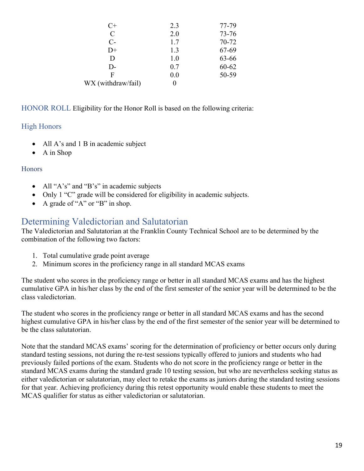| $C+$               | 2.3 | 77-79     |
|--------------------|-----|-----------|
| $\mathcal{C}$      | 2.0 | $73 - 76$ |
| $C-$               | 1.7 | 70-72     |
| $D+$               | 1.3 | 67-69     |
| D                  | 1.0 | 63-66     |
| D-                 | 0.7 | 60-62     |
| F                  | 0.0 | 50-59     |
| WX (withdraw/fail) |     |           |

<span id="page-19-0"></span>HONOR ROLL Eligibility for the Honor Roll is based on the following criteria:

### <span id="page-19-1"></span>High Honors

- All A's and 1 B in academic subject
- A in Shop

<span id="page-19-2"></span>**Honors** 

- All "A's" and "B's" in academic subjects
- Only 1 "C" grade will be considered for eligibility in academic subjects.
- A grade of "A" or "B" in shop.

### <span id="page-19-3"></span>Determining Valedictorian and Salutatorian

The Valedictorian and Salutatorian at the Franklin County Technical School are to be determined by the combination of the following two factors:

- 1. Total cumulative grade point average
- 2. Minimum scores in the proficiency range in all standard MCAS exams

The student who scores in the proficiency range or better in all standard MCAS exams and has the highest cumulative GPA in his/her class by the end of the first semester of the senior year will be determined to be the class valedictorian.

The student who scores in the proficiency range or better in all standard MCAS exams and has the second highest cumulative GPA in his/her class by the end of the first semester of the senior year will be determined to be the class salutatorian.

Note that the standard MCAS exams' scoring for the determination of proficiency or better occurs only during standard testing sessions, not during the re-test sessions typically offered to juniors and students who had previously failed portions of the exam. Students who do not score in the proficiency range or better in the standard MCAS exams during the standard grade 10 testing session, but who are nevertheless seeking status as either valedictorian or salutatorian, may elect to retake the exams as juniors during the standard testing sessions for that year. Achieving proficiency during this retest opportunity would enable these students to meet the MCAS qualifier for status as either valedictorian or salutatorian.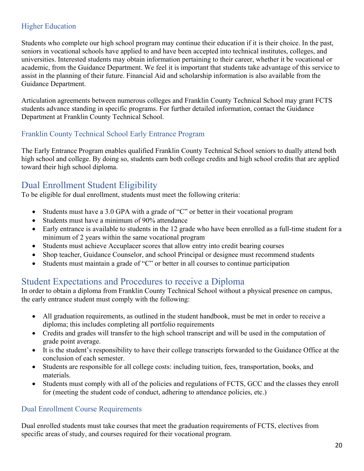### <span id="page-20-0"></span>Higher Education

Students who complete our high school program may continue their education if it is their choice. In the past, seniors in vocational schools have applied to and have been accepted into technical institutes, colleges, and universities. Interested students may obtain information pertaining to their career, whether it be vocational or academic, from the Guidance Department. We feel it is important that students take advantage of this service to assist in the planning of their future. Financial Aid and scholarship information is also available from the Guidance Department.

Articulation agreements between numerous colleges and Franklin County Technical School may grant FCTS students advance standing in specific programs. For further detailed information, contact the Guidance Department at Franklin County Technical School.

### <span id="page-20-1"></span>Franklin County Technical School Early Entrance Program

The Early Entrance Program enables qualified Franklin County Technical School seniors to dually attend both high school and college. By doing so, students earn both college credits and high school credits that are applied toward their high school diploma.

### <span id="page-20-2"></span>Dual Enrollment Student Eligibility

To be eligible for dual enrollment, students must meet the following criteria:

- Students must have a 3.0 GPA with a grade of "C" or better in their vocational program
- Students must have a minimum of 90% attendance
- Early entrance is available to students in the 12 grade who have been enrolled as a full-time student for a minimum of 2 years within the same vocational program
- Students must achieve Accuplacer scores that allow entry into credit bearing courses
- Shop teacher, Guidance Counselor, and school Principal or designee must recommend students
- Students must maintain a grade of "C" or better in all courses to continue participation

<span id="page-20-3"></span>Student Expectations and Procedures to receive a Diploma<br>In order to obtain a diploma from Franklin County Technical School without a physical presence on campus, the early entrance student must comply with the following:

- All graduation requirements, as outlined in the student handbook, must be met in order to receive a diploma; this includes completing all portfolio requirements
- Credits and grades will transfer to the high school transcript and will be used in the computation of grade point average.
- It is the student's responsibility to have their college transcripts forwarded to the Guidance Office at the conclusion of each semester.
- Students are responsible for all college costs: including tuition, fees, transportation, books, and materials.
- Students must comply with all of the policies and regulations of FCTS, GCC and the classes they enroll for (meeting the student code of conduct, adhering to attendance policies, etc.)

### <span id="page-20-4"></span>Dual Enrollment Course Requirements

Dual enrolled students must take courses that meet the graduation requirements of FCTS, electives from specific areas of study, and courses required for their vocational program.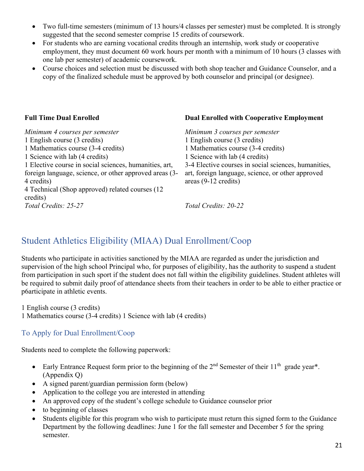- Two full-time semesters (minimum of 13 hours/4 classes per semester) must be completed. It is strongly suggested that the second semester comprise 15 credits of coursework.
- For students who are earning vocational credits through an internship, work study or cooperative employment, they must document 60 work hours per month with a minimum of 10 hours (3 classes with one lab per semester) of academic coursework.
- Course choices and selection must be discussed with both shop teacher and Guidance Counselor, and a copy of the finalized schedule must be approved by both counselor and principal (or designee).

| <b>Full Time Dual Enrolled</b>                         | <b>Dual Enrolled with Cooperative Employment</b>     |
|--------------------------------------------------------|------------------------------------------------------|
| Minimum 4 courses per semester                         | Minimum 3 courses per semester                       |
| 1 English course (3 credits)                           | 1 English course (3 credits)                         |
| 1 Mathematics course (3-4 credits)                     | 1 Mathematics course (3-4 credits)                   |
| 1 Science with lab (4 credits)                         | 1 Science with lab (4 credits)                       |
| 1 Elective course in social sciences, humanities, art, | 3-4 Elective courses in social sciences, humanities, |
| foreign language, science, or other approved areas (3- | art, foreign language, science, or other approved    |
| 4 credits)                                             | areas $(9-12 \text{ credits})$                       |
| 4 Technical (Shop approved) related courses (12)       |                                                      |
| credits)                                               |                                                      |
| Total Credits: 25-27                                   | Total Credits: 20-22                                 |

### <span id="page-21-0"></span>Student Athletics Eligibility (MIAA) Dual Enrollment/Coop

Students who participate in activities sanctioned by the MIAA are regarded as under the jurisdiction and supervision of the high school Principal who, for purposes of eligibility, has the authority to suspend a student from participation in such sport if the student does not fall within the eligibility guidelines. Student athletes will be required to submit daily proof of attendance sheets from their teachers in order to be able to either practice or p6articipate in athletic events.

1 English course (3 credits) 1 Mathematics course (3-4 credits) 1 Science with lab (4 credits)

### <span id="page-21-1"></span>To Apply for Dual Enrollment/Coop

Students need to complete the following paperwork:

- Early Entrance Request form prior to the beginning of the  $2<sup>nd</sup>$  Semester of their  $11<sup>th</sup>$  grade year<sup>\*</sup>. (Appendix Q)
- A signed parent/guardian permission form (below)
- Application to the college you are interested in attending
- An approved copy of the student's college schedule to Guidance counselor prior
- to beginning of classes
- Students eligible for this program who wish to participate must return this signed form to the Guidance Department by the following deadlines: June 1 for the fall semester and December 5 for the spring semester.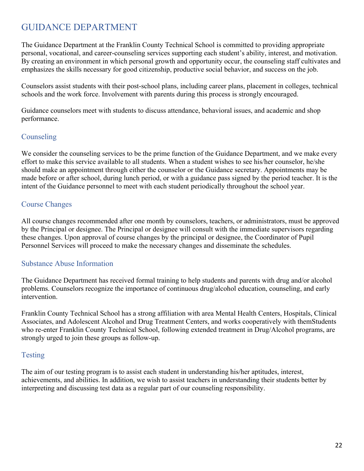### <span id="page-22-0"></span>GUIDANCE DEPARTMENT

The Guidance Department at the Franklin County Technical School is committed to providing appropriate personal, vocational, and career-counseling services supporting each student's ability, interest, and motivation. By creating an environment in which personal growth and opportunity occur, the counseling staff cultivates and emphasizes the skills necessary for good citizenship, productive social behavior, and success on the job.

Counselors assist students with their post-school plans, including career plans, placement in colleges, technical schools and the work force. Involvement with parents during this process is strongly encouraged.

Guidance counselors meet with students to discuss attendance, behavioral issues, and academic and shop performance.

### <span id="page-22-1"></span>Counseling

We consider the counseling services to be the prime function of the Guidance Department, and we make every effort to make this service available to all students. When a student wishes to see his/her counselor, he/she should make an appointment through either the counselor or the Guidance secretary. Appointments may be made before or after school, during lunch period, or with a guidance pass signed by the period teacher. It is the intent of the Guidance personnel to meet with each student periodically throughout the school year.

### <span id="page-22-2"></span>Course Changes

All course changes recommended after one month by counselors, teachers, or administrators, must be approved by the Principal or designee. The Principal or designee will consult with the immediate supervisors regarding these changes. Upon approval of course changes by the principal or designee, the Coordinator of Pupil Personnel Services will proceed to make the necessary changes and disseminate the schedules.

#### <span id="page-22-3"></span>Substance Abuse Information

The Guidance Department has received formal training to help students and parents with drug and/or alcohol problems. Counselors recognize the importance of continuous drug/alcohol education, counseling, and early intervention.

Franklin County Technical School has a strong affiliation with area Mental Health Centers, Hospitals, Clinical Associates, and Adolescent Alcohol and Drug Treatment Centers, and works cooperatively with themStudents who re-enter Franklin County Technical School, following extended treatment in Drug/Alcohol programs, are strongly urged to join these groups as follow-up.

#### <span id="page-22-4"></span>Testing

The aim of our testing program is to assist each student in understanding his/her aptitudes, interest, achievements, and abilities. In addition, we wish to assist teachers in understanding their students better by interpreting and discussing test data as a regular part of our counseling responsibility.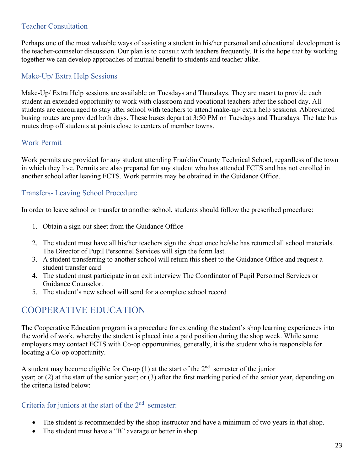### <span id="page-23-0"></span>Teacher Consultation

Perhaps one of the most valuable ways of assisting a student in his/her personal and educational development is the teacher-counselor discussion. Our plan is to consult with teachers frequently. It is the hope that by working together we can develop approaches of mutual benefit to students and teacher alike.

### <span id="page-23-1"></span>Make-Up/ Extra Help Sessions

Make-Up/ Extra Help sessions are available on Tuesdays and Thursdays. They are meant to provide each student an extended opportunity to work with classroom and vocational teachers after the school day. All students are encouraged to stay after school with teachers to attend make-up/ extra help sessions. Abbreviated busing routes are provided both days. These buses depart at 3:50 PM on Tuesdays and Thursdays. The late bus routes drop off students at points close to centers of member towns.

### <span id="page-23-2"></span>Work Permit

Work permits are provided for any student attending Franklin County Technical School, regardless of the town in which they live. Permits are also prepared for any student who has attended FCTS and has not enrolled in another school after leaving FCTS. Work permits may be obtained in the Guidance Office.

### <span id="page-23-3"></span>Transfers- Leaving School Procedure

In order to leave school or transfer to another school, students should follow the prescribed procedure:

- 1. Obtain a sign out sheet from the Guidance Office
- 2. The student must have all his/her teachers sign the sheet once he/she has returned all school materials. The Director of Pupil Personnel Services will sign the form last.
- 3. A student transferring to another school will return this sheet to the Guidance Office and request a student transfer card
- 4. The student must participate in an exit interview The Coordinator of Pupil Personnel Services or Guidance Counselor.
- 5. The student's new school will send for a complete school record

### <span id="page-23-4"></span>COOPERATIVE EDUCATION

The Cooperative Education program is a procedure for extending the student's shop learning experiences into the world of work, whereby the student is placed into a paid position during the shop week. While some employers may contact FCTS with Co-op opportunities, generally, it is the student who is responsible for locating a Co-op opportunity.

A student may become eligible for Co-op  $(1)$  at the start of the  $2<sup>nd</sup>$  semester of the junior year; or (2) at the start of the senior year; or (3) after the first marking period of the senior year, depending on the criteria listed below:

### <span id="page-23-5"></span>Criteria for juniors at the start of the  $2<sup>nd</sup>$  semester:

- The student is recommended by the shop instructor and have a minimum of two years in that shop.
- The student must have a "B" average or better in shop.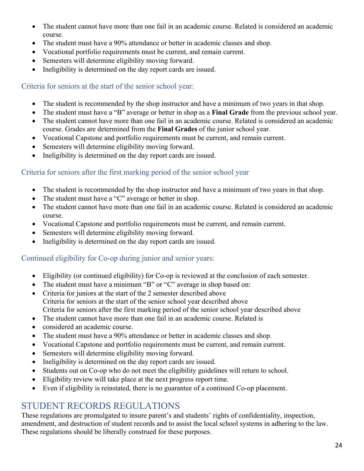- The student cannot have more than one fail in an academic course. Related is considered an academic course.
- The student must have a 90% attendance or better in academic classes and shop.
- Vocational portfolio requirements must be current, and remain current.
- Semesters will determine eligibility moving forward.
- Ineligibility is determined on the day report cards are issued.

#### <span id="page-24-0"></span>Criteria for seniors at the start of the senior school year:

- The student is recommended by the shop instructor and have a minimum of two years in that shop.
- The student must have a "B" average or better in shop as a **Final Grade** from the previous school year.
- The student cannot have more than one fail in an academic course. Related is considered an academic course. Grades are determined from the **Final Grades** of the junior school year.
- Vocational Capstone and portfolio requirements must be current, and remain current.
- Semesters will determine eligibility moving forward.
- Ineligibility is determined on the day report cards are issued.

#### <span id="page-24-1"></span>Criteria for seniors after the first marking period of the senior school year

- The student is recommended by the shop instructor and have a minimum of two years in that shop.
- The student must have a "C" average or better in shop.
- The student cannot have more than one fail in an academic course. Related is considered an academic course.
- Vocational Capstone and portfolio requirements must be current, and remain current.
- Semesters will determine eligibility moving forward.
- Ineligibility is determined on the day report cards are issued.

#### <span id="page-24-2"></span>Continued eligibility for Co-op during junior and senior years:

- Eligibility (or continued eligibility) for Co-op is reviewed at the conclusion of each semester.
- The student must have a minimum "B" or "C" average in shop based on:
- Criteria for juniors at the start of the 2 semester described above Criteria for seniors at the start of the senior school year described above Criteria for seniors after the first marking period of the senior school year described above
- The student cannot have more than one fail in an academic course. Related is
- considered an academic course.
- The student must have a 90% attendance or better in academic classes and shop.
- Vocational Capstone and portfolio requirements must be current, and remain current.
- Semesters will determine eligibility moving forward.
- Ineligibility is determined on the day report cards are issued.
- Students out on Co-op who do not meet the eligibility guidelines will return to school.
- Eligibility review will take place at the next progress report time.
- Even if eligibility is reinstated, there is no guarantee of a continued Co-op placement.

### <span id="page-24-3"></span>STUDENT RECORDS REGULATIONS

These regulations are promulgated to insure parent's and students' rights of confidentiality, inspection, amendment, and destruction of student records and to assist the local school systems in adhering to the law. These regulations should be liberally construed for these purposes.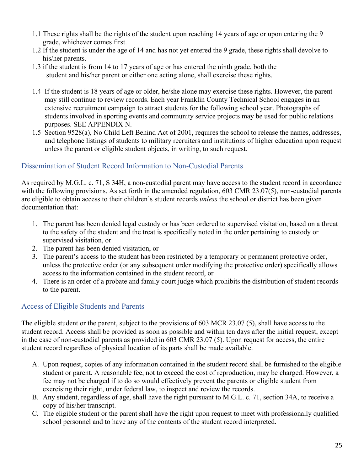- 1.1 These rights shall be the rights of the student upon reaching 14 years of age or upon entering the 9 grade, whichever comes first.
- 1.2 If the student is under the age of 14 and has not yet entered the 9 grade, these rights shall devolve to his/her parents.
- 1.3 if the student is from 14 to 17 years of age or has entered the ninth grade, both the student and his/her parent or either one acting alone, shall exercise these rights.
- 1.4 If the student is 18 years of age or older, he/she alone may exercise these rights. However, the parent may still continue to review records. Each year Franklin County Technical School engages in an extensive recruitment campaign to attract students for the following school year. Photographs of students involved in sporting events and community service projects may be used for public relations purposes. SEE APPENDIX N.
- 1.5 Section 9528(a), No Child Left Behind Act of 2001, requires the school to release the names, addresses, and telephone listings of students to military recruiters and institutions of higher education upon request unless the parent or eligible student objects, in writing, to such request.

### <span id="page-25-0"></span>Dissemination of Student Record Information to Non-Custodial Parents

As required by M.G.L. c. 71, S 34H, a non-custodial parent may have access to the student record in accordance with the following provisions. As set forth in the amended regulation, 603 CMR 23.07(5), non-custodial parents are eligible to obtain access to their children's student records *unless* the school or district has been given documentation that:

- 1. The parent has been denied legal custody or has been ordered to supervised visitation, based on a threat to the safety of the student and the treat is specifically noted in the order pertaining to custody or supervised visitation, or
- 2. The parent has been denied visitation, or
- 3. The parent's access to the student has been restricted by a temporary or permanent protective order, unless the protective order (or any subsequent order modifying the protective order) specifically allows access to the information contained in the student record, or
- 4. There is an order of a probate and family court judge which prohibits the distribution of student records to the parent.

### <span id="page-25-1"></span>Access of Eligible Students and Parents

The eligible student or the parent, subject to the provisions of 603 MCR 23.07 (5), shall have access to the student record. Access shall be provided as soon as possible and within ten days after the initial request, except in the case of non-custodial parents as provided in 603 CMR 23.07 (5). Upon request for access, the entire student record regardless of physical location of its parts shall be made available.

- A. Upon request, copies of any information contained in the student record shall be furnished to the eligible student or parent. A reasonable fee, not to exceed the cost of reproduction, may be charged. However, a fee may not be charged if to do so would effectively prevent the parents or eligible student from exercising their right, under federal law, to inspect and review the records.
- B. Any student, regardless of age, shall have the right pursuant to M.G.L. c. 71, section 34A, to receive a copy of his/her transcript.
- C. The eligible student or the parent shall have the right upon request to meet with professionally qualified school personnel and to have any of the contents of the student record interpreted.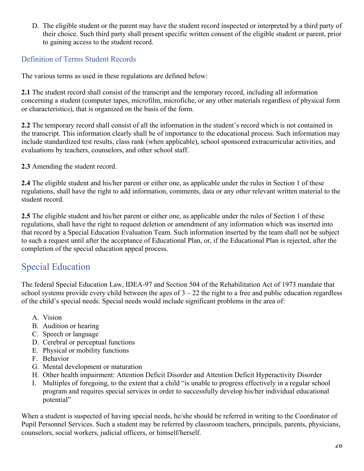D. The eligible student or the parent may have the student record inspected or interpreted by a third party of their choice. Such third party shall present specific written consent of the eligible student or parent, prior to gaining access to the student record.

### <span id="page-26-0"></span>Definition of Terms Student Records

The various terms as used in these regulations are defined below:

**2.1** The student record shall consist of the transcript and the temporary record, including all information concerning a student (computer tapes, microfilm, microfiche, or any other materials regardless of physical form or characteristics), that is organized on the basis of the form.

**2.2** The temporary record shall consist of all the information in the student's record which is not contained in the transcript. This information clearly shall be of importance to the educational process. Such information may include standardized test results, class rank (when applicable), school sponsored extracurricular activities, and evaluations by teachers, counselors, and other school staff.

**2.3** Amending the student record.

**2.4** The eligible student and his/her parent or either one, as applicable under the rules in Section 1 of these regulations, shall have the right to add information, comments, data or any other relevant written material to the student record.

**2.5** The eligible student and his/her parent or either one, as applicable under the rules of Section 1 of these regulations, shall have the right to request deletion or amendment of any information which was inserted into that record by a Special Education Evaluation Team. Such information inserted by the team shall not be subject to such a request until after the acceptance of Educational Plan, or, if the Educational Plan is rejected, after the completion of the special education appeal process.

### <span id="page-26-1"></span>Special Education

The federal Special Education Law, IDEA-97 and Section 504 of the Rehabilitation Act of 1973 mandate that school systems provide every child between the ages of  $3 - 22$  the right to a free and public education regardless of the child's special needs. Special needs would include significant problems in the area of:

- A. Vision
- B. Audition or hearing
- C. Speech or language
- D. Cerebral or perceptual functions
- E. Physical or mobility functions
- F. Behavior
- G. Mental development or maturation
- H. Other health impairment: Attention Deficit Disorder and Attention Deficit Hyperactivity Disorder
- I. Multiples of foregoing, to the extent that a child "is unable to progress effectively in a regular school program and requires special services in order to successfully develop his/her individual educational potential"

When a student is suspected of having special needs, he/she should be referred in writing to the Coordinator of Pupil Personnel Services. Such a student may be referred by classroom teachers, principals, parents, physicians, counselors, social workers, judicial officers, or himself/herself.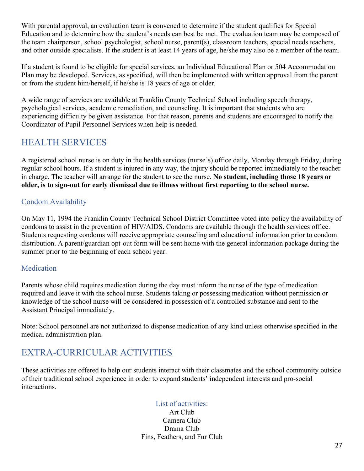With parental approval, an evaluation team is convened to determine if the student qualifies for Special Education and to determine how the student's needs can best be met. The evaluation team may be composed of the team chairperson, school psychologist, school nurse, parent(s), classroom teachers, special needs teachers, and other outside specialists. If the student is at least 14 years of age, he/she may also be a member of the team.

If a student is found to be eligible for special services, an Individual Educational Plan or 504 Accommodation Plan may be developed. Services, as specified, will then be implemented with written approval from the parent or from the student him/herself, if he/she is 18 years of age or older.

A wide range of services are available at Franklin County Technical School including speech therapy, psychological services, academic remediation, and counseling. It is important that students who are experiencing difficulty be given assistance. For that reason, parents and students are encouraged to notify the Coordinator of Pupil Personnel Services when help is needed.

### <span id="page-27-0"></span>HEALTH SERVICES

A registered school nurse is on duty in the health services (nurse's) office daily, Monday through Friday, during regular school hours. If a student is injured in any way, the injury should be reported immediately to the teacher in charge. The teacher will arrange for the student to see the nurse. **No student, including those 18 years or older, is to sign-out for early dismissal due to illness without first reporting to the school nurse.** 

### <span id="page-27-1"></span>Condom Availability

On May 11, 1994 the Franklin County Technical School District Committee voted into policy the availability of condoms to assist in the prevention of HIV/AIDS. Condoms are available through the health services office. Students requesting condoms will receive appropriate counseling and educational information prior to condom distribution. A parent/guardian opt-out form will be sent home with the general information package during the summer prior to the beginning of each school year.

### <span id="page-27-2"></span>**Medication**

Parents whose child requires medication during the day must inform the nurse of the type of medication required and leave it with the school nurse. Students taking or possessing medication without permission or knowledge of the school nurse will be considered in possession of a controlled substance and sent to the Assistant Principal immediately.

Note: School personnel are not authorized to dispense medication of any kind unless otherwise specified in the medical administration plan.

### <span id="page-27-3"></span>EXTRA-CURRICULAR ACTIVITIES

<span id="page-27-4"></span>These activities are offered to help our students interact with their classmates and the school community outside of their traditional school experience in order to expand students' independent interests and pro-social interactions.

### List of activities:

Art Club Camera Club Drama Club Fins, Feathers, and Fur Club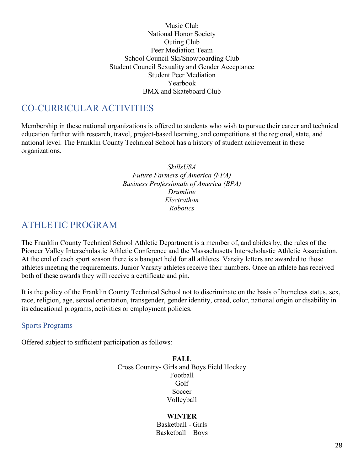#### Music Club National Honor Society Outing Club Peer Mediation Team School Council Ski/Snowboarding Club Student Council Sexuality and Gender Acceptance Student Peer Mediation Yearbook BMX and Skateboard Club

### <span id="page-28-0"></span>CO-CURRICULAR ACTIVITIES

Membership in these national organizations is offered to students who wish to pursue their career and technical education further with research, travel, project-based learning, and competitions at the regional, state, and national level. The Franklin County Technical School has a history of student achievement in these organizations.

> *SkillsUSA Future Farmers of America (FFA) Business Professionals of America (BPA) Drumline Electrathon Robotics*

### <span id="page-28-1"></span>ATHLETIC PROGRAM

The Franklin County Technical School Athletic Department is a member of, and abides by, the rules of the Pioneer Valley Interscholastic Athletic Conference and the Massachusetts Interscholastic Athletic Association. At the end of each sport season there is a banquet held for all athletes. Varsity letters are awarded to those athletes meeting the requirements. Junior Varsity athletes receive their numbers. Once an athlete has received both of these awards they will receive a certificate and pin.

It is the policy of the Franklin County Technical School not to discriminate on the basis of homeless status, sex, race, religion, age, sexual orientation, transgender, gender identity, creed, color, national origin or disability in its educational programs, activities or employment policies.

#### <span id="page-28-2"></span>Sports Programs

Offered subject to sufficient participation as follows:

#### **FALL** Cross Country- Girls and Boys Field Hockey Football Golf **Soccer** Volleyball

#### **WINTER**

Basketball - Girls Basketball – Boys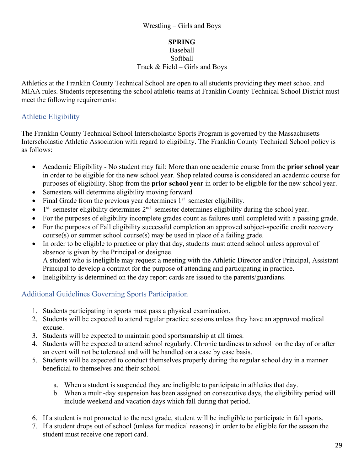#### Wrestling – Girls and Boys

#### **SPRING**

#### Baseball Softball Track & Field – Girls and Boys

Athletics at the Franklin County Technical School are open to all students providing they meet school and MIAA rules. Students representing the school athletic teams at Franklin County Technical School District must meet the following requirements:

### <span id="page-29-0"></span>Athletic Eligibility

The Franklin County Technical School Interscholastic Sports Program is governed by the Massachusetts Interscholastic Athletic Association with regard to eligibility. The Franklin County Technical School policy is as follows:

- Academic Eligibility No student may fail: More than one academic course from the **prior school year**  in order to be eligible for the new school year. Shop related course is considered an academic course for purposes of eligibility. Shop from the **prior school year** in order to be eligible for the new school year.
- Semesters will determine eligibility moving forward
- Final Grade from the previous year determines  $1<sup>st</sup>$  semester eligibility.
- $\bullet$  1<sup>st</sup> semester eligibility determines  $2<sup>nd</sup>$  semester determines eligibility during the school year.
- For the purposes of eligibility incomplete grades count as failures until completed with a passing grade.
- For the purposes of Fall eligibility successful completion an approved subject-specific credit recovery course(s) or summer school course(s) may be used in place of a failing grade.
- In order to be eligible to practice or play that day, students must attend school unless approval of absence is given by the Principal or designee. A student who is ineligible may request a meeting with the Athletic Director and/or Principal, Assistant Principal to develop a contract for the purpose of attending and participating in practice.
- Ineligibility is determined on the day report cards are issued to the parents/guardians.

### <span id="page-29-1"></span>Additional Guidelines Governing Sports Participation

- 1. Students participating in sports must pass a physical examination.
- 2. Students will be expected to attend regular practice sessions unless they have an approved medical excuse.
- 3. Students will be expected to maintain good sportsmanship at all times.
- 4. Students will be expected to attend school regularly. Chronic tardiness to school on the day of or after an event will not be tolerated and will be handled on a case by case basis.
- 5. Students will be expected to conduct themselves properly during the regular school day in a manner beneficial to themselves and their school.
	- a. When a student is suspended they are ineligible to participate in athletics that day.
	- b. When a multi-day suspension has been assigned on consecutive days, the eligibility period will include weekend and vacation days which fall during that period.
- 6. If a student is not promoted to the next grade, student will be ineligible to participate in fall sports.
- 7. If a student drops out of school (unless for medical reasons) in order to be eligible for the season the student must receive one report card.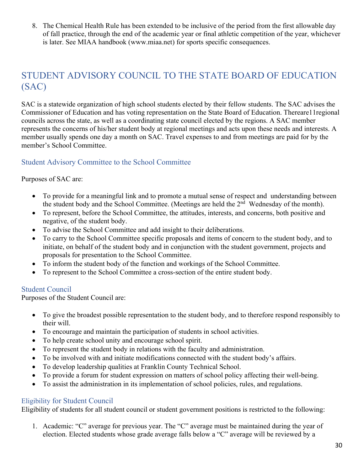8. The Chemical Health Rule has been extended to be inclusive of the period from the first allowable day of fall practice, through the end of the academic year or final athletic competition of the year, whichever is later. See MIAA handbook (www.miaa.net) for sports specific consequences.

### <span id="page-30-0"></span>STUDENT ADVISORY COUNCIL TO THE STATE BOARD OF EDUCATION (SAC)

SAC is a statewide organization of high school students elected by their fellow students. The SAC advises the Commissioner of Education and has voting representation on the State Board of Education. Thereare11regional councils across the state, as well as a coordinating state council elected by the regions. A SAC member represents the concerns of his/her student body at regional meetings and acts upon these needs and interests. A member usually spends one day a month on SAC. Travel expenses to and from meetings are paid for by the member's School Committee.

### <span id="page-30-1"></span>Student Advisory Committee to the School Committee

#### Purposes of SAC are:

- To provide for a meaningful link and to promote a mutual sense of respect and understanding between the student body and the School Committee. (Meetings are held the 2<sup>nd</sup> Wednesday of the month).
- To represent, before the School Committee, the attitudes, interests, and concerns, both positive and negative, of the student body.
- To advise the School Committee and add insight to their deliberations.
- To carry to the School Committee specific proposals and items of concern to the student body, and to initiate, on behalf of the student body and in conjunction with the student government, projects and proposals for presentation to the School Committee.
- To inform the student body of the function and workings of the School Committee.
- To represent to the School Committee a cross-section of the entire student body.

#### <span id="page-30-2"></span>Student Council

Purposes of the Student Council are:

- To give the broadest possible representation to the student body, and to therefore respond responsibly to their will.
- To encourage and maintain the participation of students in school activities.
- To help create school unity and encourage school spirit.
- To represent the student body in relations with the faculty and administration.
- To be involved with and initiate modifications connected with the student body's affairs.
- To develop leadership qualities at Franklin County Technical School.
- To provide a forum for student expression on matters of school policy affecting their well-being.
- To assist the administration in its implementation of school policies, rules, and regulations.

#### <span id="page-30-3"></span>Eligibility for Student Council

Eligibility of students for all student council or student government positions is restricted to the following:

1. Academic: "C" average for previous year. The "C" average must be maintained during the year of election. Elected students whose grade average falls below a "C" average will be reviewed by a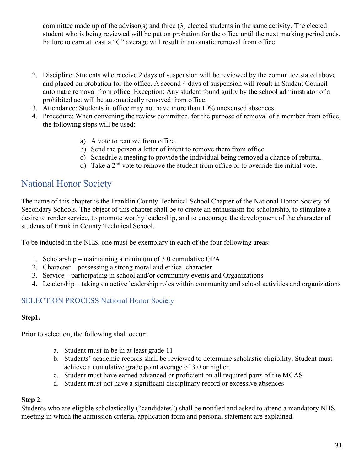committee made up of the advisor(s) and three (3) elected students in the same activity. The elected student who is being reviewed will be put on probation for the office until the next marking period ends. Failure to earn at least a "C" average will result in automatic removal from office.

- 2. Discipline: Students who receive 2 days of suspension will be reviewed by the committee stated above and placed on probation for the office. A second 4 days of suspension will result in Student Council automatic removal from office. Exception: Any student found guilty by the school administrator of a prohibited act will be automatically removed from office.
- 3. Attendance: Students in office may not have more than 10% unexcused absences.
- 4. Procedure: When convening the review committee, for the purpose of removal of a member from office, the following steps will be used:
	- a) A vote to remove from office.
	- b) Send the person a letter of intent to remove them from office.
	- c) Schedule a meeting to provide the individual being removed a chance of rebuttal.
	- d) Take a 2<sup>nd</sup> vote to remove the student from office or to override the initial vote.

### <span id="page-31-0"></span>National Honor Society

The name of this chapter is the Franklin County Technical School Chapter of the National Honor Society of Secondary Schools. The object of this chapter shall be to create an enthusiasm for scholarship, to stimulate a desire to render service, to promote worthy leadership, and to encourage the development of the character of students of Franklin County Technical School.

To be inducted in the NHS, one must be exemplary in each of the four following areas:

- 1. Scholarship maintaining a minimum of 3.0 cumulative GPA
- 2. Character possessing a strong moral and ethical character
- 3. Service participating in school and/or community events and Organizations
- 4. Leadership taking on active leadership roles within community and school activities and organizations

#### <span id="page-31-1"></span>SELECTION PROCESS National Honor Society

#### **Step1.**

Prior to selection, the following shall occur:

- a. Student must in be in at least grade 11
- b. Students' academic records shall be reviewed to determine scholastic eligibility. Student must achieve a cumulative grade point average of 3.0 or higher.
- c. Student must have earned advanced or proficient on all required parts of the MCAS
- d. Student must not have a significant disciplinary record or excessive absences

#### **Step 2**.

Students who are eligible scholastically ("candidates") shall be notified and asked to attend a mandatory NHS meeting in which the admission criteria, application form and personal statement are explained.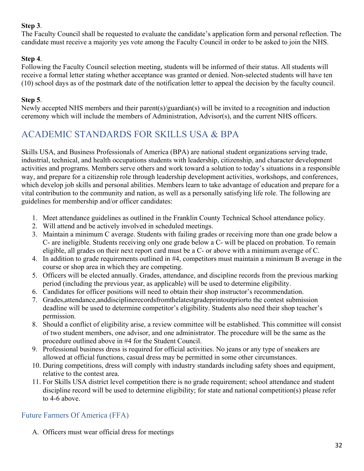#### **Step 3**.

The Faculty Council shall be requested to evaluate the candidate's application form and personal reflection. The candidate must receive a majority yes vote among the Faculty Council in order to be asked to join the NHS.

### **Step 4**.

Following the Faculty Council selection meeting, students will be informed of their status. All students will receive a formal letter stating whether acceptance was granted or denied. Non-selected students will have ten (10) school days as of the postmark date of the notification letter to appeal the decision by the faculty council.

### **Step 5**.

Newly accepted NHS members and their parent(s)/guardian(s) will be invited to a recognition and induction ceremony which will include the members of Administration, Advisor(s), and the current NHS officers.

### <span id="page-32-0"></span>ACADEMIC STANDARDS FOR SKILLS USA & BPA

Skills USA, and Business Professionals of America (BPA) are national student organizations serving trade, industrial, technical, and health occupations students with leadership, citizenship, and character development activities and programs. Members serve others and work toward a solution to today's situations in a responsible way, and prepare for a citizenship role through leadership development activities, workshops, and conferences, which develop job skills and personal abilities. Members learn to take advantage of education and prepare for a vital contribution to the community and nation, as well as a personally satisfying life role. The following are guidelines for membership and/or officer candidates:

- 1. Meet attendance guidelines as outlined in the Franklin County Technical School attendance policy.
- 2. Will attend and be actively involved in scheduled meetings.
- 3. Maintain a minimum C average. Students with failing grades or receiving more than one grade below a C- are ineligible. Students receiving only one grade below a C- will be placed on probation. To remain eligible, all grades on their next report card must be a C- or above with a minimum average of C.
- 4. In addition to grade requirements outlined in #4, competitors must maintain a minimum B average in the course or shop area in which they are competing.
- 5. Officers will be elected annually. Grades, attendance, and discipline records from the previous marking period (including the previous year, as applicable) will be used to determine eligibility.
- 6. Candidates for officer positions will need to obtain their shop instructor's recommendation.
- 7. Grades,attendance,anddisciplinerecordsfromthelatestgradeprintoutpriorto the contest submission deadline will be used to determine competitor's eligibility. Students also need their shop teacher's permission.
- 8. Should a conflict of eligibility arise, a review committee will be established. This committee will consist of two student members, one advisor, and one administrator. The procedure will be the same as the procedure outlined above in #4 for the Student Council.
- 9. Professional business dress is required for official activities. No jeans or any type of sneakers are allowed at official functions, casual dress may be permitted in some other circumstances.
- 10. During competitions, dress will comply with industry standards including safety shoes and equipment, relative to the contest area.
- 11. For Skills USA district level competition there is no grade requirement; school attendance and student discipline record will be used to determine eligibility; for state and national competition(s) please refer to 4-6 above.

### <span id="page-32-1"></span>Future Farmers Of America (FFA)

A. Officers must wear official dress for meetings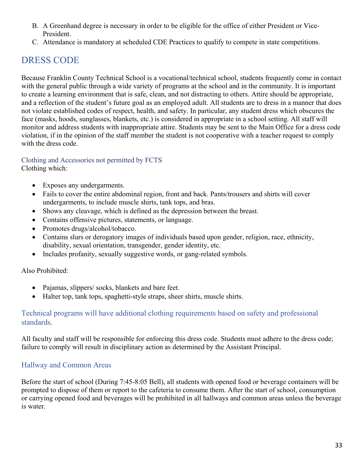- B. A Greenhand degree is necessary in order to be eligible for the office of either President or Vice-President.
- C. Attendance is mandatory at scheduled CDE Practices to qualify to compete in state competitions.

### <span id="page-33-0"></span>DRESS CODE

Because Franklin County Technical School is a vocational/technical school, students frequently come in contact with the general public through a wide variety of programs at the school and in the community. It is important to create a learning environment that is safe, clean, and not distracting to others. Attire should be appropriate, and a reflection of the student's future goal as an employed adult. All students are to dress in a manner that does not violate established codes of respect, health, and safety. In particular, any student dress which obscures the face (masks, hoods, sunglasses, blankets, etc.) is considered in appropriate in a school setting. All staff will monitor and address students with inappropriate attire. Students may be sent to the Main Office for a dress code violation, if in the opinion of the staff member the student is not cooperative with a teacher request to comply with the dress code.

### <span id="page-33-1"></span>Clothing and Accessories not permitted by FCTS

Clothing which:

- Exposes any undergarments.
- Fails to cover the entire abdominal region, front and back. Pants/trousers and shirts will cover undergarments, to include muscle shirts, tank tops, and bras.
- Shows any cleavage, which is defined as the depression between the breast.
- Contains offensive pictures, statements, or language.
- Promotes drugs/alcohol/tobacco.
- Contains slurs or derogatory images of individuals based upon gender, religion, race, ethnicity, disability, sexual orientation, transgender, gender identity, etc.
- Includes profanity, sexually suggestive words, or gang-related symbols.

Also Prohibited:

- Pajamas, slippers/ socks, blankets and bare feet.
- Halter top, tank tops, spaghetti-style straps, sheer shirts, muscle shirts.

### <span id="page-33-2"></span>Technical programs will have additional clothing requirements based on safety and professional standards.

All faculty and staff will be responsible for enforcing this dress code. Students must adhere to the dress code; failure to comply will result in disciplinary action as determined by the Assistant Principal.

### <span id="page-33-3"></span>Hallway and Common Areas

Before the start of school (During 7:45-8:05 Bell), all students with opened food or beverage containers will be prompted to dispose of them or report to the cafeteria to consume them. After the start of school, consumption or carrying opened food and beverages will be prohibited in all hallways and common areas unless the beverage is water.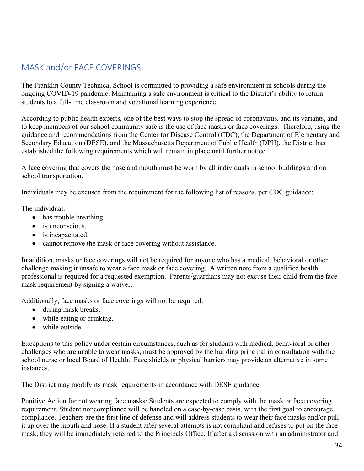### <span id="page-34-0"></span>MASK and/or FACE COVERINGS

The Franklin County Technical School is committed to providing a safe environment in schools during the ongoing COVID-19 pandemic. Maintaining a safe environment is critical to the District's ability to return students to a full-time classroom and vocational learning experience.

According to public health experts, one of the best ways to stop the spread of coronavirus, and its variants, and to keep members of our school community safe is the use of face masks or face coverings. Therefore, using the guidance and recommendations from the Center for Disease Control (CDC), the Department of Elementary and Secondary Education (DESE), and the Massachusetts Department of Public Health (DPH), the District has established the following requirements which will remain in place until further notice.

A face covering that covers the nose and mouth must be worn by all individuals in school buildings and on school transportation.

Individuals may be excused from the requirement for the following list of reasons, per CDC guidance:

The individual:

- has trouble breathing.
- is unconscious.
- is incapacitated.
- cannot remove the mask or face covering without assistance.

In addition, masks or face coverings will not be required for anyone who has a medical, behavioral or other challenge making it unsafe to wear a face mask or face covering. A written note from a qualified health professional is required for a requested exemption. Parents/guardians may not excuse their child from the face mask requirement by signing a waiver.

Additionally, face masks or face coverings will not be required:

- during mask breaks.
- while eating or drinking.
- while outside.

Exceptions to this policy under certain circumstances, such as for students with medical, behavioral or other challenges who are unable to wear masks, must be approved by the building principal in consultation with the school nurse or local Board of Health. Face shields or physical barriers may provide an alternative in some instances.

The District may modify its mask requirements in accordance with DESE guidance.

Punitive Action for not wearing face masks: Students are expected to comply with the mask or face covering requirement. Student noncompliance will be handled on a case-by-case basis, with the first goal to encourage compliance. Teachers are the first line of defense and will address students to wear their face masks and/or pull it up over the mouth and nose. If a student after several attempts is not compliant and refuses to put on the face mask, they will be immediately referred to the Principals Office. If after a discussion with an administrator and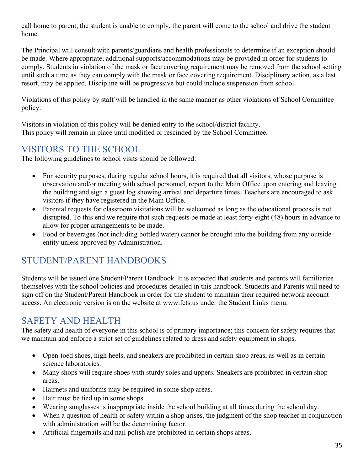call home to parent, the student is unable to comply, the parent will come to the school and drive the student home.

The Principal will consult with parents/guardians and health professionals to determine if an exception should be made. Where appropriate, additional supports/accommodations may be provided in order for students to comply. Students in violation of the mask or face covering requirement may be removed from the school setting until such a time as they can comply with the mask or face covering requirement. Disciplinary action, as a last resort, may be applied. Discipline will be progressive but could include suspension from school.

Violations of this policy by staff will be handled in the same manner as other violations of School Committee policy.

Visitors in violation of this policy will be denied entry to the school/district facility. This policy will remain in place until modified or rescinded by the School Committee.

### <span id="page-35-0"></span>VISITORS TO THE SCHOOL

The following guidelines to school visits should be followed:

- For security purposes, during regular school hours, it is required that all visitors, whose purpose is observation and/or meeting with school personnel, report to the Main Office upon entering and leaving the building and sign a guest log showing arrival and departure times. Teachers are encouraged to ask visitors if they have registered in the Main Office.
- Parental requests for classroom visitations will be welcomed as long as the educational process is not disrupted. To this end we require that such requests be made at least forty-eight (48) hours in advance to allow for proper arrangements to be made.
- Food or beverages (not including bottled water) cannot be brought into the building from any outside entity unless approved by Administration.

### <span id="page-35-1"></span>STUDENT/PARENT HANDBOOKS

Students will be issued one Student/Parent Handbook. It is expected that students and parents will familiarize themselves with the school policies and procedures detailed in this handbook. Students and Parents will need to sign off on the Student/Parent Handbook in order for the student to maintain their required network account access. An electronic version is on the website at www.fcts.us under the Student Links menu.

### <span id="page-35-2"></span>SAFETY AND HEALTH

The safety and health of everyone in this school is of primary importance; this concern for safety requires that we maintain and enforce a strict set of guidelines related to dress and safety equipment in shops.

- Open-toed shoes, high heels, and sneakers are prohibited in certain shop areas, as well as in certain science laboratories.
- Many shops will require shoes with sturdy soles and uppers. Sneakers are prohibited in certain shop areas.
- Hairnets and uniforms may be required in some shop areas.
- Hair must be tied up in some shops.
- Wearing sunglasses is inappropriate inside the school building at all times during the school day.
- When a question of health or safety within a shop arises, the judgment of the shop teacher in conjunction with administration will be the determining factor.
- Artificial fingernails and nail polish are prohibited in certain shops areas.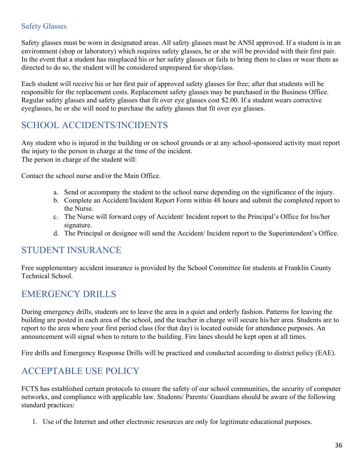### Safety Glasses

Safety glasses must be worn in designated areas. All safety glasses must be ANSI approved. If a student is in an environment (shop or laboratory) which requires safety glasses, he or she will be provided with their first pair. In the event that a student has misplaced his or her safety glasses or fails to bring them to class or wear them as directed to do so, the student will be considered unprepared for shop/class.

Each student will receive his or her first pair of approved safety glasses for free; after that students will be responsible for the replacement costs. Replacement safety glasses may be purchased in the Business Office. Regular safety glasses and safety glasses that fit over eye glasses cost \$2.00. If a student wears corrective eyeglasses, he or she will need to purchase the safety glasses that fit over eye glasses.

# SCHOOL ACCIDENTS/INCIDENTS

Any student who is injured in the building or on school grounds or at any school-sponsored activity must report the injury to the person in charge at the time of the incident. The person in charge of the student will:

Contact the school nurse and/or the Main Office.

- a. Send or accompany the student to the school nurse depending on the significance of the injury.
- b. Complete an Accident/Incident Report Form within 48 hours and submit the completed report to the Nurse.
- c. The Nurse will forward copy of Accident/ Incident report to the Principal's Office for his/her signature.
- d. The Principal or designee will send the Accident/ Incident report to the Superintendent's Office.

# STUDENT INSURANCE

Free supplementary accident insurance is provided by the School Committee for students at Franklin County Technical School.

# EMERGENCY DRILLS

During emergency drills, students are to leave the area in a quiet and orderly fashion. Patterns for leaving the building are posted in each area of the school, and the teacher in charge will secure his/her area. Students are to report to the area where your first period class (for that day) is located outside for attendance purposes. An announcement will signal when to return to the building. Fire lanes should be kept open at all times.

Fire drills and Emergency Response Drills will be practiced and conducted according to district policy (EAE).

# ACCEPTABLE USE POLICY

FCTS has established certain protocols to ensure the safety of our school communities, the security of computer networks, and compliance with applicable law. Students/ Parents/ Guardians should be aware of the following standard practices:

1. Use of the Internet and other electronic resources are only for legitimate educational purposes.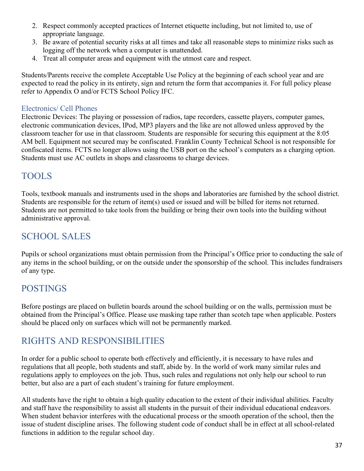- 2. Respect commonly accepted practices of Internet etiquette including, but not limited to, use of appropriate language.
- 3. Be aware of potential security risks at all times and take all reasonable steps to minimize risks such as logging off the network when a computer is unattended.
- 4. Treat all computer areas and equipment with the utmost care and respect.

Students/Parents receive the complete Acceptable Use Policy at the beginning of each school year and are expected to read the policy in its entirety, sign and return the form that accompanies it. For full policy please refer to Appendix O and/or FCTS School Policy IFC.

### Electronics/ Cell Phones

Electronic Devices: The playing or possession of radios, tape recorders, cassette players, computer games, electronic communication devices, IPod, MP3 players and the like are not allowed unless approved by the classroom teacher for use in that classroom. Students are responsible for securing this equipment at the 8:05 AM bell. Equipment not secured may be confiscated. Franklin County Technical School is not responsible for confiscated items. FCTS no longer allows using the USB port on the school's computers as a charging option. Students must use AC outlets in shops and classrooms to charge devices.

# TOOLS

Tools, textbook manuals and instruments used in the shops and laboratories are furnished by the school district. Students are responsible for the return of item(s) used or issued and will be billed for items not returned. Students are not permitted to take tools from the building or bring their own tools into the building without administrative approval.

# SCHOOL SALES

Pupils or school organizations must obtain permission from the Principal's Office prior to conducting the sale of any items in the school building, or on the outside under the sponsorship of the school. This includes fundraisers of any type.

# **POSTINGS**

Before postings are placed on bulletin boards around the school building or on the walls, permission must be obtained from the Principal's Office. Please use masking tape rather than scotch tape when applicable. Posters should be placed only on surfaces which will not be permanently marked.

# RIGHTS AND RESPONSIBILITIES

In order for a public school to operate both effectively and efficiently, it is necessary to have rules and regulations that all people, both students and staff, abide by. In the world of work many similar rules and regulations apply to employees on the job. Thus, such rules and regulations not only help our school to run better, but also are a part of each student's training for future employment.

All students have the right to obtain a high quality education to the extent of their individual abilities. Faculty and staff have the responsibility to assist all students in the pursuit of their individual educational endeavors. When student behavior interferes with the educational process or the smooth operation of the school, then the issue of student discipline arises. The following student code of conduct shall be in effect at all school-related functions in addition to the regular school day.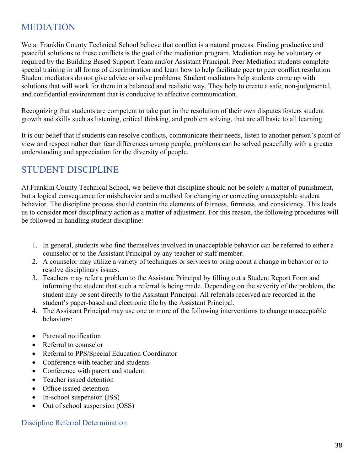# MEDIATION

We at Franklin County Technical School believe that conflict is a natural process. Finding productive and peaceful solutions to these conflicts is the goal of the mediation program. Mediation may be voluntary or required by the Building Based Support Team and/or Assistant Principal. Peer Mediation students complete special training in all forms of discrimination and learn how to help facilitate peer to peer conflict resolution. Student mediators do not give advice or solve problems. Student mediators help students come up with solutions that will work for them in a balanced and realistic way. They help to create a safe, non-judgmental, and confidential environment that is conducive to effective communication.

Recognizing that students are competent to take part in the resolution of their own disputes fosters student growth and skills such as listening, critical thinking, and problem solving, that are all basic to all learning.

It is our belief that if students can resolve conflicts, communicate their needs, listen to another person's point of view and respect rather than fear differences among people, problems can be solved peacefully with a greater understanding and appreciation for the diversity of people.

# STUDENT DISCIPLINE

At Franklin County Technical School, we believe that discipline should not be solely a matter of punishment, but a logical consequence for misbehavior and a method for changing or correcting unacceptable student behavior. The discipline process should contain the elements of fairness, firmness, and consistency. This leads us to consider most disciplinary action as a matter of adjustment. For this reason, the following procedures will be followed in handling student discipline:

- 1. In general, students who find themselves involved in unacceptable behavior can be referred to either a counselor or to the Assistant Principal by any teacher or staff member.
- 2. A counselor may utilize a variety of techniques or services to bring about a change in behavior or to resolve disciplinary issues.
- 3. Teachers may refer a problem to the Assistant Principal by filling out a Student Report Form and informing the student that such a referral is being made. Depending on the severity of the problem, the student may be sent directly to the Assistant Principal. All referrals received are recorded in the student's paper-based and electronic file by the Assistant Principal.
- 4. The Assistant Principal may use one or more of the following interventions to change unacceptable behaviors:
- Parental notification
- Referral to counselor
- Referral to PPS/Special Education Coordinator
- Conference with teacher and students
- Conference with parent and student
- Teacher issued detention
- Office issued detention
- In-school suspension (ISS)
- Out of school suspension (OSS)

### Discipline Referral Determination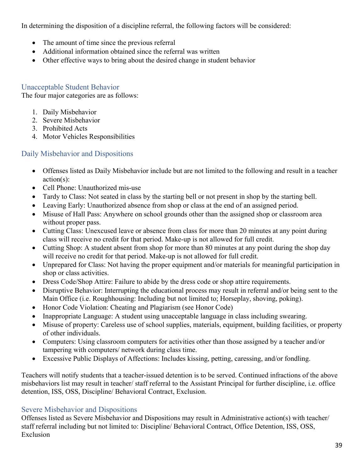In determining the disposition of a discipline referral, the following factors will be considered:

- The amount of time since the previous referral
- Additional information obtained since the referral was written
- Other effective ways to bring about the desired change in student behavior

## Unacceptable Student Behavior

The four major categories are as follows:

- 1. Daily Misbehavior
- 2. Severe Misbehavior
- 3. Prohibited Acts
- 4. Motor Vehicles Responsibilities

## Daily Misbehavior and Dispositions

- Offenses listed as Daily Misbehavior include but are not limited to the following and result in a teacher action(s):
- Cell Phone: Unauthorized mis-use
- Tardy to Class: Not seated in class by the starting bell or not present in shop by the starting bell.
- Leaving Early: Unauthorized absence from shop or class at the end of an assigned period.
- Misuse of Hall Pass: Anywhere on school grounds other than the assigned shop or classroom area without proper pass.
- Cutting Class: Unexcused leave or absence from class for more than 20 minutes at any point during class will receive no credit for that period. Make-up is not allowed for full credit.
- Cutting Shop: A student absent from shop for more than 80 minutes at any point during the shop day will receive no credit for that period. Make-up is not allowed for full credit.
- Unprepared for Class: Not having the proper equipment and/or materials for meaningful participation in shop or class activities.
- Dress Code/Shop Attire: Failure to abide by the dress code or shop attire requirements.
- Disruptive Behavior: Interrupting the educational process may result in referral and/or being sent to the Main Office (i.e. Roughhousing: Including but not limited to; Horseplay, shoving, poking).
- Honor Code Violation: Cheating and Plagiarism (see Honor Code)
- Inappropriate Language: A student using unacceptable language in class including swearing.
- Misuse of property: Careless use of school supplies, materials, equipment, building facilities, or property of other individuals.
- Computers: Using classroom computers for activities other than those assigned by a teacher and/or tampering with computers/ network during class time.
- Excessive Public Displays of Affections: Includes kissing, petting, caressing, and/or fondling.

Teachers will notify students that a teacher-issued detention is to be served. Continued infractions of the above misbehaviors list may result in teacher/ staff referral to the Assistant Principal for further discipline, i.e. office detention, ISS, OSS, Discipline/ Behavioral Contract, Exclusion.

## Severe Misbehavior and Dispositions

Offenses listed as Severe Misbehavior and Dispositions may result in Administrative action(s) with teacher/ staff referral including but not limited to: Discipline/ Behavioral Contract, Office Detention, ISS, OSS, Exclusion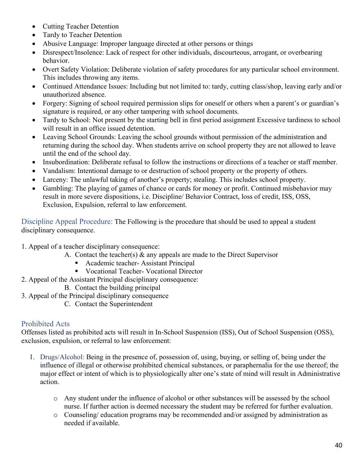- Cutting Teacher Detention
- Tardy to Teacher Detention
- Abusive Language: Improper language directed at other persons or things
- Disrespect/Insolence: Lack of respect for other individuals, discourteous, arrogant, or overbearing behavior.
- Overt Safety Violation: Deliberate violation of safety procedures for any particular school environment. This includes throwing any items.
- Continued Attendance Issues: Including but not limited to: tardy, cutting class/shop, leaving early and/or unauthorized absence.
- Forgery: Signing of school required permission slips for oneself or others when a parent's or guardian's signature is required, or any other tampering with school documents.
- Tardy to School: Not present by the starting bell in first period assignment Excessive tardiness to school will result in an office issued detention.
- Leaving School Grounds: Leaving the school grounds without permission of the administration and returning during the school day. When students arrive on school property they are not allowed to leave until the end of the school day.
- Insubordination: Deliberate refusal to follow the instructions or directions of a teacher or staff member.
- Vandalism: Intentional damage to or destruction of school property or the property of others.
- Larceny: The unlawful taking of another's property; stealing. This includes school property.
- Gambling: The playing of games of chance or cards for money or profit. Continued misbehavior may result in more severe dispositions, i.e. Discipline/ Behavior Contract, loss of credit, ISS, OSS, Exclusion, Expulsion, referral to law enforcement.

Discipline Appeal Procedure: The Following is the procedure that should be used to appeal a student disciplinary consequence.

- 1. Appeal of a teacher disciplinary consequence:
	- A. Contact the teacher(s)  $\&$  any appeals are made to the Direct Supervisor
		- Academic teacher- Assistant Principal
		- Vocational Teacher- Vocational Director
- 2. Appeal of the Assistant Principal disciplinary consequence:
	- B. Contact the building principal
- 3. Appeal of the Principal disciplinary consequence
	- C. Contact the Superintendent

## Prohibited Acts

Offenses listed as prohibited acts will result in In-School Suspension (ISS), Out of School Suspension (OSS), exclusion, expulsion, or referral to law enforcement:

- 1. Drugs/Alcohol: Being in the presence of, possession of, using, buying, or selling of, being under the influence of illegal or otherwise prohibited chemical substances, or paraphernalia for the use thereof; the major effect or intent of which is to physiologically alter one's state of mind will result in Administrative action.
	- o Any student under the influence of alcohol or other substances will be assessed by the school nurse. If further action is deemed necessary the student may be referred for further evaluation.
	- o Counseling/ education programs may be recommended and/or assigned by administration as needed if available.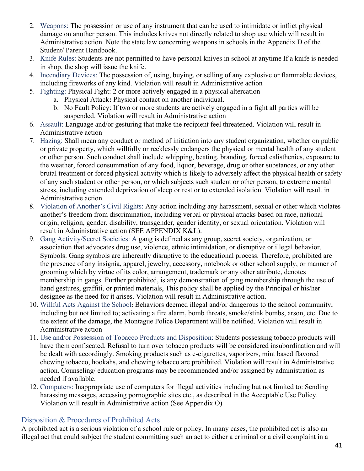- 2. Weapons: The possession or use of any instrument that can be used to intimidate or inflict physical damage on another person. This includes knives not directly related to shop use which will result in Administrative action. Note the state law concerning weapons in schools in the Appendix D of the Student/ Parent Handbook.
- 3. Knife Rules: Students are not permitted to have personal knives in school at anytime If a knife is needed in shop, the shop will issue the knife.
- 4. Incendiary Devices: The possession of, using, buying, or selling of any explosive or flammable devices, including fireworks of any kind. Violation will result in Administrative action
- 5. Fighting: Physical Fight: 2 or more actively engaged in a physical altercation
	- a. Physical Attack**:** Physical contact on another individual.
	- b. No Fault Policy: If two or more students are actively engaged in a fight all parties will be suspended. Violation will result in Administrative action
- 6. Assault: Language and/or gesturing that make the recipient feel threatened. Violation will result in Administrative action
- 7. Hazing: Shall mean any conduct or method of initiation into any student organization, whether on public or private property, which willfully or recklessly endangers the physical or mental health of any student or other person. Such conduct shall include whipping, beating, branding, forced calisthenics, exposure to the weather, forced consummation of any food, liquor, beverage, drug or other substances, or any other brutal treatment or forced physical activity which is likely to adversely affect the physical health or safety of any such student or other person, or which subjects such student or other person, to extreme mental stress, including extended deprivation of sleep or rest or to extended isolation. Violation will result in Administrative action
- 8. Violation of Another's Civil Rights: Any action including any harassment, sexual or other which violates another's freedom from discrimination, including verbal or physical attacks based on race, national origin, religion, gender, disability, transgender, gender identity, or sexual orientation. Violation will result in Administrative action (SEE APPENDIX K&L).
- 9. Gang Activity/Secret Societies: A gang is defined as any group, secret society, organization, or association that advocates drug use, violence, ethnic intimidation, or disruptive or illegal behavior. Symbols: Gang symbols are inherently disruptive to the educational process. Therefore, prohibited are the presence of any insignia, apparel, jewelry, accessory, notebook or other school supply, or manner of grooming which by virtue of its color, arrangement, trademark or any other attribute, denotes membership in gangs. Further prohibited, is any demonstration of gang membership through the use of hand gestures, graffiti, or printed materials, This policy shall be applied by the Principal or his/her designee as the need for it arises. Violation will result in Administrative action.
- 10. Willful Acts Against the School: Behaviors deemed illegal and/or dangerous to the school community, including but not limited to; activating a fire alarm, bomb threats, smoke/stink bombs, arson, etc. Due to the extent of the damage, the Montague Police Department will be notified. Violation will result in Administrative action
- 11. Use and/or Possession of Tobacco Products and Disposition: Students possessing tobacco products will have them confiscated. Refusal to turn over tobacco products will be considered insubordination and will be dealt with accordingly. Smoking products such as e-cigarettes, vaporizers, mint based flavored chewing tobacco, hookahs, and chewing tobacco are prohibited. Violation will result in Administrative action. Counseling/ education programs may be recommended and/or assigned by administration as needed if available.
- 12. Computers: Inappropriate use of computers for illegal activities including but not limited to: Sending harassing messages, accessing pornographic sites etc., as described in the Acceptable Use Policy. Violation will result in Administrative action (See Appendix O)

### Disposition & Procedures of Prohibited Acts

A prohibited act is a serious violation of a school rule or policy. In many cases, the prohibited act is also an illegal act that could subject the student committing such an act to either a criminal or a civil complaint in a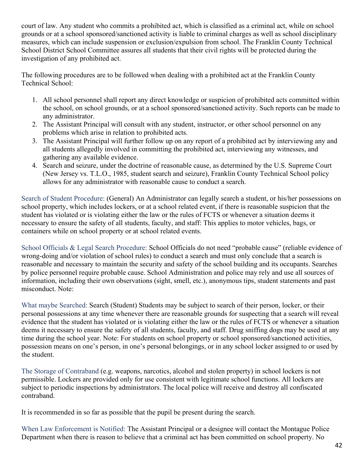court of law. Any student who commits a prohibited act, which is classified as a criminal act, while on school grounds or at a school sponsored/sanctioned activity is liable to criminal charges as well as school disciplinary measures, which can include suspension or exclusion/expulsion from school. The Franklin County Technical School District School Committee assures all students that their civil rights will be protected during the investigation of any prohibited act.

The following procedures are to be followed when dealing with a prohibited act at the Franklin County Technical School:

- 1. All school personnel shall report any direct knowledge or suspicion of prohibited acts committed within the school, on school grounds, or at a school sponsored/sanctioned activity. Such reports can be made to any administrator.
- 2. The Assistant Principal will consult with any student, instructor, or other school personnel on any problems which arise in relation to prohibited acts.
- 3. The Assistant Principal will further follow up on any report of a prohibited act by interviewing any and all students allegedly involved in committing the prohibited act, interviewing any witnesses, and gathering any available evidence.
- 4. Search and seizure, under the doctrine of reasonable cause, as determined by the U.S. Supreme Court (New Jersey vs. T.L.O., 1985, student search and seizure), Franklin County Technical School policy allows for any administrator with reasonable cause to conduct a search.

Search of Student Procedure: (General) An Administrator can legally search a student, or his/her possessions on school property, which includes lockers, or at a school related event, if there is reasonable suspicion that the student has violated or is violating either the law or the rules of FCTS or whenever a situation deems it necessary to ensure the safety of all students, faculty, and staff: This applies to motor vehicles, bags, or containers while on school property or at school related events.

School Officials & Legal Search Procedure: School Officials do not need "probable cause" (reliable evidence of wrong-doing and/or violation of school rules) to conduct a search and must only conclude that a search is reasonable and necessary to maintain the security and safety of the school building and its occupants. Searches by police personnel require probable cause. School Administration and police may rely and use all sources of information, including their own observations (sight, smell, etc.), anonymous tips, student statements and past misconduct. Note:

What maybe Searched: Search (Student) Students may be subject to search of their person, locker, or their personal possessions at any time whenever there are reasonable grounds for suspecting that a search will reveal evidence that the student has violated or is violating either the law or the rules of FCTS or whenever a situation deems it necessary to ensure the safety of all students, faculty, and staff. Drug sniffing dogs may be used at any time during the school year. Note: For students on school property or school sponsored/sanctioned activities, possession means on one's person, in one's personal belongings, or in any school locker assigned to or used by the student.

The Storage of Contraband (e.g. weapons, narcotics, alcohol and stolen property) in school lockers is not permissible. Lockers are provided only for use consistent with legitimate school functions. All lockers are subject to periodic inspections by administrators. The local police will receive and destroy all confiscated contraband.

It is recommended in so far as possible that the pupil be present during the search.

When Law Enforcement is Notified: The Assistant Principal or a designee will contact the Montague Police Department when there is reason to believe that a criminal act has been committed on school property. No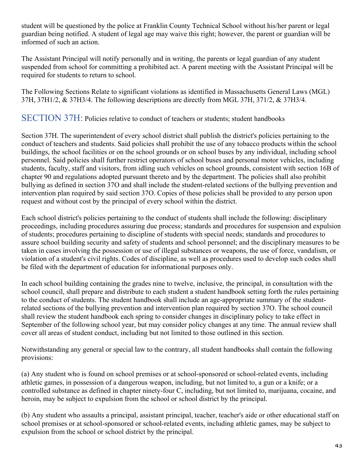student will be questioned by the police at Franklin County Technical School without his/her parent or legal guardian being notified. A student of legal age may waive this right; however, the parent or guardian will be informed of such an action.

The Assistant Principal will notify personally and in writing, the parents or legal guardian of any student suspended from school for committing a prohibited act. A parent meeting with the Assistant Principal will be required for students to return to school.

The Following Sections Relate to significant violations as identified in Massachusetts General Laws (MGL) 37H, 37H1/2, & 37H3/4. The following descriptions are directly from MGL 37H, 371/2, & 37H3/4.

SECTION 37H: Policies relative to conduct of teachers or students; student handbooks

Section 37H. The superintendent of every school district shall publish the district's policies pertaining to the conduct of teachers and students. Said policies shall prohibit the use of any tobacco products within the school buildings, the school facilities or on the school grounds or on school buses by any individual, including school personnel. Said policies shall further restrict operators of school buses and personal motor vehicles, including students, faculty, staff and visitors, from idling such vehicles on school grounds, consistent with section 16B of chapter 90 and regulations adopted pursuant thereto and by the department. The policies shall also prohibit bullying as defined in section 37O and shall include the student-related sections of the bullying prevention and intervention plan required by said section 37O. Copies of these policies shall be provided to any person upon request and without cost by the principal of every school within the district.

Each school district's policies pertaining to the conduct of students shall include the following: disciplinary proceedings, including procedures assuring due process; standards and procedures for suspension and expulsion of students; procedures pertaining to discipline of students with special needs; standards and procedures to assure school building security and safety of students and school personnel; and the disciplinary measures to be taken in cases involving the possession or use of illegal substances or weapons, the use of force, vandalism, or violation of a student's civil rights. Codes of discipline, as well as procedures used to develop such codes shall be filed with the department of education for informational purposes only.

In each school building containing the grades nine to twelve, inclusive, the principal, in consultation with the school council, shall prepare and distribute to each student a student handbook setting forth the rules pertaining to the conduct of students. The student handbook shall include an age-appropriate summary of the studentrelated sections of the bullying prevention and intervention plan required by section 37O. The school council shall review the student handbook each spring to consider changes in disciplinary policy to take effect in September of the following school year, but may consider policy changes at any time. The annual review shall cover all areas of student conduct, including but not limited to those outlined in this section.

Notwithstanding any general or special law to the contrary, all student handbooks shall contain the following provisions:

(a) Any student who is found on school premises or at school-sponsored or school-related events, including athletic games, in possession of a dangerous weapon, including, but not limited to, a gun or a knife; or a controlled substance as defined in chapter ninety-four C, including, but not limited to, marijuana, cocaine, and heroin, may be subject to expulsion from the school or school district by the principal.

(b) Any student who assaults a principal, assistant principal, teacher, teacher's aide or other educational staff on school premises or at school-sponsored or school-related events, including athletic games, may be subject to expulsion from the school or school district by the principal.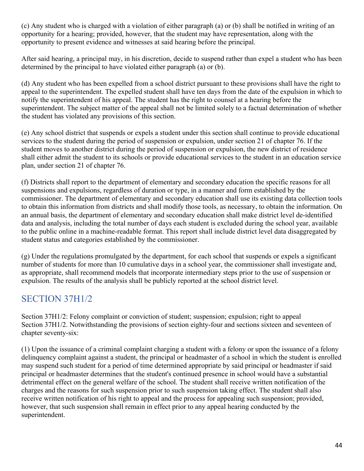(c) Any student who is charged with a violation of either paragraph (a) or (b) shall be notified in writing of an opportunity for a hearing; provided, however, that the student may have representation, along with the opportunity to present evidence and witnesses at said hearing before the principal.

After said hearing, a principal may, in his discretion, decide to suspend rather than expel a student who has been determined by the principal to have violated either paragraph (a) or (b).

(d) Any student who has been expelled from a school district pursuant to these provisions shall have the right to appeal to the superintendent. The expelled student shall have ten days from the date of the expulsion in which to notify the superintendent of his appeal. The student has the right to counsel at a hearing before the superintendent. The subject matter of the appeal shall not be limited solely to a factual determination of whether the student has violated any provisions of this section.

(e) Any school district that suspends or expels a student under this section shall continue to provide educational services to the student during the period of suspension or expulsion, under section 21 of chapter 76. If the student moves to another district during the period of suspension or expulsion, the new district of residence shall either admit the student to its schools or provide educational services to the student in an education service plan, under section 21 of chapter 76.

(f) Districts shall report to the department of elementary and secondary education the specific reasons for all suspensions and expulsions, regardless of duration or type, in a manner and form established by the commissioner. The department of elementary and secondary education shall use its existing data collection tools to obtain this information from districts and shall modify those tools, as necessary, to obtain the information. On an annual basis, the department of elementary and secondary education shall make district level de-identified data and analysis, including the total number of days each student is excluded during the school year, available to the public online in a machine-readable format. This report shall include district level data disaggregated by student status and categories established by the commissioner.

(g) Under the regulations promulgated by the department, for each school that suspends or expels a significant number of students for more than 10 cumulative days in a school year, the commissioner shall investigate and, as appropriate, shall recommend models that incorporate intermediary steps prior to the use of suspension or expulsion. The results of the analysis shall be publicly reported at the school district level.

# SECTION 37H1/2

Section 37H1/2: Felony complaint or conviction of student; suspension; expulsion; right to appeal Section 37H1/2. Notwithstanding the provisions of section eighty-four and sections sixteen and seventeen of chapter seventy-six:

(1) Upon the issuance of a criminal complaint charging a student with a felony or upon the issuance of a felony delinquency complaint against a student, the principal or headmaster of a school in which the student is enrolled may suspend such student for a period of time determined appropriate by said principal or headmaster if said principal or headmaster determines that the student's continued presence in school would have a substantial detrimental effect on the general welfare of the school. The student shall receive written notification of the charges and the reasons for such suspension prior to such suspension taking effect. The student shall also receive written notification of his right to appeal and the process for appealing such suspension; provided, however, that such suspension shall remain in effect prior to any appeal hearing conducted by the superintendent.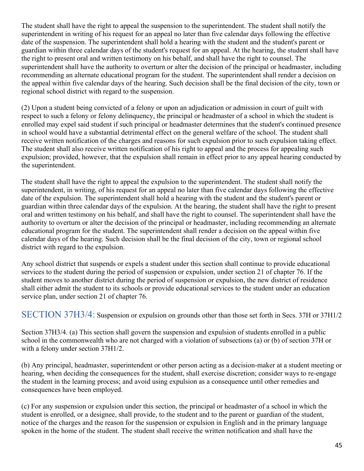The student shall have the right to appeal the suspension to the superintendent. The student shall notify the superintendent in writing of his request for an appeal no later than five calendar days following the effective date of the suspension. The superintendent shall hold a hearing with the student and the student's parent or guardian within three calendar days of the student's request for an appeal. At the hearing, the student shall have the right to present oral and written testimony on his behalf, and shall have the right to counsel. The superintendent shall have the authority to overturn or alter the decision of the principal or headmaster, including recommending an alternate educational program for the student. The superintendent shall render a decision on the appeal within five calendar days of the hearing. Such decision shall be the final decision of the city, town or regional school district with regard to the suspension.

(2) Upon a student being convicted of a felony or upon an adjudication or admission in court of guilt with respect to such a felony or felony delinquency, the principal or headmaster of a school in which the student is enrolled may expel said student if such principal or headmaster determines that the student's continued presence in school would have a substantial detrimental effect on the general welfare of the school. The student shall receive written notification of the charges and reasons for such expulsion prior to such expulsion taking effect. The student shall also receive written notification of his right to appeal and the process for appealing such expulsion; provided, however, that the expulsion shall remain in effect prior to any appeal hearing conducted by the superintendent.

The student shall have the right to appeal the expulsion to the superintendent. The student shall notify the superintendent, in writing, of his request for an appeal no later than five calendar days following the effective date of the expulsion. The superintendent shall hold a hearing with the student and the student's parent or guardian within three calendar days of the expulsion. At the hearing, the student shall have the right to present oral and written testimony on his behalf, and shall have the right to counsel. The superintendent shall have the authority to overturn or alter the decision of the principal or headmaster, including recommending an alternate educational program for the student. The superintendent shall render a decision on the appeal within five calendar days of the hearing. Such decision shall be the final decision of the city, town or regional school district with regard to the expulsion.

Any school district that suspends or expels a student under this section shall continue to provide educational services to the student during the period of suspension or expulsion, under section 21 of chapter 76. If the student moves to another district during the period of suspension or expulsion, the new district of residence shall either admit the student to its schools or provide educational services to the student under an education service plan, under section 21 of chapter 76.

SECTION 37H3/4: Suspension or expulsion on grounds other than those set forth in Secs. 37H or 37H1/2

Section 37H3/4. (a) This section shall govern the suspension and expulsion of students enrolled in a public school in the commonwealth who are not charged with a violation of subsections (a) or (b) of section 37H or with a felony under section 37H1/2.

(b) Any principal, headmaster, superintendent or other person acting as a decision-maker at a student meeting or hearing, when deciding the consequences for the student, shall exercise discretion; consider ways to re-engage the student in the learning process; and avoid using expulsion as a consequence until other remedies and consequences have been employed.

(c) For any suspension or expulsion under this section, the principal or headmaster of a school in which the student is enrolled, or a designee, shall provide, to the student and to the parent or guardian of the student, notice of the charges and the reason for the suspension or expulsion in English and in the primary language spoken in the home of the student. The student shall receive the written notification and shall have the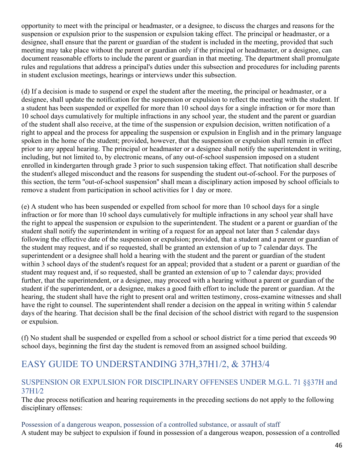opportunity to meet with the principal or headmaster, or a designee, to discuss the charges and reasons for the suspension or expulsion prior to the suspension or expulsion taking effect. The principal or headmaster, or a designee, shall ensure that the parent or guardian of the student is included in the meeting, provided that such meeting may take place without the parent or guardian only if the principal or headmaster, or a designee, can document reasonable efforts to include the parent or guardian in that meeting. The department shall promulgate rules and regulations that address a principal's duties under this subsection and procedures for including parents in student exclusion meetings, hearings or interviews under this subsection.

(d) If a decision is made to suspend or expel the student after the meeting, the principal or headmaster, or a designee, shall update the notification for the suspension or expulsion to reflect the meeting with the student. If a student has been suspended or expelled for more than 10 school days for a single infraction or for more than 10 school days cumulatively for multiple infractions in any school year, the student and the parent or guardian of the student shall also receive, at the time of the suspension or expulsion decision, written notification of a right to appeal and the process for appealing the suspension or expulsion in English and in the primary language spoken in the home of the student; provided, however, that the suspension or expulsion shall remain in effect prior to any appeal hearing. The principal or headmaster or a designee shall notify the superintendent in writing, including, but not limited to, by electronic means, of any out-of-school suspension imposed on a student enrolled in kindergarten through grade 3 prior to such suspension taking effect. That notification shall describe the student's alleged misconduct and the reasons for suspending the student out-of-school. For the purposes of this section, the term ''out-of-school suspension'' shall mean a disciplinary action imposed by school officials to remove a student from participation in school activities for 1 day or more.

(e) A student who has been suspended or expelled from school for more than 10 school days for a single infraction or for more than 10 school days cumulatively for multiple infractions in any school year shall have the right to appeal the suspension or expulsion to the superintendent. The student or a parent or guardian of the student shall notify the superintendent in writing of a request for an appeal not later than 5 calendar days following the effective date of the suspension or expulsion; provided, that a student and a parent or guardian of the student may request, and if so requested, shall be granted an extension of up to 7 calendar days. The superintendent or a designee shall hold a hearing with the student and the parent or guardian of the student within 3 school days of the student's request for an appeal; provided that a student or a parent or guardian of the student may request and, if so requested, shall be granted an extension of up to 7 calendar days; provided further, that the superintendent, or a designee, may proceed with a hearing without a parent or guardian of the student if the superintendent, or a designee, makes a good faith effort to include the parent or guardian. At the hearing, the student shall have the right to present oral and written testimony, cross-examine witnesses and shall have the right to counsel. The superintendent shall render a decision on the appeal in writing within 5 calendar days of the hearing. That decision shall be the final decision of the school district with regard to the suspension or expulsion.

(f) No student shall be suspended or expelled from a school or school district for a time period that exceeds 90 school days, beginning the first day the student is removed from an assigned school building.

# EASY GUIDE TO UNDERSTANDING 37H,37H1/2, & 37H3/4

### SUSPENSION OR EXPULSION FOR DISCIPLINARY OFFENSES UNDER M.G.L. 71 §§37H and 37H1⁄2

The due process notification and hearing requirements in the preceding sections do not apply to the following disciplinary offenses:

Possession of a dangerous weapon, possession of a controlled substance, or assault of staff A student may be subject to expulsion if found in possession of a dangerous weapon, possession of a controlled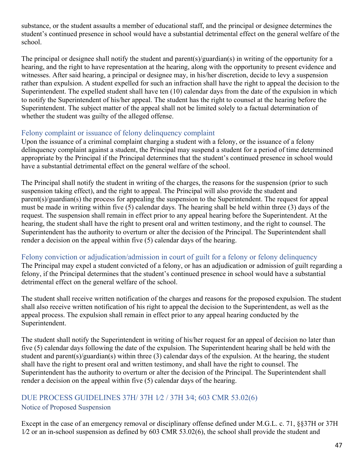substance, or the student assaults a member of educational staff, and the principal or designee determines the student's continued presence in school would have a substantial detrimental effect on the general welfare of the school.

The principal or designee shall notify the student and parent(s)/guardian(s) in writing of the opportunity for a hearing, and the right to have representation at the hearing, along with the opportunity to present evidence and witnesses. After said hearing, a principal or designee may, in his/her discretion, decide to levy a suspension rather than expulsion. A student expelled for such an infraction shall have the right to appeal the decision to the Superintendent. The expelled student shall have ten (10) calendar days from the date of the expulsion in which to notify the Superintendent of his/her appeal. The student has the right to counsel at the hearing before the Superintendent. The subject matter of the appeal shall not be limited solely to a factual determination of whether the student was guilty of the alleged offense.

### Felony complaint or issuance of felony delinquency complaint

Upon the issuance of a criminal complaint charging a student with a felony, or the issuance of a felony delinquency complaint against a student, the Principal may suspend a student for a period of time determined appropriate by the Principal if the Principal determines that the student's continued presence in school would have a substantial detrimental effect on the general welfare of the school.

The Principal shall notify the student in writing of the charges, the reasons for the suspension (prior to such suspension taking effect), and the right to appeal. The Principal will also provide the student and parent(s)/guardian(s) the process for appealing the suspension to the Superintendent. The request for appeal must be made in writing within five (5) calendar days. The hearing shall be held within three (3) days of the request. The suspension shall remain in effect prior to any appeal hearing before the Superintendent. At the hearing, the student shall have the right to present oral and written testimony, and the right to counsel. The Superintendent has the authority to overturn or alter the decision of the Principal. The Superintendent shall render a decision on the appeal within five (5) calendar days of the hearing.

## Felony conviction or adjudication/admission in court of guilt for a felony or felony delinquency

The Principal may expel a student convicted of a felony, or has an adjudication or admission of guilt regarding a felony, if the Principal determines that the student's continued presence in school would have a substantial detrimental effect on the general welfare of the school.

The student shall receive written notification of the charges and reasons for the proposed expulsion. The student shall also receive written notification of his right to appeal the decision to the Superintendent, as well as the appeal process. The expulsion shall remain in effect prior to any appeal hearing conducted by the Superintendent.

The student shall notify the Superintendent in writing of his/her request for an appeal of decision no later than five (5) calendar days following the date of the expulsion. The Superintendent hearing shall be held with the student and parent(s)/guardian(s) within three (3) calendar days of the expulsion. At the hearing, the student shall have the right to present oral and written testimony, and shall have the right to counsel. The Superintendent has the authority to overturn or alter the decision of the Principal. The Superintendent shall render a decision on the appeal within five (5) calendar days of the hearing.

## DUE PROCESS GUIDELINES 37H/ 37H 1⁄2 / 37H 3⁄4; 603 CMR 53.02(6) Notice of Proposed Suspension

Except in the case of an emergency removal or disciplinary offense defined under M.G.L. c. 71, §§37H or 37H 1⁄2 or an in-school suspension as defined by 603 CMR 53.02(6), the school shall provide the student and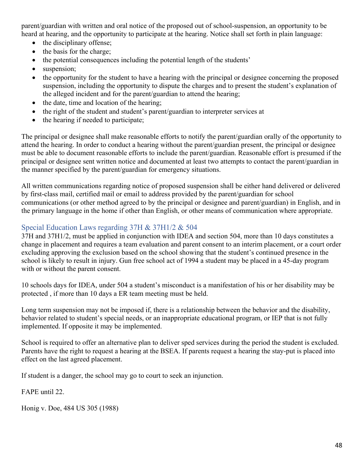parent/guardian with written and oral notice of the proposed out of school-suspension, an opportunity to be heard at hearing, and the opportunity to participate at the hearing. Notice shall set forth in plain language:

- the disciplinary offense;
- the basis for the charge;
- the potential consequences including the potential length of the students'
- suspension;
- the opportunity for the student to have a hearing with the principal or designee concerning the proposed suspension, including the opportunity to dispute the charges and to present the student's explanation of the alleged incident and for the parent/guardian to attend the hearing;
- the date, time and location of the hearing;
- the right of the student and student's parent/guardian to interpreter services at
- the hearing if needed to participate;

The principal or designee shall make reasonable efforts to notify the parent/guardian orally of the opportunity to attend the hearing. In order to conduct a hearing without the parent/guardian present, the principal or designee must be able to document reasonable efforts to include the parent/guardian. Reasonable effort is presumed if the principal or designee sent written notice and documented at least two attempts to contact the parent/guardian in the manner specified by the parent/guardian for emergency situations.

All written communications regarding notice of proposed suspension shall be either hand delivered or delivered by first-class mail, certified mail or email to address provided by the parent/guardian for school communications (or other method agreed to by the principal or designee and parent/guardian) in English, and in the primary language in the home if other than English, or other means of communication where appropriate.

### Special Education Laws regarding 37H & 37H1/2 & 504

37H and 37H1/2, must be applied in conjunction with IDEA and section 504, more than 10 days constitutes a change in placement and requires a team evaluation and parent consent to an interim placement, or a court order excluding approving the exclusion based on the school showing that the student's continued presence in the school is likely to result in injury. Gun free school act of 1994 a student may be placed in a 45-day program with or without the parent consent.

10 schools days for IDEA, under 504 a student's misconduct is a manifestation of his or her disability may be protected , if more than 10 days a ER team meeting must be held.

Long term suspension may not be imposed if, there is a relationship between the behavior and the disability, behavior related to student's special needs, or an inappropriate educational program, or IEP that is not fully implemented. If opposite it may be implemented.

School is required to offer an alternative plan to deliver sped services during the period the student is excluded. Parents have the right to request a hearing at the BSEA. If parents request a hearing the stay-put is placed into effect on the last agreed placement.

If student is a danger, the school may go to court to seek an injunction.

FAPE until 22.

Honig v. Doe, 484 US 305 (1988)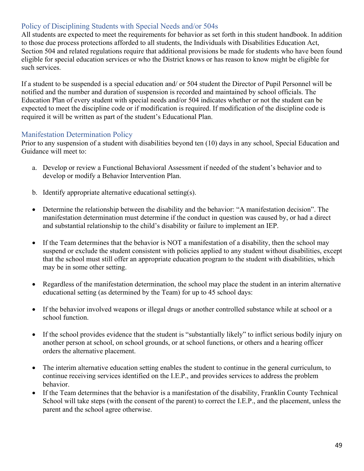### Policy of Disciplining Students with Special Needs and/or 504s

All students are expected to meet the requirements for behavior as set forth in this student handbook. In addition to those due process protections afforded to all students, the Individuals with Disabilities Education Act, Section 504 and related regulations require that additional provisions be made for students who have been found eligible for special education services or who the District knows or has reason to know might be eligible for such services.

If a student to be suspended is a special education and/ or 504 student the Director of Pupil Personnel will be notified and the number and duration of suspension is recorded and maintained by school officials. The Education Plan of every student with special needs and/or 504 indicates whether or not the student can be expected to meet the discipline code or if modification is required. If modification of the discipline code is required it will be written as part of the student's Educational Plan.

### Manifestation Determination Policy

Prior to any suspension of a student with disabilities beyond ten (10) days in any school, Special Education and Guidance will meet to:

- a. Develop or review a Functional Behavioral Assessment if needed of the student's behavior and to develop or modify a Behavior Intervention Plan.
- b. Identify appropriate alternative educational setting(s).
- Determine the relationship between the disability and the behavior: "A manifestation decision". The manifestation determination must determine if the conduct in question was caused by, or had a direct and substantial relationship to the child's disability or failure to implement an IEP.
- If the Team determines that the behavior is NOT a manifestation of a disability, then the school may suspend or exclude the student consistent with policies applied to any student without disabilities, except that the school must still offer an appropriate education program to the student with disabilities, which may be in some other setting.
- Regardless of the manifestation determination, the school may place the student in an interim alternative educational setting (as determined by the Team) for up to 45 school days:
- If the behavior involved weapons or illegal drugs or another controlled substance while at school or a school function.
- If the school provides evidence that the student is "substantially likely" to inflict serious bodily injury on another person at school, on school grounds, or at school functions, or others and a hearing officer orders the alternative placement.
- The interim alternative education setting enables the student to continue in the general curriculum, to continue receiving services identified on the I.E.P., and provides services to address the problem behavior.
- If the Team determines that the behavior is a manifestation of the disability, Franklin County Technical School will take steps (with the consent of the parent) to correct the I.E.P., and the placement, unless the parent and the school agree otherwise.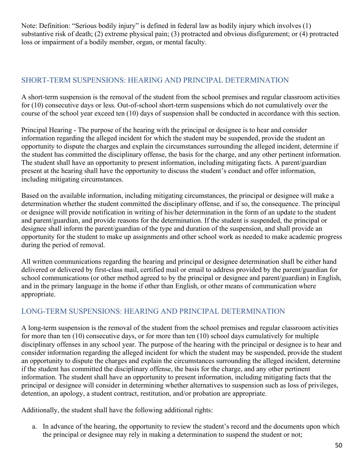Note: Definition: "Serious bodily injury" is defined in federal law as bodily injury which involves (1) substantive risk of death; (2) extreme physical pain; (3) protracted and obvious disfigurement; or (4) protracted loss or impairment of a bodily member, organ, or mental faculty.

## SHORT-TERM SUSPENSIONS: HEARING AND PRINCIPAL DETERMINATION

A short-term suspension is the removal of the student from the school premises and regular classroom activities for (10) consecutive days or less. Out-of-school short-term suspensions which do not cumulatively over the course of the school year exceed ten (10) days of suspension shall be conducted in accordance with this section.

Principal Hearing - The purpose of the hearing with the principal or designee is to hear and consider information regarding the alleged incident for which the student may be suspended, provide the student an opportunity to dispute the charges and explain the circumstances surrounding the alleged incident, determine if the student has committed the disciplinary offense, the basis for the charge, and any other pertinent information. The student shall have an opportunity to present information, including mitigating facts. A parent/guardian present at the hearing shall have the opportunity to discuss the student's conduct and offer information, including mitigating circumstances.

Based on the available information, including mitigating circumstances, the principal or designee will make a determination whether the student committed the disciplinary offense, and if so, the consequence. The principal or designee will provide notification in writing of his/her determination in the form of an update to the student and parent/guardian, and provide reasons for the determination. If the student is suspended, the principal or designee shall inform the parent/guardian of the type and duration of the suspension, and shall provide an opportunity for the student to make up assignments and other school work as needed to make academic progress during the period of removal.

All written communications regarding the hearing and principal or designee determination shall be either hand delivered or delivered by first-class mail, certified mail or email to address provided by the parent/guardian for school communications (or other method agreed to by the principal or designee and parent/guardian) in English, and in the primary language in the home if other than English, or other means of communication where appropriate.

## LONG-TERM SUSPENSIONS: HEARING AND PRINCIPAL DETERMINATION

A long-term suspension is the removal of the student from the school premises and regular classroom activities for more than ten (10) consecutive days, or for more than ten (10) school days cumulatively for multiple disciplinary offenses in any school year. The purpose of the hearing with the principal or designee is to hear and consider information regarding the alleged incident for which the student may be suspended, provide the student an opportunity to dispute the charges and explain the circumstances surrounding the alleged incident, determine if the student has committed the disciplinary offense, the basis for the charge, and any other pertinent information. The student shall have an opportunity to present information, including mitigating facts that the principal or designee will consider in determining whether alternatives to suspension such as loss of privileges, detention, an apology, a student contract, restitution, and/or probation are appropriate.

Additionally, the student shall have the following additional rights:

a. In advance of the hearing, the opportunity to review the student's record and the documents upon which the principal or designee may rely in making a determination to suspend the student or not;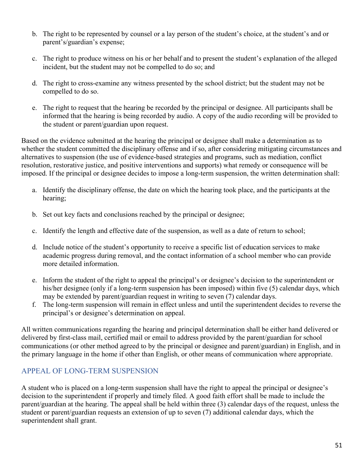- b. The right to be represented by counsel or a lay person of the student's choice, at the student's and or parent's/guardian's expense;
- c. The right to produce witness on his or her behalf and to present the student's explanation of the alleged incident, but the student may not be compelled to do so; and
- d. The right to cross-examine any witness presented by the school district; but the student may not be compelled to do so.
- e. The right to request that the hearing be recorded by the principal or designee. All participants shall be informed that the hearing is being recorded by audio. A copy of the audio recording will be provided to the student or parent/guardian upon request.

Based on the evidence submitted at the hearing the principal or designee shall make a determination as to whether the student committed the disciplinary offense and if so, after considering mitigating circumstances and alternatives to suspension (the use of evidence-based strategies and programs, such as mediation, conflict resolution, restorative justice, and positive interventions and supports) what remedy or consequence will be imposed. If the principal or designee decides to impose a long-term suspension, the written determination shall:

- a. Identify the disciplinary offense, the date on which the hearing took place, and the participants at the hearing;
- b. Set out key facts and conclusions reached by the principal or designee;
- c. Identify the length and effective date of the suspension, as well as a date of return to school;
- d. Include notice of the student's opportunity to receive a specific list of education services to make academic progress during removal, and the contact information of a school member who can provide more detailed information.
- e. Inform the student of the right to appeal the principal's or designee's decision to the superintendent or his/her designee (only if a long-term suspension has been imposed) within five (5) calendar days, which may be extended by parent/guardian request in writing to seven (7) calendar days.
- f. The long-term suspension will remain in effect unless and until the superintendent decides to reverse the principal's or designee's determination on appeal.

All written communications regarding the hearing and principal determination shall be either hand delivered or delivered by first-class mail, certified mail or email to address provided by the parent/guardian for school communications (or other method agreed to by the principal or designee and parent/guardian) in English, and in the primary language in the home if other than English, or other means of communication where appropriate.

## APPEAL OF LONG-TERM SUSPENSION

A student who is placed on a long-term suspension shall have the right to appeal the principal or designee's decision to the superintendent if properly and timely filed. A good faith effort shall be made to include the parent/guardian at the hearing. The appeal shall be held within three (3) calendar days of the request, unless the student or parent/guardian requests an extension of up to seven (7) additional calendar days, which the superintendent shall grant.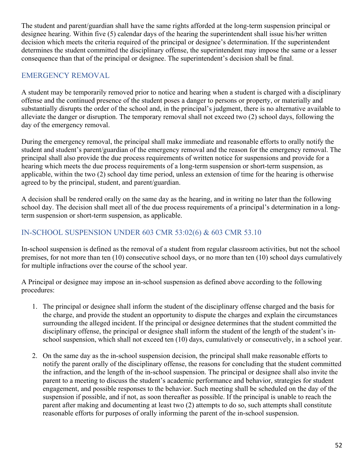The student and parent/guardian shall have the same rights afforded at the long-term suspension principal or designee hearing. Within five (5) calendar days of the hearing the superintendent shall issue his/her written decision which meets the criteria required of the principal or designee's determination. If the superintendent determines the student committed the disciplinary offense, the superintendent may impose the same or a lesser consequence than that of the principal or designee. The superintendent's decision shall be final.

## EMERGENCY REMOVAL

A student may be temporarily removed prior to notice and hearing when a student is charged with a disciplinary offense and the continued presence of the student poses a danger to persons or property, or materially and substantially disrupts the order of the school and, in the principal's judgment, there is no alternative available to alleviate the danger or disruption. The temporary removal shall not exceed two (2) school days, following the day of the emergency removal.

During the emergency removal, the principal shall make immediate and reasonable efforts to orally notify the student and student's parent/guardian of the emergency removal and the reason for the emergency removal. The principal shall also provide the due process requirements of written notice for suspensions and provide for a hearing which meets the due process requirements of a long-term suspension or short-term suspension, as applicable, within the two (2) school day time period, unless an extension of time for the hearing is otherwise agreed to by the principal, student, and parent/guardian.

A decision shall be rendered orally on the same day as the hearing, and in writing no later than the following school day. The decision shall meet all of the due process requirements of a principal's determination in a longterm suspension or short-term suspension, as applicable.

## IN-SCHOOL SUSPENSION UNDER 603 CMR 53:02(6) & 603 CMR 53.10

In-school suspension is defined as the removal of a student from regular classroom activities, but not the school premises, for not more than ten (10) consecutive school days, or no more than ten (10) school days cumulatively for multiple infractions over the course of the school year.

A Principal or designee may impose an in-school suspension as defined above according to the following procedures:

- 1. The principal or designee shall inform the student of the disciplinary offense charged and the basis for the charge, and provide the student an opportunity to dispute the charges and explain the circumstances surrounding the alleged incident. If the principal or designee determines that the student committed the disciplinary offense, the principal or designee shall inform the student of the length of the student's inschool suspension, which shall not exceed ten (10) days, cumulatively or consecutively, in a school year.
- 2. On the same day as the in-school suspension decision, the principal shall make reasonable efforts to notify the parent orally of the disciplinary offense, the reasons for concluding that the student committed the infraction, and the length of the in-school suspension. The principal or designee shall also invite the parent to a meeting to discuss the student's academic performance and behavior, strategies for student engagement, and possible responses to the behavior. Such meeting shall be scheduled on the day of the suspension if possible, and if not, as soon thereafter as possible. If the principal is unable to reach the parent after making and documenting at least two (2) attempts to do so, such attempts shall constitute reasonable efforts for purposes of orally informing the parent of the in-school suspension.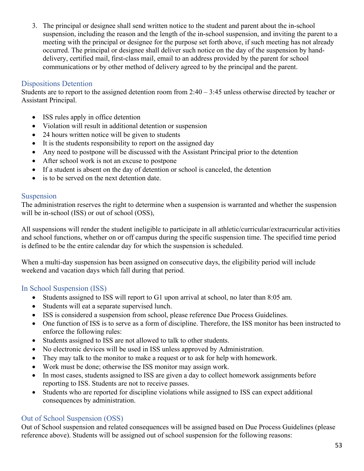3. The principal or designee shall send written notice to the student and parent about the in-school suspension, including the reason and the length of the in-school suspension, and inviting the parent to a meeting with the principal or designee for the purpose set forth above, if such meeting has not already occurred. The principal or designee shall deliver such notice on the day of the suspension by handdelivery, certified mail, first-class mail, email to an address provided by the parent for school communications or by other method of delivery agreed to by the principal and the parent.

### Dispositions Detention

Students are to report to the assigned detention room from 2:40 – 3:45 unless otherwise directed by teacher or Assistant Principal.

- ISS rules apply in office detention
- Violation will result in additional detention or suspension
- 24 hours written notice will be given to students
- It is the students responsibility to report on the assigned day
- Any need to postpone will be discussed with the Assistant Principal prior to the detention
- After school work is not an excuse to postpone
- If a student is absent on the day of detention or school is canceled, the detention
- is to be served on the next detention date.

#### Suspension

The administration reserves the right to determine when a suspension is warranted and whether the suspension will be in-school (ISS) or out of school (OSS),

All suspensions will render the student ineligible to participate in all athletic/curricular/extracurricular activities and school functions, whether on or off campus during the specific suspension time. The specified time period is defined to be the entire calendar day for which the suspension is scheduled.

When a multi-day suspension has been assigned on consecutive days, the eligibility period will include weekend and vacation days which fall during that period.

### In School Suspension (ISS)

- Students assigned to ISS will report to G1 upon arrival at school, no later than 8:05 am.
- Students will eat a separate supervised lunch.
- ISS is considered a suspension from school, please reference Due Process Guidelines.
- One function of ISS is to serve as a form of discipline. Therefore, the ISS monitor has been instructed to enforce the following rules:
- Students assigned to ISS are not allowed to talk to other students.
- No electronic devices will be used in ISS unless approved by Administration.
- They may talk to the monitor to make a request or to ask for help with homework.
- Work must be done; otherwise the ISS monitor may assign work.
- In most cases, students assigned to ISS are given a day to collect homework assignments before reporting to ISS. Students are not to receive passes.
- Students who are reported for discipline violations while assigned to ISS can expect additional consequences by administration.

### Out of School Suspension (OSS)

Out of School suspension and related consequences will be assigned based on Due Process Guidelines (please reference above). Students will be assigned out of school suspension for the following reasons: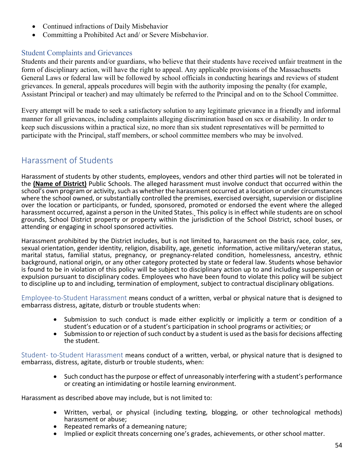- Continued infractions of Daily Misbehavior
- Committing a Prohibited Act and/ or Severe Misbehavior.

## Student Complaints and Grievances

Students and their parents and/or guardians, who believe that their students have received unfair treatment in the form of disciplinary action, will have the right to appeal. Any applicable provisions of the Massachusetts General Laws or federal law will be followed by school officials in conducting hearings and reviews of student grievances. In general, appeals procedures will begin with the authority imposing the penalty (for example, Assistant Principal or teacher) and may ultimately be referred to the Principal and on to the School Committee.

Every attempt will be made to seek a satisfactory solution to any legitimate grievance in a friendly and informal manner for all grievances, including complaints alleging discrimination based on sex or disability. In order to keep such discussions within a practical size, no more than six student representatives will be permitted to participate with the Principal, staff members, or school committee members who may be involved.

# Harassment of Students

Harassment of students by other students, employees, vendors and other third parties will not be tolerated in the **(Name of District)** Public Schools. The alleged harassment must involve conduct that occurred within the school's own program or activity, such as whether the harassment occurred at a location or under circumstances where the school owned, or substantially controlled the premises, exercised oversight, supervision or discipline over the location or participants, or funded, sponsored, promoted or endorsed the event where the alleged harassment occurred, against a person in the United States. This policy is in effect while students are on school grounds, School District property or property within the jurisdiction of the School District, school buses, or attending or engaging in school sponsored activities.

Harassment prohibited by the District includes, but is not limited to, harassment on the basis race, color, sex, sexual orientation, gender identity, religion, disability, age, genetic information, active military/veteran status, marital status, familial status, pregnancy, or pregnancy-related condition, homelessness, ancestry, ethnic background, national origin, or any other category protected by state or federal law. Students whose behavior is found to be in violation of this policy will be subject to disciplinary action up to and including suspension or expulsion pursuant to disciplinary codes. Employees who have been found to violate this policy will be subject to discipline up to and including, termination of employment, subject to contractual disciplinary obligations.

Employee-to-Student Harassment means conduct of a written, verbal or physical nature that is designed to embarrass distress, agitate, disturb or trouble students when:

- Submission to such conduct is made either explicitly or implicitly a term or condition of a student's participation in school programs or activities; or
- Submission to or rejection of such conduct by a student is used as the basis for decisions affecting the student.

Student- to-Student Harassment means conduct of a written, verbal, or physical nature that is designed to embarrass, distress, agitate, disturb or trouble students, when:

• Such conduct has the purpose or effect of unreasonably interfering with a student's performance or creating an intimidating or hostile learning environment.

Harassment as described above may include, but is not limited to:

- Written, verbal, or physical (including texting, blogging, or other technological methods) harassment or abuse;
- Repeated remarks of a demeaning nature;
- Implied or explicit threats concerning one's grades, achievements, or other school matter.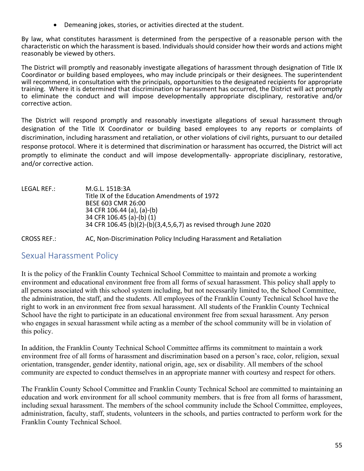• Demeaning jokes, stories, or activities directed at the student.

By law, what constitutes harassment is determined from the perspective of a reasonable person with the characteristic on which the harassment is based. Individuals should consider how their words and actions might reasonably be viewed by others.

The District will promptly and reasonably investigate allegations of harassment through designation of Title IX Coordinator or building based employees, who may include principals or their designees. The superintendent will recommend, in consultation with the principals, opportunities to the designated recipients for appropriate training. Where it is determined that discrimination or harassment has occurred, the District will act promptly to eliminate the conduct and will impose developmentally appropriate disciplinary, restorative and/or corrective action.

The District will respond promptly and reasonably investigate allegations of sexual harassment through designation of the Title IX Coordinator or building based employees to any reports or complaints of discrimination, including harassment and retaliation, or other violations of civil rights, pursuant to our detailed response protocol. Where it is determined that discrimination or harassment has occurred, the District will act promptly to eliminate the conduct and will impose developmentally- appropriate disciplinary, restorative, and/or corrective action.

| LEGAL REF.: | M.G.L. 151B:3A<br>Title IX of the Education Amendments of 1972<br>BESE 603 CMR 26:00<br>34 CFR 106.44 (a), (a)-(b)<br>34 CFR 106.45 (a)-(b) (1)<br>34 CFR 106.45 (b)(2)-(b)(3,4,5,6,7) as revised through June 2020 |
|-------------|---------------------------------------------------------------------------------------------------------------------------------------------------------------------------------------------------------------------|
| CROSS REF.: | AC, Non-Discrimination Policy Including Harassment and Retaliation                                                                                                                                                  |

# Sexual Harassment Policy

It is the policy of the Franklin County Technical School Committee to maintain and promote a working environment and educational environment free from all forms of sexual harassment. This policy shall apply to all persons associated with this school system including, but not necessarily limited to, the School Committee, the administration, the staff, and the students. All employees of the Franklin County Technical School have the right to work in an environment free from sexual harassment. All students of the Franklin County Technical School have the right to participate in an educational environment free from sexual harassment. Any person who engages in sexual harassment while acting as a member of the school community will be in violation of this policy.

In addition, the Franklin County Technical School Committee affirms its commitment to maintain a work environment free of all forms of harassment and discrimination based on a person's race, color, religion, sexual orientation, transgender, gender identity, national origin, age, sex or disability. All members of the school community are expected to conduct themselves in an appropriate manner with courtesy and respect for others.

The Franklin County School Committee and Franklin County Technical School are committed to maintaining an education and work environment for all school community members. that is free from all forms of harassment, including sexual harassment. The members of the school community include the School Committee, employees, administration, faculty, staff, students, volunteers in the schools, and parties contracted to perform work for the Franklin County Technical School.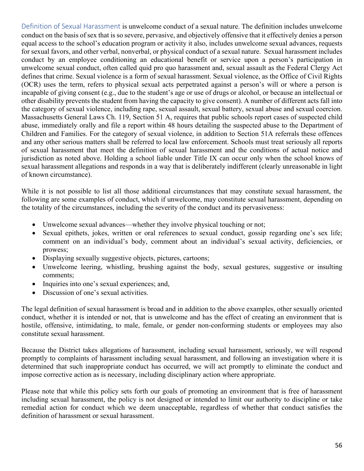Definition of Sexual Harassment is unwelcome conduct of a sexual nature. The definition includes unwelcome conduct on the basis of sex that is so severe, pervasive, and objectively offensive that it effectively denies a person equal access to the school's education program or activity it also, includes unwelcome sexual advances, requests for sexual favors, and other verbal, nonverbal, or physical conduct of a sexual nature. Sexual harassment includes conduct by an employee conditioning an educational benefit or service upon a person's participation in unwelcome sexual conduct, often called quid pro quo harassment and, sexual assault as the Federal Clergy Act defines that crime. Sexual violence is a form of sexual harassment. Sexual violence, as the Office of Civil Rights (OCR) uses the term, refers to physical sexual acts perpetrated against a person's will or where a person is incapable of giving consent (e.g., due to the student's age or use of drugs or alcohol, or because an intellectual or other disability prevents the student from having the capacity to give consent). A number of different acts fall into the category of sexual violence, including rape, sexual assault, sexual battery, sexual abuse and sexual coercion. Massachusetts General Laws Ch. 119, Section 51 A, requires that public schools report cases of suspected child abuse, immediately orally and file a report within 48 hours detailing the suspected abuse to the Department of Children and Families. For the category of sexual violence, in addition to Section 51A referrals these offences and any other serious matters shall be referred to local law enforcement. Schools must treat seriously all reports of sexual harassment that meet the definition of sexual harassment and the conditions of actual notice and jurisdiction as noted above. Holding a school liable under Title IX can occur only when the school knows of sexual harassment allegations and responds in a way that is deliberately indifferent (clearly unreasonable in light of known circumstance).

While it is not possible to list all those additional circumstances that may constitute sexual harassment, the following are some examples of conduct, which if unwelcome, may constitute sexual harassment, depending on the totality of the circumstances, including the severity of the conduct and its pervasiveness:

- Unwelcome sexual advances—whether they involve physical touching or not;
- Sexual epithets, jokes, written or oral references to sexual conduct, gossip regarding one's sex life; comment on an individual's body, comment about an individual's sexual activity, deficiencies, or prowess;
- Displaying sexually suggestive objects, pictures, cartoons;
- Unwelcome leering, whistling, brushing against the body, sexual gestures, suggestive or insulting comments;
- Inquiries into one's sexual experiences; and,
- Discussion of one's sexual activities.

The legal definition of sexual harassment is broad and in addition to the above examples, other sexually oriented conduct, whether it is intended or not, that is unwelcome and has the effect of creating an environment that is hostile, offensive, intimidating, to male, female, or gender non-conforming students or employees may also constitute sexual harassment.

Because the District takes allegations of harassment, including sexual harassment, seriously, we will respond promptly to complaints of harassment including sexual harassment, and following an investigation where it is determined that such inappropriate conduct has occurred, we will act promptly to eliminate the conduct and impose corrective action as is necessary, including disciplinary action where appropriate.

Please note that while this policy sets forth our goals of promoting an environment that is free of harassment including sexual harassment, the policy is not designed or intended to limit our authority to discipline or take remedial action for conduct which we deem unacceptable, regardless of whether that conduct satisfies the definition of harassment or sexual harassment.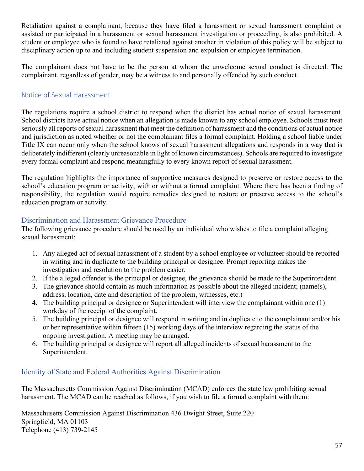Retaliation against a complainant, because they have filed a harassment or sexual harassment complaint or assisted or participated in a harassment or sexual harassment investigation or proceeding, is also prohibited. A student or employee who is found to have retaliated against another in violation of this policy will be subject to disciplinary action up to and including student suspension and expulsion or employee termination.

The complainant does not have to be the person at whom the unwelcome sexual conduct is directed. The complainant, regardless of gender, may be a witness to and personally offended by such conduct.

### Notice of Sexual Harassment

The regulations require a school district to respond when the district has actual notice of sexual harassment. School districts have actual notice when an allegation is made known to any school employee. Schools must treat seriously all reports of sexual harassment that meet the definition of harassment and the conditions of actual notice and jurisdiction as noted whether or not the complainant files a formal complaint. Holding a school liable under Title IX can occur only when the school knows of sexual harassment allegations and responds in a way that is deliberately indifferent (clearly unreasonable in light of known circumstances). Schools are required to investigate every formal complaint and respond meaningfully to every known report of sexual harassment.

The regulation highlights the importance of supportive measures designed to preserve or restore access to the school's education program or activity, with or without a formal complaint. Where there has been a finding of responsibility, the regulation would require remedies designed to restore or preserve access to the school's education program or activity.

## Discrimination and Harassment Grievance Procedure

The following grievance procedure should be used by an individual who wishes to file a complaint alleging sexual harassment:

- 1. Any alleged act of sexual harassment of a student by a school employee or volunteer should be reported in writing and in duplicate to the building principal or designee. Prompt reporting makes the investigation and resolution to the problem easier.
- 2. If the alleged offender is the principal or designee, the grievance should be made to the Superintendent.
- 3. The grievance should contain as much information as possible about the alleged incident; (name(s), address, location, date and description of the problem, witnesses, etc.)
- 4. The building principal or designee or Superintendent will interview the complainant within one (1) workday of the receipt of the complaint.
- 5. The building principal or designee will respond in writing and in duplicate to the complainant and/or his or her representative within fifteen (15) working days of the interview regarding the status of the ongoing investigation. A meeting may be arranged.
- 6. The building principal or designee will report all alleged incidents of sexual harassment to the Superintendent.

### Identity of State and Federal Authorities Against Discrimination

The Massachusetts Commission Against Discrimination (MCAD) enforces the state law prohibiting sexual harassment. The MCAD can be reached as follows, if you wish to file a formal complaint with them:

Massachusetts Commission Against Discrimination 436 Dwight Street, Suite 220 Springfield, MA 01103 Telephone (413) 739-2145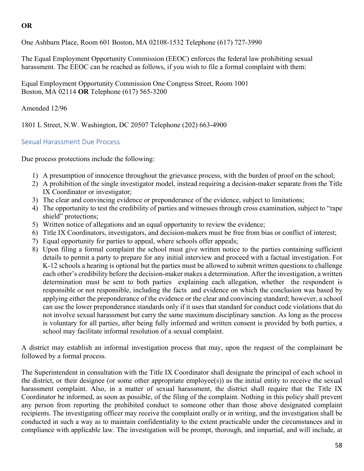**OR** 

One Ashburn Place, Room 601 Boston, MA 02108-1532 Telephone (617) 727-3990

The Equal Employment Opportunity Commission (EEOC) enforces the federal law prohibiting sexual harassment. The EEOC can be reached as follows, if you wish to file a formal complaint with them:

Equal Employment Opportunity Commission One Congress Street, Room 1001 Boston, MA 02114 **OR** Telephone (617) 565-3200

Amended 12/96

1801 L Street, N.W. Washington, DC 20507 Telephone (202) 663-4900

### Sexual Harassment Due Process

Due process protections include the following:

- 1) A presumption of innocence throughout the grievance process, with the burden of proof on the school;
- 2) A prohibition of the single investigator model, instead requiring a decision-maker separate from the Title IX Coordinator or investigator;
- 3) The clear and convincing evidence or preponderance of the evidence, subject to limitations;
- 4) The opportunity to test the credibility of parties and witnesses through cross examination, subject to "rape shield" protections;
- 5) Written notice of allegations and an equal opportunity to review the evidence;
- 6) Title IX Coordinators, investigators, and decision-makers must be free from bias or conflict of interest;
- 7) Equal opportunity for parties to appeal, where schools offer appeals;
- 8) Upon filing a formal complaint the school must give written notice to the parties containing sufficient details to permit a party to prepare for any initial interview and proceed with a factual investigation. For K-12 schools a hearing is optional but the parties must be allowed to submit written questions to challenge each other's credibility before the decision-maker makes a determination. After the investigation, a written determination must be sent to both parties explaining each allegation, whether the respondent is responsible or not responsible, including the facts and evidence on which the conclusion was based by applying either the preponderance of the evidence or the clear and convincing standard; however, a school can use the lower preponderance standards only if it uses that standard for conduct code violations that do not involve sexual harassment but carry the same maximum disciplinary sanction. As long as the process is voluntary for all parties, after being fully informed and written consent is provided by both parties, a school may facilitate informal resolution of a sexual complaint.

A district may establish an informal investigation process that may, upon the request of the complainant be followed by a formal process.

The Superintendent in consultation with the Title IX Coordinator shall designate the principal of each school in the district, or their designee (or some other appropriate employee(s)) as the initial entity to receive the sexual harassment complaint. Also, in a matter of sexual harassment, the district shall require that the Title IX Coordinator be informed, as soon as possible, of the filing of the complaint. Nothing in this policy shall prevent any person from reporting the prohibited conduct to someone other than those above designated complaint recipients. The investigating officer may receive the complaint orally or in writing, and the investigation shall be conducted in such a way as to maintain confidentiality to the extent practicable under the circumstances and in compliance with applicable law. The investigation will be prompt, thorough, and impartial, and will include, at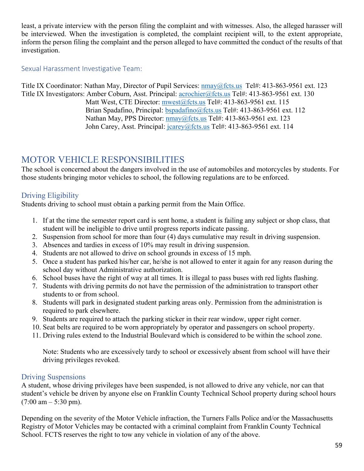least, a private interview with the person filing the complaint and with witnesses. Also, the alleged harasser will be interviewed. When the investigation is completed, the complaint recipient will, to the extent appropriate, inform the person filing the complaint and the person alleged to have committed the conduct of the results of that investigation.

#### Sexual Harassment Investigative Team:

Title IX Coordinator: Nathan May, Director of Pupil Services: [nmay@fcts.us](mailto:nmay@fcts.us) Tel#: 413-863-9561 ext. 123 Title IX Investigators: Amber Coburn, Asst. Principal: [acrochier@fcts.us](mailto:acrochier@fcts.us) Tel#: 413-863-9561 ext. 130 Matt West, CTE Director: [mwest@fcts.us](mailto:mwest@fcts.us) Tel#: 413-863-9561 ext. 115 Brian Spadafino, Principal: [bspadafino@fcts.us](mailto:bspadafino@fcts.us) Tel#: 413-863-9561 ext. 112 Nathan May, PPS Director: [nmay@fcts.us](mailto:nmay@fcts.us) Tel#: 413-863-9561 ext. 123 John Carey, Asst. Principal: [jcarey@fcts.us](mailto:jcarey@fcts.us) Tel#: 413-863-9561 ext. 114

# MOTOR VEHICLE RESPONSIBILITIES

The school is concerned about the dangers involved in the use of automobiles and motorcycles by students. For those students bringing motor vehicles to school, the following regulations are to be enforced.

## Driving Eligibility

Students driving to school must obtain a parking permit from the Main Office.

- 1. If at the time the semester report card is sent home, a student is failing any subject or shop class, that student will be ineligible to drive until progress reports indicate passing.
- 2. Suspension from school for more than four (4) days cumulative may result in driving suspension.
- 3. Absences and tardies in excess of 10% may result in driving suspension.
- 4. Students are not allowed to drive on school grounds in excess of 15 mph.
- 5. Once a student has parked his/her car, he/she is not allowed to enter it again for any reason during the school day without Administrative authorization.
- 6. School buses have the right of way at all times. It is illegal to pass buses with red lights flashing.
- 7. Students with driving permits do not have the permission of the administration to transport other students to or from school.
- 8. Students will park in designated student parking areas only. Permission from the administration is required to park elsewhere.
- 9. Students are required to attach the parking sticker in their rear window, upper right corner.
- 10. Seat belts are required to be worn appropriately by operator and passengers on school property.
- 11. Driving rules extend to the Industrial Boulevard which is considered to be within the school zone.

Note: Students who are excessively tardy to school or excessively absent from school will have their driving privileges revoked.

#### Driving Suspensions

A student, whose driving privileges have been suspended, is not allowed to drive any vehicle, nor can that student's vehicle be driven by anyone else on Franklin County Technical School property during school hours  $(7:00 \text{ am} - 5:30 \text{ pm}).$ 

Depending on the severity of the Motor Vehicle infraction, the Turners Falls Police and/or the Massachusetts Registry of Motor Vehicles may be contacted with a criminal complaint from Franklin County Technical School. FCTS reserves the right to tow any vehicle in violation of any of the above.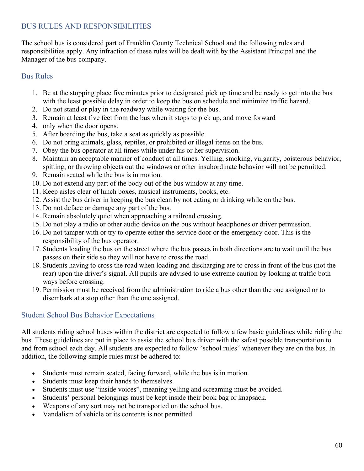## BUS RULES AND RESPONSIBILITIES

The school bus is considered part of Franklin County Technical School and the following rules and responsibilities apply. Any infraction of these rules will be dealt with by the Assistant Principal and the Manager of the bus company.

### Bus Rules

- 1. Be at the stopping place five minutes prior to designated pick up time and be ready to get into the bus with the least possible delay in order to keep the bus on schedule and minimize traffic hazard.
- 2. Do not stand or play in the roadway while waiting for the bus.
- 3. Remain at least five feet from the bus when it stops to pick up, and move forward
- 4. only when the door opens.
- 5. After boarding the bus, take a seat as quickly as possible.
- 6. Do not bring animals, glass, reptiles, or prohibited or illegal items on the bus.
- 7. Obey the bus operator at all times while under his or her supervision.
- 8. Maintain an acceptable manner of conduct at all times. Yelling, smoking, vulgarity, boisterous behavior, spitting, or throwing objects out the windows or other insubordinate behavior will not be permitted.
- 9. Remain seated while the bus is in motion.
- 10. Do not extend any part of the body out of the bus window at any time.
- 11. Keep aisles clear of lunch boxes, musical instruments, books, etc.
- 12. Assist the bus driver in keeping the bus clean by not eating or drinking while on the bus.
- 13. Do not deface or damage any part of the bus.
- 14. Remain absolutely quiet when approaching a railroad crossing.
- 15. Do not play a radio or other audio device on the bus without headphones or driver permission.
- 16. Do not tamper with or try to operate either the service door or the emergency door. This is the responsibility of the bus operator.
- 17. Students loading the bus on the street where the bus passes in both directions are to wait until the bus passes on their side so they will not have to cross the road.
- 18. Students having to cross the road when loading and discharging are to cross in front of the bus (not the rear) upon the driver's signal. All pupils are advised to use extreme caution by looking at traffic both ways before crossing.
- 19. Permission must be received from the administration to ride a bus other than the one assigned or to disembark at a stop other than the one assigned.

## Student School Bus Behavior Expectations

All students riding school buses within the district are expected to follow a few basic guidelines while riding the bus. These guidelines are put in place to assist the school bus driver with the safest possible transportation to and from school each day. All students are expected to follow "school rules" whenever they are on the bus. In addition, the following simple rules must be adhered to:

- Students must remain seated, facing forward, while the bus is in motion.
- Students must keep their hands to themselves.
- Students must use "inside voices", meaning yelling and screaming must be avoided.
- Students' personal belongings must be kept inside their book bag or knapsack.
- Weapons of any sort may not be transported on the school bus.
- Vandalism of vehicle or its contents is not permitted.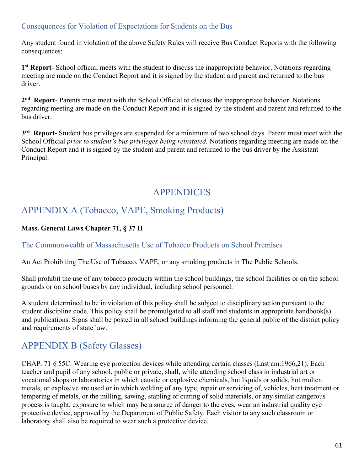## Consequences for Violation of Expectations for Students on the Bus

Any student found in violation of the above Safety Rules will receive Bus Conduct Reports with the following consequences:

**1st Report**- School official meets with the student to discuss the inappropriate behavior. Notations regarding meeting are made on the Conduct Report and it is signed by the student and parent and returned to the bus driver.

**2nd Report**- Parents must meet with the School Official to discuss the inappropriate behavior. Notations regarding meeting are made on the Conduct Report and it is signed by the student and parent and returned to the bus driver.

**3rd Report-** Student bus privileges are suspended for a minimum of two school days. Parent must meet with the School Official *prior to student's bus privileges being reinstated.* Notations regarding meeting are made on the Conduct Report and it is signed by the student and parent and returned to the bus driver by the Assistant Principal.

# APPENDICES

# APPENDIX A (Tobacco, VAPE, Smoking Products)

#### **Mass. General Laws Chapter 71, § 37 H**

The Commonwealth of Massachusetts Use of Tobacco Products on School Premises

An Act Prohibiting The Use of Tobacco, VAPE, or any smoking products in The Public Schools.

Shall prohibit the use of any tobacco products within the school buildings, the school facilities or on the school grounds or on school buses by any individual, including school personnel.

A student determined to be in violation of this policy shall be subject to disciplinary action pursuant to the student discipline code. This policy shall be promulgated to all staff and students in appropriate handbook(s) and publications. Signs shall be posted in all school buildings informing the general public of the district policy and requirements of state law.

# APPENDIX B (Safety Glasses)

CHAP. 71 § 55C. Wearing eye protection devices while attending certain classes (Last am.1966,21). Each teacher and pupil of any school, public or private, shall, while attending school class in industrial art or vocational shops or laboratories in which caustic or explosive chemicals, hot liquids or solids, hot molten metals, or explosive are used or in which welding of any type, repair or servicing of, vehicles, heat treatment or tempering of metals, or the milling, sawing, stapling or cutting of solid materials, or any similar dangerous process is taught, exposure to which may be a source of danger to the eyes, wear an industrial quality eye protective device, approved by the Department of Public Safety. Each visitor to any such classroom or laboratory shall also be required to wear such a protective device.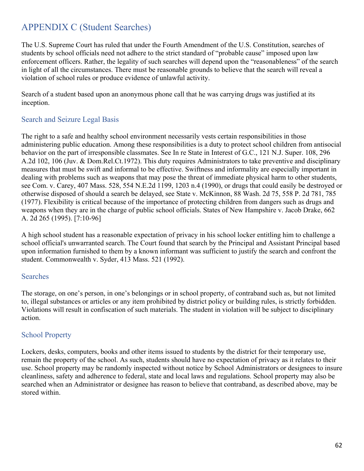# APPENDIX C (Student Searches)

The U.S. Supreme Court has ruled that under the Fourth Amendment of the U.S. Constitution, searches of students by school officials need not adhere to the strict standard of "probable cause" imposed upon law enforcement officers. Rather, the legality of such searches will depend upon the "reasonableness" of the search in light of all the circumstances. There must be reasonable grounds to believe that the search will reveal a violation of school rules or produce evidence of unlawful activity.

Search of a student based upon an anonymous phone call that he was carrying drugs was justified at its inception.

## Search and Seizure Legal Basis

The right to a safe and healthy school environment necessarily vests certain responsibilities in those administering public education. Among these responsibilities is a duty to protect school children from antisocial behavior on the part of irresponsible classmates. See In re State in Interest of G.C., 121 N.J. Super. 108, 296 A.2d 102, 106 (Juv. & Dom.Rel.Ct.1972). This duty requires Administrators to take preventive and disciplinary measures that must be swift and informal to be effective. Swiftness and informality are especially important in dealing with problems such as weapons that may pose the threat of immediate physical harm to other students, see Com. v. Carey, 407 Mass. 528, 554 N.E.2d 1199, 1203 n.4 (1990), or drugs that could easily be destroyed or otherwise disposed of should a search be delayed, see State v. McKinnon, 88 Wash. 2d 75, 558 P. 2d 781, 785 (1977). Flexibility is critical because of the importance of protecting children from dangers such as drugs and weapons when they are in the charge of public school officials. States of New Hampshire v. Jacob Drake, 662 A. 2d 265 (1995). [7:10-96]

A high school student has a reasonable expectation of privacy in his school locker entitling him to challenge a school official's unwarranted search. The Court found that search by the Principal and Assistant Principal based upon information furnished to them by a known informant was sufficient to justify the search and confront the student. Commonwealth v. Syder, 413 Mass. 521 (1992).

### Searches

The storage, on one's person, in one's belongings or in school property, of contraband such as, but not limited to, illegal substances or articles or any item prohibited by district policy or building rules, is strictly forbidden. Violations will result in confiscation of such materials. The student in violation will be subject to disciplinary action.

### School Property

Lockers, desks, computers, books and other items issued to students by the district for their temporary use, remain the property of the school. As such, students should have no expectation of privacy as it relates to their use. School property may be randomly inspected without notice by School Administrators or designees to insure cleanliness, safety and adherence to federal, state and local laws and regulations. School property may also be searched when an Administrator or designee has reason to believe that contraband, as described above, may be stored within.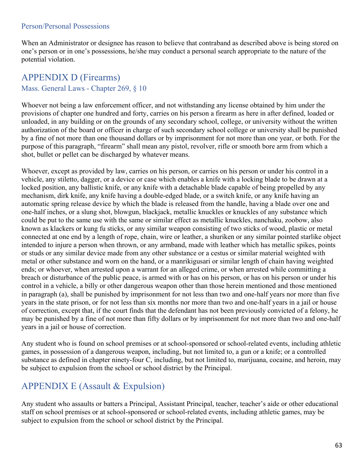#### Person/Personal Possessions

When an Administrator or designee has reason to believe that contraband as described above is being stored on one's person or in one's possessions, he/she may conduct a personal search appropriate to the nature of the potential violation.

## APPENDIX D (Firearms) Mass. General Laws - Chapter 269, § 10

Whoever not being a law enforcement officer, and not withstanding any license obtained by him under the provisions of chapter one hundred and forty, carries on his person a firearm as here in after defined, loaded or unloaded, in any building or on the grounds of any secondary school, college, or university without the written authorization of the board or officer in charge of such secondary school college or university shall be punished by a fine of not more than one thousand dollars or by imprisonment for not more than one year, or both. For the purpose of this paragraph, "firearm" shall mean any pistol, revolver, rifle or smooth bore arm from which a shot, bullet or pellet can be discharged by whatever means.

Whoever, except as provided by law, carries on his person, or carries on his person or under his control in a vehicle, any stiletto, dagger, or a device or case which enables a knife with a locking blade to be drawn at a locked position, any ballistic knife, or any knife with a detachable blade capable of being propelled by any mechanism, dirk knife, any knife having a double-edged blade, or a switch knife, or any knife having an automatic spring release device by which the blade is released from the handle, having a blade over one and one-half inches, or a slung shot, blowgun, blackjack, metallic knuckles or knuckles of any substance which could be put to the same use with the same or similar effect as metallic knuckles, nanchaku, zoobow, also known as klackers or kung fu sticks, or any similar weapon consisting of two sticks of wood, plastic or metal connected at one end by a length of rope, chain, wire or leather, a shuriken or any similar pointed starlike object intended to injure a person when thrown, or any armband, made with leather which has metallic spikes, points or studs or any similar device made from any other substance or a cestus or similar material weighted with metal or other substance and worn on the hand, or a manrikigusari or similar length of chain having weighted ends; or whoever, when arrested upon a warrant for an alleged crime, or when arrested while committing a breach or disturbance of the public peace, is armed with or has on his person, or has on his person or under his control in a vehicle, a billy or other dangerous weapon other than those herein mentioned and those mentioned in paragraph (a), shall be punished by imprisonment for not less than two and one-half years nor more than five years in the state prison, or for not less than six months nor more than two and one-half years in a jail or house of correction, except that, if the court finds that the defendant has not been previously convicted of a felony, he may be punished by a fine of not more than fifty dollars or by imprisonment for not more than two and one-half years in a jail or house of correction.

Any student who is found on school premises or at school-sponsored or school-related events, including athletic games, in possession of a dangerous weapon, including, but not limited to, a gun or a knife; or a controlled substance as defined in chapter ninety-four C, including, but not limited to, marijuana, cocaine, and heroin, may be subject to expulsion from the school or school district by the Principal.

# APPENDIX E (Assault & Expulsion)

Any student who assaults or batters a Principal, Assistant Principal, teacher, teacher's aide or other educational staff on school premises or at school-sponsored or school-related events, including athletic games, may be subject to expulsion from the school or school district by the Principal.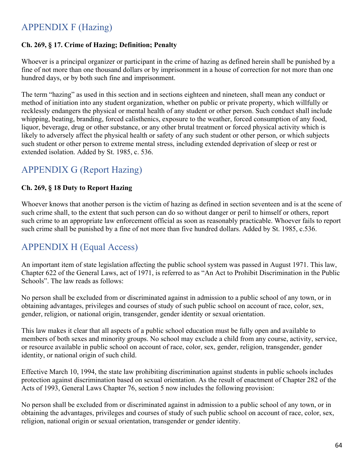# APPENDIX F (Hazing)

### **Ch. 269, § 17. Crime of Hazing; Definition; Penalty**

Whoever is a principal organizer or participant in the crime of hazing as defined herein shall be punished by a fine of not more than one thousand dollars or by imprisonment in a house of correction for not more than one hundred days, or by both such fine and imprisonment.

The term "hazing" as used in this section and in sections eighteen and nineteen, shall mean any conduct or method of initiation into any student organization, whether on public or private property, which willfully or recklessly endangers the physical or mental health of any student or other person. Such conduct shall include whipping, beating, branding, forced calisthenics, exposure to the weather, forced consumption of any food, liquor, beverage, drug or other substance, or any other brutal treatment or forced physical activity which is likely to adversely affect the physical health or safety of any such student or other person, or which subjects such student or other person to extreme mental stress, including extended deprivation of sleep or rest or extended isolation. Added by St. 1985, c. 536.

# APPENDIX G (Report Hazing)

### **Ch. 269, § 18 Duty to Report Hazing**

Whoever knows that another person is the victim of hazing as defined in section seventeen and is at the scene of such crime shall, to the extent that such person can do so without danger or peril to himself or others, report such crime to an appropriate law enforcement official as soon as reasonably practicable. Whoever fails to report such crime shall be punished by a fine of not more than five hundred dollars. Added by St. 1985, c.536.

# APPENDIX H (Equal Access)

An important item of state legislation affecting the public school system was passed in August 1971. This law, Chapter 622 of the General Laws, act of 1971, is referred to as "An Act to Prohibit Discrimination in the Public Schools". The law reads as follows:

No person shall be excluded from or discriminated against in admission to a public school of any town, or in obtaining advantages, privileges and courses of study of such public school on account of race, color, sex, gender, religion, or national origin, transgender, gender identity or sexual orientation.

This law makes it clear that all aspects of a public school education must be fully open and available to members of both sexes and minority groups. No school may exclude a child from any course, activity, service, or resource available in public school on account of race, color, sex, gender, religion, transgender, gender identity, or national origin of such child.

Effective March 10, 1994, the state law prohibiting discrimination against students in public schools includes protection against discrimination based on sexual orientation. As the result of enactment of Chapter 282 of the Acts of 1993, General Laws Chapter 76, section 5 now includes the following provision:

No person shall be excluded from or discriminated against in admission to a public school of any town, or in obtaining the advantages, privileges and courses of study of such public school on account of race, color, sex, religion, national origin or sexual orientation, transgender or gender identity.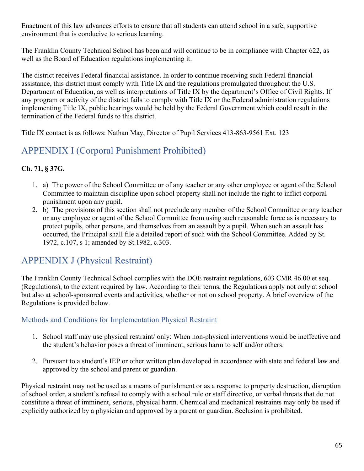Enactment of this law advances efforts to ensure that all students can attend school in a safe, supportive environment that is conducive to serious learning.

The Franklin County Technical School has been and will continue to be in compliance with Chapter 622, as well as the Board of Education regulations implementing it.

The district receives Federal financial assistance. In order to continue receiving such Federal financial assistance, this district must comply with Title IX and the regulations promulgated throughout the U.S. Department of Education, as well as interpretations of Title IX by the department's Office of Civil Rights. If any program or activity of the district fails to comply with Title IX or the Federal administration regulations implementing Title IX, public hearings would be held by the Federal Government which could result in the termination of the Federal funds to this district.

Title IX contact is as follows: Nathan May, Director of Pupil Services 413-863-9561 Ext. 123

# APPENDIX I (Corporal Punishment Prohibited)

## **Ch. 71, § 37G.**

- 1. a) The power of the School Committee or of any teacher or any other employee or agent of the School Committee to maintain discipline upon school property shall not include the right to inflict corporal punishment upon any pupil.
- 2. b) The provisions of this section shall not preclude any member of the School Committee or any teacher or any employee or agent of the School Committee from using such reasonable force as is necessary to protect pupils, other persons, and themselves from an assault by a pupil. When such an assault has occurred, the Principal shall file a detailed report of such with the School Committee. Added by St. 1972, c.107, s 1; amended by St.1982, c.303.

# APPENDIX J (Physical Restraint)

The Franklin County Technical School complies with the DOE restraint regulations, 603 CMR 46.00 et seq. (Regulations), to the extent required by law. According to their terms, the Regulations apply not only at school but also at school-sponsored events and activities, whether or not on school property. A brief overview of the Regulations is provided below.

## Methods and Conditions for Implementation Physical Restraint

- 1. School staff may use physical restraint/ only: When non-physical interventions would be ineffective and the student's behavior poses a threat of imminent, serious harm to self and/or others.
- 2. Pursuant to a student's IEP or other written plan developed in accordance with state and federal law and approved by the school and parent or guardian.

Physical restraint may not be used as a means of punishment or as a response to property destruction, disruption of school order, a student's refusal to comply with a school rule or staff directive, or verbal threats that do not constitute a threat of imminent, serious, physical harm. Chemical and mechanical restraints may only be used if explicitly authorized by a physician and approved by a parent or guardian. Seclusion is prohibited.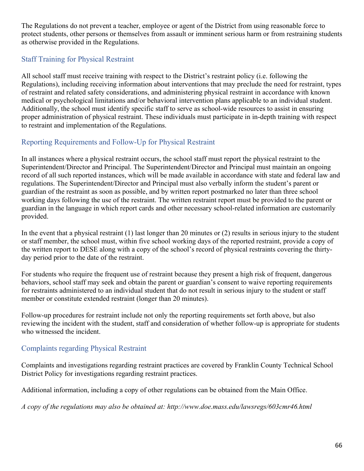The Regulations do not prevent a teacher, employee or agent of the District from using reasonable force to protect students, other persons or themselves from assault or imminent serious harm or from restraining students as otherwise provided in the Regulations.

## Staff Training for Physical Restraint

All school staff must receive training with respect to the District's restraint policy (i.e. following the Regulations), including receiving information about interventions that may preclude the need for restraint, types of restraint and related safety considerations, and administering physical restraint in accordance with known medical or psychological limitations and/or behavioral intervention plans applicable to an individual student. Additionally, the school must identify specific staff to serve as school-wide resources to assist in ensuring proper administration of physical restraint. These individuals must participate in in-depth training with respect to restraint and implementation of the Regulations.

## Reporting Requirements and Follow-Up for Physical Restraint

In all instances where a physical restraint occurs, the school staff must report the physical restraint to the Superintendent/Director and Principal. The Superintendent/Director and Principal must maintain an ongoing record of all such reported instances, which will be made available in accordance with state and federal law and regulations. The Superintendent/Director and Principal must also verbally inform the student's parent or guardian of the restraint as soon as possible, and by written report postmarked no later than three school working days following the use of the restraint. The written restraint report must be provided to the parent or guardian in the language in which report cards and other necessary school-related information are customarily provided.

In the event that a physical restraint (1) last longer than 20 minutes or (2) results in serious injury to the student or staff member, the school must, within five school working days of the reported restraint, provide a copy of the written report to DESE along with a copy of the school's record of physical restraints covering the thirtyday period prior to the date of the restraint.

For students who require the frequent use of restraint because they present a high risk of frequent, dangerous behaviors, school staff may seek and obtain the parent or guardian's consent to waive reporting requirements for restraints administered to an individual student that do not result in serious injury to the student or staff member or constitute extended restraint (longer than 20 minutes).

Follow-up procedures for restraint include not only the reporting requirements set forth above, but also reviewing the incident with the student, staff and consideration of whether follow-up is appropriate for students who witnessed the incident.

## Complaints regarding Physical Restraint

Complaints and investigations regarding restraint practices are covered by Franklin County Technical School District Policy for investigations regarding restraint practices.

Additional information, including a copy of other regulations can be obtained from the Main Office.

*A copy of the regulations may also be obtained at: http://www.doe.mass.edu/lawsregs/603cmr46.html*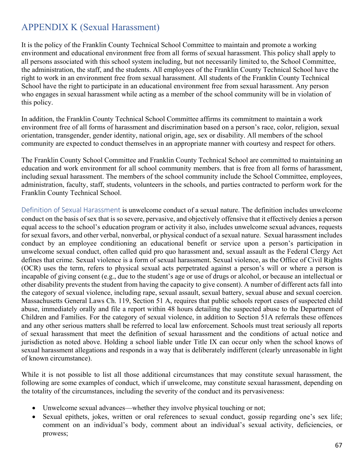# APPENDIX K (Sexual Harassment)

It is the policy of the Franklin County Technical School Committee to maintain and promote a working environment and educational environment free from all forms of sexual harassment. This policy shall apply to all persons associated with this school system including, but not necessarily limited to, the School Committee, the administration, the staff, and the students. All employees of the Franklin County Technical School have the right to work in an environment free from sexual harassment. All students of the Franklin County Technical School have the right to participate in an educational environment free from sexual harassment. Any person who engages in sexual harassment while acting as a member of the school community will be in violation of this policy.

In addition, the Franklin County Technical School Committee affirms its commitment to maintain a work environment free of all forms of harassment and discrimination based on a person's race, color, religion, sexual orientation, transgender, gender identity, national origin, age, sex or disability. All members of the school community are expected to conduct themselves in an appropriate manner with courtesy and respect for others.

The Franklin County School Committee and Franklin County Technical School are committed to maintaining an education and work environment for all school community members. that is free from all forms of harassment, including sexual harassment. The members of the school community include the School Committee, employees, administration, faculty, staff, students, volunteers in the schools, and parties contracted to perform work for the Franklin County Technical School.

Definition of Sexual Harassment is unwelcome conduct of a sexual nature. The definition includes unwelcome conduct on the basis of sex that is so severe, pervasive, and objectively offensive that it effectively denies a person equal access to the school's education program or activity it also, includes unwelcome sexual advances, requests for sexual favors, and other verbal, nonverbal, or physical conduct of a sexual nature. Sexual harassment includes conduct by an employee conditioning an educational benefit or service upon a person's participation in unwelcome sexual conduct, often called quid pro quo harassment and, sexual assault as the Federal Clergy Act defines that crime. Sexual violence is a form of sexual harassment. Sexual violence, as the Office of Civil Rights (OCR) uses the term, refers to physical sexual acts perpetrated against a person's will or where a person is incapable of giving consent (e.g., due to the student's age or use of drugs or alcohol, or because an intellectual or other disability prevents the student from having the capacity to give consent). A number of different acts fall into the category of sexual violence, including rape, sexual assault, sexual battery, sexual abuse and sexual coercion. Massachusetts General Laws Ch. 119, Section 51 A, requires that public schools report cases of suspected child abuse, immediately orally and file a report within 48 hours detailing the suspected abuse to the Department of Children and Families. For the category of sexual violence, in addition to Section 51A referrals these offences and any other serious matters shall be referred to local law enforcement. Schools must treat seriously all reports of sexual harassment that meet the definition of sexual harassment and the conditions of actual notice and jurisdiction as noted above. Holding a school liable under Title IX can occur only when the school knows of sexual harassment allegations and responds in a way that is deliberately indifferent (clearly unreasonable in light of known circumstance).

While it is not possible to list all those additional circumstances that may constitute sexual harassment, the following are some examples of conduct, which if unwelcome, may constitute sexual harassment, depending on the totality of the circumstances, including the severity of the conduct and its pervasiveness:

- Unwelcome sexual advances—whether they involve physical touching or not;
- Sexual epithets, jokes, written or oral references to sexual conduct, gossip regarding one's sex life; comment on an individual's body, comment about an individual's sexual activity, deficiencies, or prowess;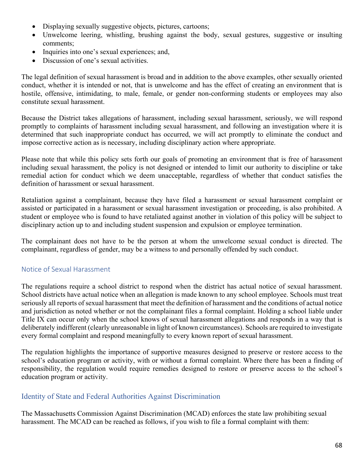- Displaying sexually suggestive objects, pictures, cartoons;
- Unwelcome leering, whistling, brushing against the body, sexual gestures, suggestive or insulting comments;
- Inquiries into one's sexual experiences; and,
- Discussion of one's sexual activities.

The legal definition of sexual harassment is broad and in addition to the above examples, other sexually oriented conduct, whether it is intended or not, that is unwelcome and has the effect of creating an environment that is hostile, offensive, intimidating, to male, female, or gender non-conforming students or employees may also constitute sexual harassment.

Because the District takes allegations of harassment, including sexual harassment, seriously, we will respond promptly to complaints of harassment including sexual harassment, and following an investigation where it is determined that such inappropriate conduct has occurred, we will act promptly to eliminate the conduct and impose corrective action as is necessary, including disciplinary action where appropriate.

Please note that while this policy sets forth our goals of promoting an environment that is free of harassment including sexual harassment, the policy is not designed or intended to limit our authority to discipline or take remedial action for conduct which we deem unacceptable, regardless of whether that conduct satisfies the definition of harassment or sexual harassment.

Retaliation against a complainant, because they have filed a harassment or sexual harassment complaint or assisted or participated in a harassment or sexual harassment investigation or proceeding, is also prohibited. A student or employee who is found to have retaliated against another in violation of this policy will be subject to disciplinary action up to and including student suspension and expulsion or employee termination.

The complainant does not have to be the person at whom the unwelcome sexual conduct is directed. The complainant, regardless of gender, may be a witness to and personally offended by such conduct.

### Notice of Sexual Harassment

The regulations require a school district to respond when the district has actual notice of sexual harassment. School districts have actual notice when an allegation is made known to any school employee. Schools must treat seriously all reports of sexual harassment that meet the definition of harassment and the conditions of actual notice and jurisdiction as noted whether or not the complainant files a formal complaint. Holding a school liable under Title IX can occur only when the school knows of sexual harassment allegations and responds in a way that is deliberately indifferent (clearly unreasonable in light of known circumstances). Schools are required to investigate every formal complaint and respond meaningfully to every known report of sexual harassment.

The regulation highlights the importance of supportive measures designed to preserve or restore access to the school's education program or activity, with or without a formal complaint. Where there has been a finding of responsibility, the regulation would require remedies designed to restore or preserve access to the school's education program or activity.

## Identity of State and Federal Authorities Against Discrimination

The Massachusetts Commission Against Discrimination (MCAD) enforces the state law prohibiting sexual harassment. The MCAD can be reached as follows, if you wish to file a formal complaint with them: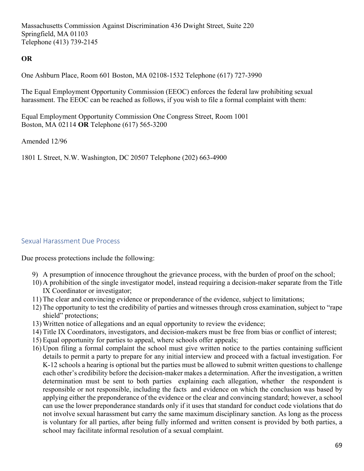Massachusetts Commission Against Discrimination 436 Dwight Street, Suite 220 Springfield, MA 01103 Telephone (413) 739-2145

### **OR**

One Ashburn Place, Room 601 Boston, MA 02108-1532 Telephone (617) 727-3990

The Equal Employment Opportunity Commission (EEOC) enforces the federal law prohibiting sexual harassment. The EEOC can be reached as follows, if you wish to file a formal complaint with them:

Equal Employment Opportunity Commission One Congress Street, Room 1001 Boston, MA 02114 **OR** Telephone (617) 565-3200

Amended 12/96

1801 L Street, N.W. Washington, DC 20507 Telephone (202) 663-4900

### Sexual Harassment Due Process

Due process protections include the following:

- 9) A presumption of innocence throughout the grievance process, with the burden of proof on the school;
- 10) A prohibition of the single investigator model, instead requiring a decision-maker separate from the Title IX Coordinator or investigator;
- 11) The clear and convincing evidence or preponderance of the evidence, subject to limitations;
- 12) The opportunity to test the credibility of parties and witnesses through cross examination, subject to "rape shield" protections;
- 13) Written notice of allegations and an equal opportunity to review the evidence;
- 14) Title IX Coordinators, investigators, and decision-makers must be free from bias or conflict of interest;
- 15) Equal opportunity for parties to appeal, where schools offer appeals;
- 16) Upon filing a formal complaint the school must give written notice to the parties containing sufficient details to permit a party to prepare for any initial interview and proceed with a factual investigation. For K-12 schools a hearing is optional but the parties must be allowed to submit written questions to challenge each other's credibility before the decision-maker makes a determination. After the investigation, a written determination must be sent to both parties explaining each allegation, whether the respondent is responsible or not responsible, including the facts and evidence on which the conclusion was based by applying either the preponderance of the evidence or the clear and convincing standard; however, a school can use the lower preponderance standards only if it uses that standard for conduct code violations that do not involve sexual harassment but carry the same maximum disciplinary sanction. As long as the process is voluntary for all parties, after being fully informed and written consent is provided by both parties, a school may facilitate informal resolution of a sexual complaint.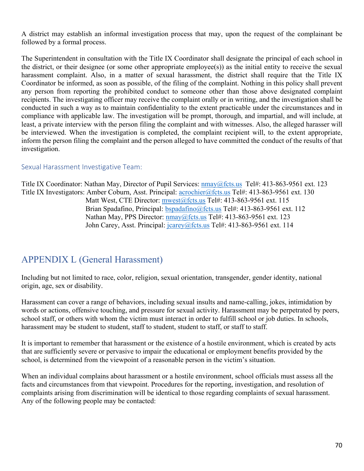A district may establish an informal investigation process that may, upon the request of the complainant be followed by a formal process.

The Superintendent in consultation with the Title IX Coordinator shall designate the principal of each school in the district, or their designee (or some other appropriate employee(s)) as the initial entity to receive the sexual harassment complaint. Also, in a matter of sexual harassment, the district shall require that the Title IX Coordinator be informed, as soon as possible, of the filing of the complaint. Nothing in this policy shall prevent any person from reporting the prohibited conduct to someone other than those above designated complaint recipients. The investigating officer may receive the complaint orally or in writing, and the investigation shall be conducted in such a way as to maintain confidentiality to the extent practicable under the circumstances and in compliance with applicable law. The investigation will be prompt, thorough, and impartial, and will include, at least, a private interview with the person filing the complaint and with witnesses. Also, the alleged harasser will be interviewed. When the investigation is completed, the complaint recipient will, to the extent appropriate, inform the person filing the complaint and the person alleged to have committed the conduct of the results of that investigation.

#### Sexual Harassment Investigative Team:

Title IX Coordinator: Nathan May, Director of Pupil Services: [nmay@fcts.us](mailto:nmay@fcts.us) Tel#: 413-863-9561 ext. 123 Title IX Investigators: Amber Coburn, Asst. Principal: [acrochier@fcts.us](mailto:acrochier@fcts.us) Tel#: 413-863-9561 ext. 130 Matt West, CTE Director: [mwest@fcts.us](mailto:mwest@fcts.us) Tel#: 413-863-9561 ext. 115 Brian Spadafino, Principal: [bspadafino@fcts.us](mailto:bspadafino@fcts.us) Tel#: 413-863-9561 ext. 112 Nathan May, PPS Director: [nmay@fcts.us](mailto:nmay@fcts.us) Tel#: 413-863-9561 ext. 123 John Carey, Asst. Principal:  $\frac{1}{2}$  [carey(@fcts.us Tel#: 413-863-9561 ext. 114

# APPENDIX L (General Harassment)

Including but not limited to race, color, religion, sexual orientation, transgender, gender identity, national origin, age, sex or disability.

Harassment can cover a range of behaviors, including sexual insults and name-calling, jokes, intimidation by words or actions, offensive touching, and pressure for sexual activity. Harassment may be perpetrated by peers, school staff, or others with whom the victim must interact in order to fulfill school or job duties. In schools, harassment may be student to student, staff to student, student to staff, or staff to staff.

It is important to remember that harassment or the existence of a hostile environment, which is created by acts that are sufficiently severe or pervasive to impair the educational or employment benefits provided by the school, is determined from the viewpoint of a reasonable person in the victim's situation.

When an individual complains about harassment or a hostile environment, school officials must assess all the facts and circumstances from that viewpoint. Procedures for the reporting, investigation, and resolution of complaints arising from discrimination will be identical to those regarding complaints of sexual harassment. Any of the following people may be contacted: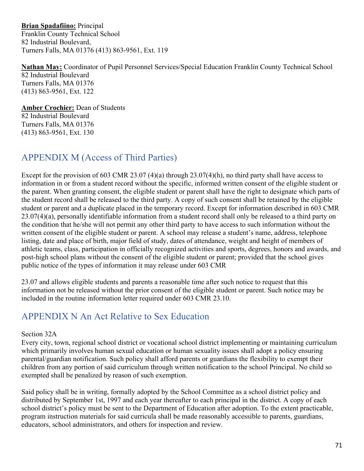**Brian Spadafiino:** Principal Franklin County Technical School 82 Industrial Boulevard, Turners Falls, MA 01376 (413) 863-9561, Ext. 119

**Nathan May:** Coordinator of Pupil Personnel Services/Special Education Franklin County Technical School 82 Industrial Boulevard Turners Falls, MA 01376 (413) 863-9561, Ext. 122

**Amber Crochier:** Dean of Students 82 Industrial Boulevard Turners Falls, MA 01376 (413) 863-9561, Ext. 130

# APPENDIX M (Access of Third Parties)

Except for the provision of 603 CMR 23.07 (4)(a) through  $23.07(4)$ (h), no third party shall have access to information in or from a student record without the specific, informed written consent of the eligible student or the parent. When granting consent, the eligible student or parent shall have the right to designate which parts of the student record shall be released to the third party. A copy of such consent shall be retained by the eligible student or parent and a duplicate placed in the temporary record. Except for information described in 603 CMR 23.07(4)(a), personally identifiable information from a student record shall only be released to a third party on the condition that he/she will not permit any other third party to have access to such information without the written consent of the eligible student or parent. A school may release a student's name, address, telephone listing, date and place of birth, major field of study, dates of attendance, weight and height of members of athletic teams, class, participation in officially recognized activities and sports, degrees, honors and awards, and post-high school plans without the consent of the eligible student or parent; provided that the school gives public notice of the types of information it may release under 603 CMR

23.07 and allows eligible students and parents a reasonable time after such notice to request that this information not be released without the prior consent of the eligible student or parent. Such notice may be included in the routine information letter required under 603 CMR 23.10.

# APPENDIX N An Act Relative to Sex Education

#### Section 32A

Every city, town, regional school district or vocational school district implementing or maintaining curriculum which primarily involves human sexual education or human sexuality issues shall adopt a policy ensuring parental/guardian notification. Such policy shall afford parents or guardians the flexibility to exempt their children from any portion of said curriculum through written notification to the school Principal. No child so exempted shall be penalized by reason of such exemption.

Said policy shall be in writing, formally adopted by the School Committee as a school district policy and distributed by September 1st, 1997 and each year thereafter to each principal in the district. A copy of each school district's policy must be sent to the Department of Education after adoption. To the extent practicable, program instruction materials for said curricula shall be made reasonably accessible to parents, guardians, educators, school administrators, and others for inspection and review.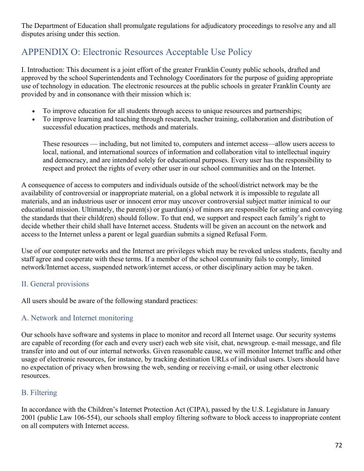The Department of Education shall promulgate regulations for adjudicatory proceedings to resolve any and all disputes arising under this section.

# APPENDIX O: Electronic Resources Acceptable Use Policy

I. Introduction: This document is a joint effort of the greater Franklin County public schools, drafted and approved by the school Superintendents and Technology Coordinators for the purpose of guiding appropriate use of technology in education. The electronic resources at the public schools in greater Franklin County are provided by and in consonance with their mission which is:

- To improve education for all students through access to unique resources and partnerships;
- To improve learning and teaching through research, teacher training, collaboration and distribution of successful education practices, methods and materials.

These resources — including, but not limited to, computers and internet access—allow users access to local, national, and international sources of information and collaboration vital to intellectual inquiry and democracy, and are intended solely for educational purposes. Every user has the responsibility to respect and protect the rights of every other user in our school communities and on the Internet.

A consequence of access to computers and individuals outside of the school/district network may be the availability of controversial or inappropriate material, on a global network it is impossible to regulate all materials, and an industrious user or innocent error may uncover controversial subject matter inimical to our educational mission. Ultimately, the parent(s) or guardian(s) of minors are responsible for setting and conveying the standards that their child(ren) should follow. To that end, we support and respect each family's right to decide whether their child shall have Internet access. Students will be given an account on the network and access to the Internet unless a parent or legal guardian submits a signed Refusal Form.

Use of our computer networks and the Internet are privileges which may be revoked unless students, faculty and staff agree and cooperate with these terms. If a member of the school community fails to comply, limited network/Internet access, suspended network/internet access, or other disciplinary action may be taken.

### II. General provisions

All users should be aware of the following standard practices:

## A. Network and Internet monitoring

Our schools have software and systems in place to monitor and record all Internet usage. Our security systems are capable of recording (for each and every user) each web site visit, chat, newsgroup. e-mail message, and file transfer into and out of our internal networks. Given reasonable cause, we will monitor Internet traffic and other usage of electronic resources, for instance, by tracking destination URLs of individual users. Users should have no expectation of privacy when browsing the web, sending or receiving e-mail, or using other electronic resources.

## B. Filtering

In accordance with the Children's Internet Protection Act (CIPA), passed by the U.S. Legislature in January 2001 (public Law 106-554), our schools shall employ filtering software to block access to inappropriate content on all computers with Internet access.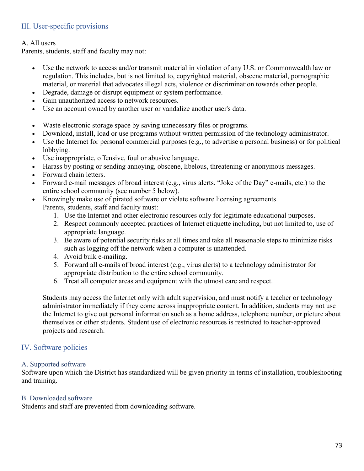## III. User-specific provisions

#### A. All users

Parents, students, staff and faculty may not:

- Use the network to access and/or transmit material in violation of any U.S. or Commonwealth law or regulation. This includes, but is not limited to, copyrighted material, obscene material, pornographic material, or material that advocates illegal acts, violence or discrimination towards other people.
- Degrade, damage or disrupt equipment or system performance.
- Gain unauthorized access to network resources.
- Use an account owned by another user or vandalize another user's data.
- Waste electronic storage space by saving unnecessary files or programs.
- Download, install, load or use programs without written permission of the technology administrator.
- Use the Internet for personal commercial purposes (e.g., to advertise a personal business) or for political lobbying.
- Use inappropriate, offensive, foul or abusive language.
- Harass by posting or sending annoying, obscene, libelous, threatening or anonymous messages.
- Forward chain letters.
- Forward e-mail messages of broad interest (e.g., virus alerts. "Joke of the Day" e-mails, etc.) to the entire school community (see number 5 below).
- Knowingly make use of pirated software or violate software licensing agreements. Parents, students, staff and faculty must:
	- 1. Use the Internet and other electronic resources only for legitimate educational purposes.
	- 2. Respect commonly accepted practices of Internet etiquette including, but not limited to, use of appropriate language.
	- 3. Be aware of potential security risks at all times and take all reasonable steps to minimize risks such as logging off the network when a computer is unattended.
	- 4. Avoid bulk e-mailing.
	- 5. Forward all e-mails of broad interest (e.g., virus alerts) to a technology administrator for appropriate distribution to the entire school community.
	- 6. Treat all computer areas and equipment with the utmost care and respect.

Students may access the Internet only with adult supervision, and must notify a teacher or technology administrator immediately if they come across inappropriate content. In addition, students may not use the Internet to give out personal information such as a home address, telephone number, or picture about themselves or other students. Student use of electronic resources is restricted to teacher-approved projects and research.

### IV. Software policies

#### A. Supported software

Software upon which the District has standardized will be given priority in terms of installation, troubleshooting and training.

#### B. Downloaded software

Students and staff are prevented from downloading software.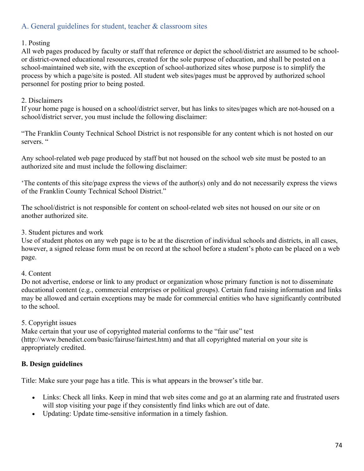## A. General guidelines for student, teacher & classroom sites

#### 1. Posting

All web pages produced by faculty or staff that reference or depict the school/district are assumed to be schoolor district-owned educational resources, created for the sole purpose of education, and shall be posted on a school-maintained web site, with the exception of school-authorized sites whose purpose is to simplify the process by which a page/site is posted. All student web sites/pages must be approved by authorized school personnel for posting prior to being posted.

#### 2. Disclaimers

If your home page is housed on a school/district server, but has links to sites/pages which are not-housed on a school/district server, you must include the following disclaimer:

"The Franklin County Technical School District is not responsible for any content which is not hosted on our servers. "

Any school-related web page produced by staff but not housed on the school web site must be posted to an authorized site and must include the following disclaimer:

'The contents of this site/page express the views of the author(s) only and do not necessarily express the views of the Franklin County Technical School District."

The school/district is not responsible for content on school-related web sites not housed on our site or on another authorized site.

#### 3. Student pictures and work

Use of student photos on any web page is to be at the discretion of individual schools and districts, in all cases, however, a signed release form must be on record at the school before a student's photo can be placed on a web page.

#### 4. Content

Do not advertise, endorse or link to any product or organization whose primary function is not to disseminate educational content (e.g., commercial enterprises or political groups). Certain fund raising information and links may be allowed and certain exceptions may be made for commercial entities who have significantly contributed to the school.

#### 5. Copyright issues

Make certain that your use of copyrighted material conforms to the "fair use" test (http://www.benedict.com/basic/fairuse/fairtest.htm) and that all copyrighted material on your site is appropriately credited.

#### **B. Design guidelines**

Title: Make sure your page has a title. This is what appears in the browser's title bar.

- Links: Check all links. Keep in mind that web sites come and go at an alarming rate and frustrated users will stop visiting your page if they consistently find links which are out of date.
- Updating: Update time-sensitive information in a timely fashion.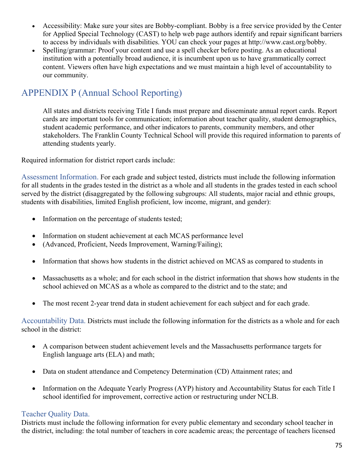- Accessibility: Make sure your sites are Bobby-compliant. Bobby is a free service provided by the Center for Applied Special Technology (CAST) to help web page authors identify and repair significant barriers to access by individuals with disabilities. YOU can check your pages at http://www.cast.org/bobby.
- Spelling/grammar: Proof your content and use a spell checker before posting. As an educational institution with a potentially broad audience, it is incumbent upon us to have grammatically correct content. Viewers often have high expectations and we must maintain a high level of accountability to our community.

# APPENDIX P (Annual School Reporting)

All states and districts receiving Title I funds must prepare and disseminate annual report cards. Report cards are important tools for communication; information about teacher quality, student demographics, student academic performance, and other indicators to parents, community members, and other stakeholders. The Franklin County Technical School will provide this required information to parents of attending students yearly.

Required information for district report cards include:

Assessment Information. For each grade and subject tested, districts must include the following information for all students in the grades tested in the district as a whole and all students in the grades tested in each school served by the district (disaggregated by the following subgroups: All students, major racial and ethnic groups, students with disabilities, limited English proficient, low income, migrant, and gender):

- Information on the percentage of students tested;
- Information on student achievement at each MCAS performance level
- (Advanced, Proficient, Needs Improvement, Warning/Failing);
- Information that shows how students in the district achieved on MCAS as compared to students in
- Massachusetts as a whole; and for each school in the district information that shows how students in the school achieved on MCAS as a whole as compared to the district and to the state; and
- The most recent 2-year trend data in student achievement for each subject and for each grade.

Accountability Data. Districts must include the following information for the districts as a whole and for each school in the district:

- A comparison between student achievement levels and the Massachusetts performance targets for English language arts (ELA) and math;
- Data on student attendance and Competency Determination (CD) Attainment rates; and
- Information on the Adequate Yearly Progress (AYP) history and Accountability Status for each Title I school identified for improvement, corrective action or restructuring under NCLB.

#### Teacher Quality Data.

Districts must include the following information for every public elementary and secondary school teacher in the district, including: the total number of teachers in core academic areas; the percentage of teachers licensed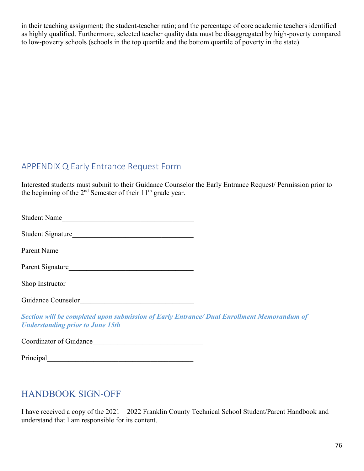in their teaching assignment; the student-teacher ratio; and the percentage of core academic teachers identified as highly qualified. Furthermore, selected teacher quality data must be disaggregated by high-poverty compared to low-poverty schools (schools in the top quartile and the bottom quartile of poverty in the state).

## APPENDIX Q Early Entrance Request Form

Interested students must submit to their Guidance Counselor the Early Entrance Request/ Permission prior to the beginning of the  $2<sup>nd</sup>$  Semester of their  $11<sup>th</sup>$  grade year.

| <b>Student Name</b>      |  |
|--------------------------|--|
| <b>Student Signature</b> |  |
| Parent Name              |  |
| Parent Signature         |  |
| Shop Instructor          |  |
| Guidance Counselor       |  |

*Section will be completed upon submission of Early Entrance/ Dual Enrollment Memorandum of Understanding prior to June 15th* 

Coordinator of Guidance\_\_\_\_\_\_\_\_\_\_\_\_\_\_\_\_\_\_\_\_\_\_\_\_\_\_\_\_\_\_\_

| Principal |  |
|-----------|--|
|           |  |

## HANDBOOK SIGN-OFF

I have received a copy of the 2021 – 2022 Franklin County Technical School Student/Parent Handbook and understand that I am responsible for its content.